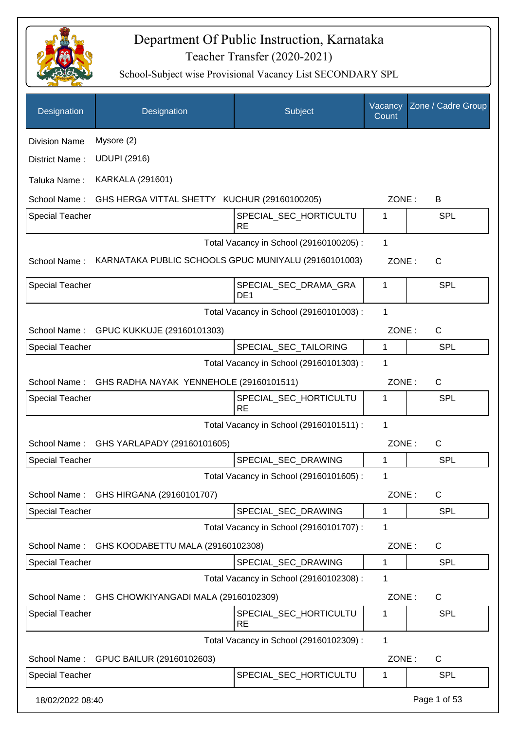

| Designation            | Designation                                          | Subject                                  | Vacancy<br>Count | Zone / Cadre Group |
|------------------------|------------------------------------------------------|------------------------------------------|------------------|--------------------|
| <b>Division Name</b>   | Mysore (2)                                           |                                          |                  |                    |
| District Name:         | <b>UDUPI (2916)</b>                                  |                                          |                  |                    |
| Taluka Name:           | <b>KARKALA (291601)</b>                              |                                          |                  |                    |
| School Name:           | GHS HERGA VITTAL SHETTY KUCHUR (29160100205)         |                                          | ZONE:            | B                  |
| <b>Special Teacher</b> |                                                      | SPECIAL_SEC_HORTICULTU<br><b>RE</b>      | 1                | <b>SPL</b>         |
|                        |                                                      | Total Vacancy in School (29160100205) :  | 1                |                    |
| School Name:           | KARNATAKA PUBLIC SCHOOLS GPUC MUNIYALU (29160101003) |                                          | ZONE:            | $\mathsf{C}$       |
| <b>Special Teacher</b> |                                                      | SPECIAL_SEC_DRAMA_GRA<br>DE <sub>1</sub> | 1                | <b>SPL</b>         |
|                        |                                                      | Total Vacancy in School (29160101003) :  | 1                |                    |
| School Name:           | GPUC KUKKUJE (29160101303)                           |                                          | ZONE:            | C                  |
| <b>Special Teacher</b> |                                                      | SPECIAL_SEC_TAILORING                    | 1                | <b>SPL</b>         |
|                        |                                                      | Total Vacancy in School (29160101303) :  | 1                |                    |
|                        | School Name: GHS RADHA NAYAK YENNEHOLE (29160101511) |                                          | ZONE:            | $\mathsf{C}$       |
| <b>Special Teacher</b> |                                                      | SPECIAL_SEC_HORTICULTU<br><b>RE</b>      | 1                | SPL                |
|                        |                                                      | Total Vacancy in School (29160101511) :  | 1                |                    |
| School Name:           | GHS YARLAPADY (29160101605)                          |                                          | ZONE:            | $\mathsf C$        |
| <b>Special Teacher</b> |                                                      | SPECIAL_SEC_DRAWING                      | 1                | SPL                |
|                        |                                                      | Total Vacancy in School (29160101605) :  | 1                |                    |
| School Name:           | GHS HIRGANA (29160101707)                            |                                          | ZONE:            | C                  |
| <b>Special Teacher</b> |                                                      | SPECIAL_SEC_DRAWING                      | 1                | <b>SPL</b>         |
|                        |                                                      | Total Vacancy in School (29160101707) :  | 1                |                    |
| School Name:           | GHS KOODABETTU MALA (29160102308)                    |                                          | ZONE:            | $\mathsf{C}$       |
| <b>Special Teacher</b> |                                                      | SPECIAL_SEC_DRAWING                      | 1                | <b>SPL</b>         |
|                        |                                                      | Total Vacancy in School (29160102308) :  | 1                |                    |
| School Name:           | GHS CHOWKIYANGADI MALA (29160102309)                 |                                          | ZONE:            | C                  |
| <b>Special Teacher</b> |                                                      | SPECIAL_SEC_HORTICULTU<br><b>RE</b>      | 1                | <b>SPL</b>         |
|                        |                                                      | Total Vacancy in School (29160102309) :  | 1                |                    |
| School Name:           | GPUC BAILUR (29160102603)                            |                                          | ZONE:            | C                  |
| Special Teacher        |                                                      | SPECIAL_SEC_HORTICULTU                   | 1                | <b>SPL</b>         |
| 18/02/2022 08:40       |                                                      |                                          |                  | Page 1 of 53       |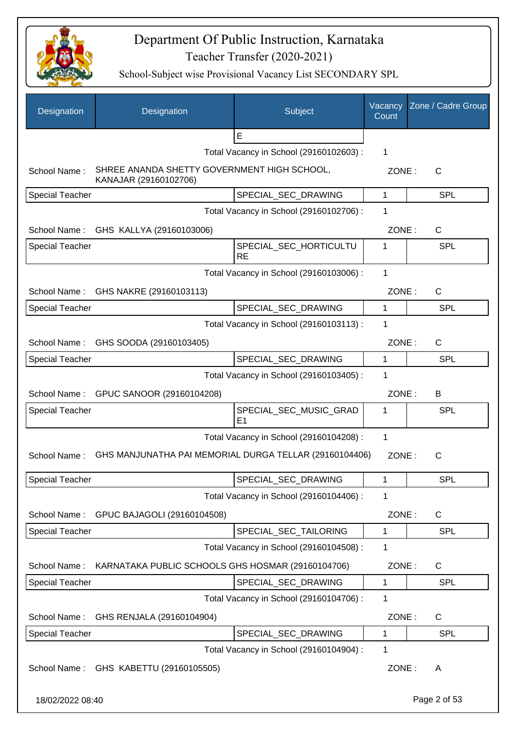

| Designation            | Designation                                                          | Subject                                  | Vacancy<br>Count | Zone / Cadre Group |
|------------------------|----------------------------------------------------------------------|------------------------------------------|------------------|--------------------|
|                        |                                                                      | E                                        |                  |                    |
|                        |                                                                      | Total Vacancy in School (29160102603) :  | 1                |                    |
| School Name:           | SHREE ANANDA SHETTY GOVERNMENT HIGH SCHOOL,<br>KANAJAR (29160102706) |                                          | ZONE:            | $\mathsf{C}$       |
| <b>Special Teacher</b> |                                                                      | SPECIAL_SEC_DRAWING                      | 1                | <b>SPL</b>         |
|                        |                                                                      | Total Vacancy in School (29160102706) :  | 1                |                    |
|                        | School Name: GHS KALLYA (29160103006)                                |                                          | ZONE:            | $\mathsf{C}$       |
| <b>Special Teacher</b> |                                                                      | SPECIAL_SEC_HORTICULTU<br><b>RE</b>      | 1                | <b>SPL</b>         |
|                        |                                                                      | Total Vacancy in School (29160103006) :  | 1                |                    |
|                        | School Name: GHS NAKRE (29160103113)                                 |                                          | ZONE:            | $\mathsf{C}$       |
| <b>Special Teacher</b> |                                                                      | SPECIAL SEC DRAWING                      | 1                | <b>SPL</b>         |
|                        |                                                                      | Total Vacancy in School (29160103113) :  | 1                |                    |
|                        | School Name: GHS SOODA (29160103405)                                 |                                          | ZONE:            | $\mathsf{C}$       |
| <b>Special Teacher</b> |                                                                      | SPECIAL_SEC_DRAWING                      | 1                | <b>SPL</b>         |
|                        |                                                                      | Total Vacancy in School (29160103405) :  | 1                |                    |
|                        | School Name: GPUC SANOOR (29160104208)                               |                                          | ZONE:            | B                  |
| <b>Special Teacher</b> |                                                                      | SPECIAL_SEC_MUSIC_GRAD<br>E <sub>1</sub> | 1                | <b>SPL</b>         |
|                        |                                                                      | Total Vacancy in School (29160104208) :  | 1                |                    |
| School Name:           | GHS MANJUNATHA PAI MEMORIAL DURGA TELLAR (29160104406)               |                                          | ZONE:            | C                  |
| <b>Special Teacher</b> |                                                                      | SPECIAL_SEC_DRAWING                      | 1                | SPL                |
|                        |                                                                      | Total Vacancy in School (29160104406) :  | 1                |                    |
| School Name:           | GPUC BAJAGOLI (29160104508)                                          |                                          | ZONE:            | C                  |
| <b>Special Teacher</b> |                                                                      | SPECIAL_SEC_TAILORING                    | 1                | <b>SPL</b>         |
|                        |                                                                      | Total Vacancy in School (29160104508) :  | 1                |                    |
| School Name:           | KARNATAKA PUBLIC SCHOOLS GHS HOSMAR (29160104706)                    |                                          | ZONE:            | C                  |
| Special Teacher        |                                                                      | SPECIAL_SEC_DRAWING                      | 1                | <b>SPL</b>         |
|                        |                                                                      | Total Vacancy in School (29160104706) :  | 1                |                    |
| School Name:           | GHS RENJALA (29160104904)                                            |                                          | ZONE:            | C                  |
| <b>Special Teacher</b> |                                                                      | SPECIAL_SEC_DRAWING                      | 1                | <b>SPL</b>         |
|                        |                                                                      | Total Vacancy in School (29160104904) :  | 1                |                    |
| School Name:           | GHS KABETTU (29160105505)                                            |                                          | ZONE:            | A                  |
| 18/02/2022 08:40       |                                                                      |                                          |                  | Page 2 of 53       |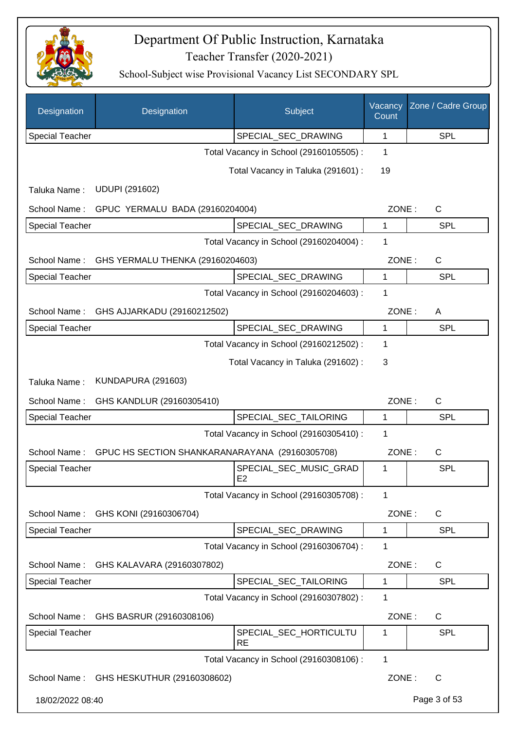

| Designation            | Designation                                    | Subject                                  | Vacancy<br>Count | Zone / Cadre Group |
|------------------------|------------------------------------------------|------------------------------------------|------------------|--------------------|
| <b>Special Teacher</b> |                                                | SPECIAL_SEC_DRAWING                      | 1                | <b>SPL</b>         |
|                        |                                                | Total Vacancy in School (29160105505) :  | 1                |                    |
|                        |                                                | Total Vacancy in Taluka (291601) :       | 19               |                    |
| Taluka Name:           | <b>UDUPI (291602)</b>                          |                                          |                  |                    |
| School Name:           | GPUC YERMALU BADA (29160204004)                |                                          | ZONE:            | $\mathsf{C}$       |
| <b>Special Teacher</b> |                                                | SPECIAL_SEC_DRAWING                      | $\mathbf{1}$     | <b>SPL</b>         |
|                        |                                                | Total Vacancy in School (29160204004) :  | 1                |                    |
| School Name:           | GHS YERMALU THENKA (29160204603)               |                                          | ZONE:            | $\mathsf C$        |
| Special Teacher        |                                                | SPECIAL_SEC_DRAWING                      | 1                | <b>SPL</b>         |
|                        |                                                | Total Vacancy in School (29160204603) :  | 1                |                    |
| School Name:           | GHS AJJARKADU (29160212502)                    |                                          | ZONE:            | A                  |
| <b>Special Teacher</b> |                                                | SPECIAL_SEC_DRAWING                      | 1                | <b>SPL</b>         |
|                        |                                                | Total Vacancy in School (29160212502) :  | 1                |                    |
|                        |                                                | Total Vacancy in Taluka (291602):        | 3                |                    |
| Taluka Name:           | <b>KUNDAPURA (291603)</b>                      |                                          |                  |                    |
| School Name:           | GHS KANDLUR (29160305410)                      |                                          | ZONE:            | $\mathsf{C}$       |
| <b>Special Teacher</b> |                                                | SPECIAL_SEC_TAILORING                    | 1                | <b>SPL</b>         |
|                        |                                                | Total Vacancy in School (29160305410) :  | 1                |                    |
| School Name:           | GPUC HS SECTION SHANKARANARAYANA (29160305708) |                                          | ZONE:            | C                  |
| <b>Special Teacher</b> |                                                | SPECIAL_SEC_MUSIC_GRAD<br>E <sub>2</sub> | 1                | SPL                |
|                        |                                                | Total Vacancy in School (29160305708) :  | 1                |                    |
| School Name:           | GHS KONI (29160306704)                         |                                          | ZONE:            | $\mathsf{C}$       |
| Special Teacher        |                                                | SPECIAL_SEC_DRAWING                      | 1                | <b>SPL</b>         |
|                        |                                                | Total Vacancy in School (29160306704) :  | 1                |                    |
| School Name:           | GHS KALAVARA (29160307802)                     |                                          | ZONE:            | C                  |
| <b>Special Teacher</b> |                                                | SPECIAL_SEC_TAILORING                    | 1                | <b>SPL</b>         |
|                        |                                                | Total Vacancy in School (29160307802) :  | 1                |                    |
| School Name:           | GHS BASRUR (29160308106)                       |                                          | ZONE:            | C                  |
| <b>Special Teacher</b> |                                                | SPECIAL_SEC_HORTICULTU<br><b>RE</b>      | 1                | <b>SPL</b>         |
|                        |                                                | Total Vacancy in School (29160308106) :  | 1                |                    |
|                        | School Name: GHS HESKUTHUR (29160308602)       |                                          | ZONE:            | C                  |
| 18/02/2022 08:40       |                                                |                                          |                  | Page 3 of 53       |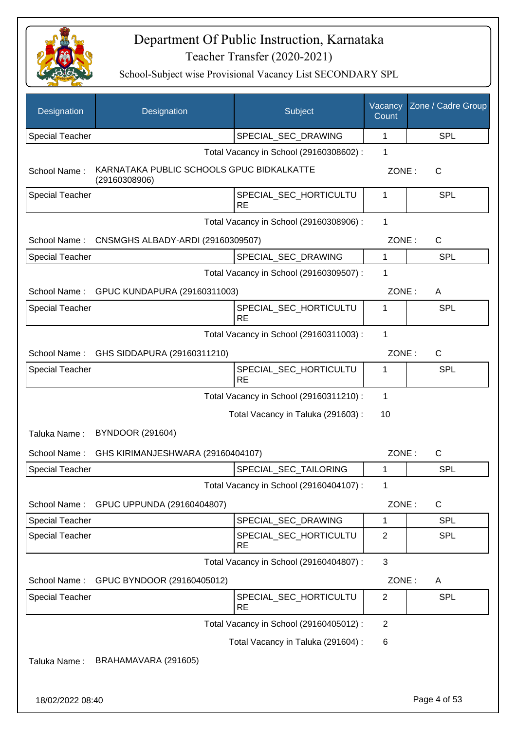

| Designation            | Designation                                                | Subject                                 | Vacancy<br>Count | Zone / Cadre Group |
|------------------------|------------------------------------------------------------|-----------------------------------------|------------------|--------------------|
| <b>Special Teacher</b> |                                                            | SPECIAL SEC DRAWING                     | 1                | <b>SPL</b>         |
|                        |                                                            | Total Vacancy in School (29160308602) : | 1                |                    |
| School Name:           | KARNATAKA PUBLIC SCHOOLS GPUC BIDKALKATTE<br>(29160308906) |                                         | ZONE:            | $\mathsf{C}$       |
| <b>Special Teacher</b> |                                                            | SPECIAL SEC HORTICULTU<br><b>RE</b>     | 1                | <b>SPL</b>         |
|                        |                                                            | Total Vacancy in School (29160308906) : | 1                |                    |
|                        | School Name: CNSMGHS ALBADY-ARDI (29160309507)             |                                         | ZONE:            | $\mathsf{C}$       |
| Special Teacher        |                                                            | SPECIAL_SEC_DRAWING                     | 1                | <b>SPL</b>         |
|                        |                                                            | Total Vacancy in School (29160309507) : | 1                |                    |
|                        | School Name: GPUC KUNDAPURA (29160311003)                  |                                         | ZONE:            | A                  |
| <b>Special Teacher</b> |                                                            | SPECIAL_SEC_HORTICULTU<br><b>RE</b>     | 1                | SPL                |
|                        |                                                            | Total Vacancy in School (29160311003) : | 1                |                    |
|                        | School Name: GHS SIDDAPURA (29160311210)                   |                                         | ZONE:            | $\mathsf{C}$       |
| Special Teacher        |                                                            | SPECIAL_SEC_HORTICULTU<br><b>RE</b>     | 1                | <b>SPL</b>         |
|                        |                                                            | Total Vacancy in School (29160311210) : | 1                |                    |
|                        |                                                            | Total Vacancy in Taluka (291603):       | 10               |                    |
| Taluka Name:           | <b>BYNDOOR (291604)</b>                                    |                                         |                  |                    |
| School Name:           | GHS KIRIMANJESHWARA (29160404107)                          |                                         | ZONE:            | C                  |
| <b>Special Teacher</b> |                                                            | SPECIAL_SEC_TAILORING                   | 1                | <b>SPL</b>         |
|                        |                                                            | Total Vacancy in School (29160404107) : | 1                |                    |
| School Name:           | GPUC UPPUNDA (29160404807)                                 |                                         | ZONE:            | C                  |
| <b>Special Teacher</b> |                                                            | SPECIAL_SEC_DRAWING                     | 1                | <b>SPL</b>         |
| <b>Special Teacher</b> |                                                            | SPECIAL_SEC_HORTICULTU<br><b>RE</b>     | $\overline{c}$   | <b>SPL</b>         |
|                        |                                                            | Total Vacancy in School (29160404807) : | 3                |                    |
| School Name:           | GPUC BYNDOOR (29160405012)                                 |                                         | ZONE:            | A                  |
| <b>Special Teacher</b> |                                                            | SPECIAL_SEC_HORTICULTU                  | $\overline{2}$   | <b>SPL</b>         |
|                        |                                                            | <b>RE</b>                               |                  |                    |
|                        |                                                            | Total Vacancy in School (29160405012) : | $\mathbf{2}$     |                    |
|                        |                                                            | Total Vacancy in Taluka (291604) :      | 6                |                    |
| Taluka Name:           | BRAHAMAVARA (291605)                                       |                                         |                  |                    |
| 18/02/2022 08:40       |                                                            |                                         |                  | Page 4 of 53       |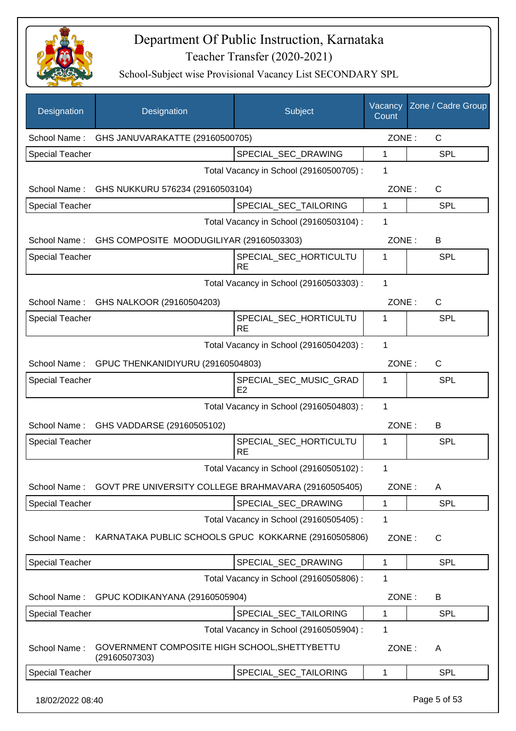

| Designation            | Designation                                                    | Subject                                  | Vacancy<br>Count | Zone / Cadre Group |
|------------------------|----------------------------------------------------------------|------------------------------------------|------------------|--------------------|
| School Name:           | GHS JANUVARAKATTE (29160500705)                                |                                          | ZONE:            | C                  |
| <b>Special Teacher</b> |                                                                | SPECIAL_SEC_DRAWING                      | 1                | <b>SPL</b>         |
|                        |                                                                | Total Vacancy in School (29160500705) :  | 1                |                    |
| School Name:           | GHS NUKKURU 576234 (29160503104)                               |                                          | ZONE:            | C                  |
| <b>Special Teacher</b> |                                                                | SPECIAL_SEC_TAILORING                    | 1                | <b>SPL</b>         |
|                        |                                                                | Total Vacancy in School (29160503104) :  | 1                |                    |
|                        | School Name: GHS COMPOSITE MOODUGILIYAR (29160503303)          |                                          | ZONE:            | B                  |
| <b>Special Teacher</b> |                                                                | SPECIAL_SEC_HORTICULTU<br><b>RE</b>      | 1                | SPL                |
|                        |                                                                | Total Vacancy in School (29160503303) :  | 1                |                    |
|                        | School Name: GHS NALKOOR (29160504203)                         |                                          | ZONE:            | $\mathsf{C}$       |
| <b>Special Teacher</b> |                                                                | SPECIAL_SEC_HORTICULTU<br><b>RE</b>      | 1                | SPL                |
|                        |                                                                | Total Vacancy in School (29160504203) :  | 1                |                    |
|                        | School Name: GPUC THENKANIDIYURU (29160504803)                 |                                          | ZONE:            | C                  |
| Special Teacher        |                                                                | SPECIAL_SEC_MUSIC_GRAD<br>E <sub>2</sub> | 1                | SPL                |
|                        |                                                                | Total Vacancy in School (29160504803) :  | 1                |                    |
|                        | School Name: GHS VADDARSE (29160505102)                        |                                          | ZONE:            | B                  |
| Special Teacher        |                                                                | SPECIAL_SEC_HORTICULTU<br><b>RE</b>      | 1                | SPL                |
|                        |                                                                | Total Vacancy in School (29160505102) :  | 1                |                    |
| School Name:           | GOVT PRE UNIVERSITY COLLEGE BRAHMAVARA (29160505405)           |                                          | ZONE:            | A                  |
| Special Teacher        |                                                                | SPECIAL SEC DRAWING                      | 1                | SPL                |
|                        |                                                                | Total Vacancy in School (29160505405) :  | 1                |                    |
| School Name:           | KARNATAKA PUBLIC SCHOOLS GPUC KOKKARNE (29160505806)           |                                          | ZONE:            | C                  |
| <b>Special Teacher</b> |                                                                | SPECIAL_SEC_DRAWING                      | $\mathbf{1}$     | <b>SPL</b>         |
|                        |                                                                | Total Vacancy in School (29160505806) :  | 1                |                    |
| School Name:           | GPUC KODIKANYANA (29160505904)                                 |                                          | ZONE:            | В                  |
| <b>Special Teacher</b> |                                                                | SPECIAL_SEC_TAILORING                    | 1                | SPL                |
|                        |                                                                | Total Vacancy in School (29160505904) :  | 1                |                    |
| School Name:           | GOVERNMENT COMPOSITE HIGH SCHOOL, SHETTYBETTU<br>(29160507303) |                                          | ZONE:            | A                  |
| <b>Special Teacher</b> |                                                                | SPECIAL_SEC_TAILORING                    | 1                | <b>SPL</b>         |
| 18/02/2022 08:40       |                                                                |                                          |                  | Page 5 of 53       |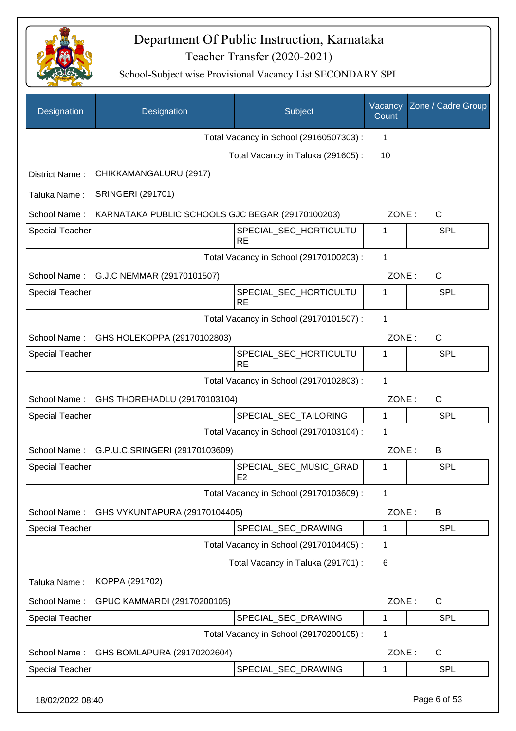

| Designation            | Designation                                      | Subject                                 | Vacancy<br>Count | Zone / Cadre Group |
|------------------------|--------------------------------------------------|-----------------------------------------|------------------|--------------------|
|                        |                                                  | Total Vacancy in School (29160507303) : | 1                |                    |
|                        |                                                  | Total Vacancy in Taluka (291605):       | 10               |                    |
| District Name:         | CHIKKAMANGALURU (2917)                           |                                         |                  |                    |
| Taluka Name:           | <b>SRINGERI (291701)</b>                         |                                         |                  |                    |
| School Name:           | KARNATAKA PUBLIC SCHOOLS GJC BEGAR (29170100203) |                                         | ZONE:            | C                  |
| <b>Special Teacher</b> |                                                  | SPECIAL_SEC_HORTICULTU<br><b>RE</b>     | 1                | <b>SPL</b>         |
|                        |                                                  | Total Vacancy in School (29170100203) : | 1                |                    |
| School Name:           | G.J.C NEMMAR (29170101507)                       |                                         | ZONE:            | $\mathsf{C}$       |
| <b>Special Teacher</b> |                                                  | SPECIAL_SEC_HORTICULTU<br><b>RE</b>     | 1                | SPL                |
|                        |                                                  | Total Vacancy in School (29170101507) : | 1                |                    |
| School Name:           | GHS HOLEKOPPA (29170102803)                      |                                         | ZONE:            | $\mathsf{C}$       |
| <b>Special Teacher</b> |                                                  | SPECIAL_SEC_HORTICULTU<br><b>RE</b>     | 1                | <b>SPL</b>         |
|                        |                                                  | Total Vacancy in School (29170102803) : | 1                |                    |
| School Name:           | GHS THOREHADLU (29170103104)                     |                                         | ZONE:            | C                  |
| <b>Special Teacher</b> |                                                  | SPECIAL_SEC_TAILORING                   | 1                | <b>SPL</b>         |
|                        |                                                  | Total Vacancy in School (29170103104) : | 1                |                    |
| School Name:           | G.P.U.C.SRINGERI (29170103609)                   |                                         | ZONE:            | B                  |
| <b>Special Teacher</b> |                                                  | SPECIAL_SEC_MUSIC_GRAD<br>E2            | 1                | SPL                |
|                        |                                                  | Total Vacancy in School (29170103609) : | 1                |                    |
| School Name:           | GHS VYKUNTAPURA (29170104405)                    |                                         | ZONE:            | B                  |
| Special Teacher        |                                                  | SPECIAL_SEC_DRAWING                     | 1                | <b>SPL</b>         |
|                        |                                                  | Total Vacancy in School (29170104405) : | 1                |                    |
|                        |                                                  | Total Vacancy in Taluka (291701) :      | 6                |                    |
| Taluka Name:           | KOPPA (291702)                                   |                                         |                  |                    |
| School Name:           | GPUC KAMMARDI (29170200105)                      |                                         | ZONE:            | C                  |
| Special Teacher        |                                                  | SPECIAL_SEC_DRAWING                     | 1                | SPL                |
|                        |                                                  | Total Vacancy in School (29170200105) : | 1                |                    |
| School Name:           | GHS BOMLAPURA (29170202604)                      |                                         | ZONE:            | C                  |
| <b>Special Teacher</b> |                                                  | SPECIAL_SEC_DRAWING                     | 1                | <b>SPL</b>         |
| 18/02/2022 08:40       |                                                  |                                         |                  | Page 6 of 53       |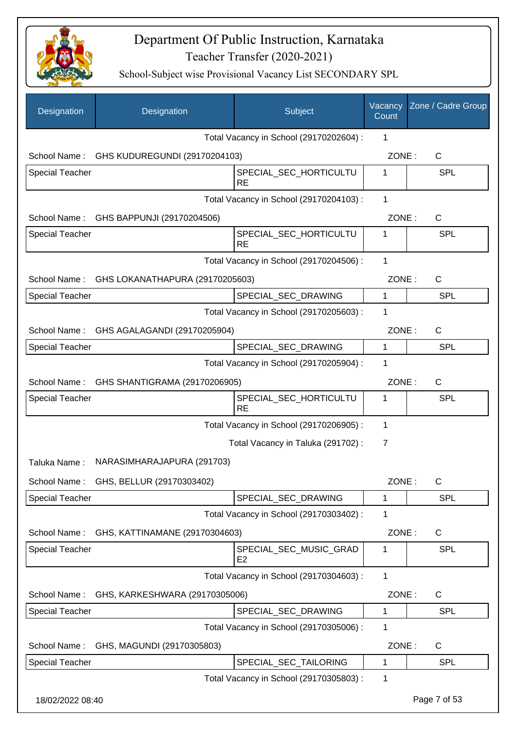

| Designation            | Designation                                  | Subject                                  | Vacancy<br>Count | Zone / Cadre Group |
|------------------------|----------------------------------------------|------------------------------------------|------------------|--------------------|
|                        |                                              | Total Vacancy in School (29170202604) :  | 1                |                    |
|                        | School Name: GHS KUDUREGUNDI (29170204103)   |                                          | ZONE:            | $\mathsf{C}$       |
| <b>Special Teacher</b> |                                              | SPECIAL_SEC_HORTICULTU<br><b>RE</b>      | 1                | SPL                |
|                        |                                              | Total Vacancy in School (29170204103) :  | 1                |                    |
|                        | School Name: GHS BAPPUNJI (29170204506)      |                                          | ZONE:            | $\mathsf{C}$       |
| <b>Special Teacher</b> |                                              | SPECIAL_SEC_HORTICULTU<br><b>RE</b>      | 1                | SPL                |
|                        |                                              | Total Vacancy in School (29170204506) :  | 1                |                    |
|                        | School Name: GHS LOKANATHAPURA (29170205603) |                                          | ZONE:            | C                  |
| <b>Special Teacher</b> |                                              | SPECIAL_SEC_DRAWING                      | $\mathbf 1$      | SPL                |
|                        |                                              | Total Vacancy in School (29170205603) :  | 1                |                    |
| School Name:           | GHS AGALAGANDI (29170205904)                 |                                          | ZONE:            | C                  |
| <b>Special Teacher</b> |                                              | SPECIAL_SEC_DRAWING                      | 1                | SPL                |
|                        |                                              | Total Vacancy in School (29170205904) :  | 1                |                    |
|                        | School Name: GHS SHANTIGRAMA (29170206905)   |                                          | ZONE:            | C                  |
| <b>Special Teacher</b> |                                              | SPECIAL_SEC_HORTICULTU<br><b>RE</b>      | 1                | <b>SPL</b>         |
|                        |                                              | Total Vacancy in School (29170206905) :  | 1                |                    |
|                        |                                              | Total Vacancy in Taluka (291702):        | 7                |                    |
| Taluka Name:           | NARASIMHARAJAPURA (291703)                   |                                          |                  |                    |
| School Name:           | GHS, BELLUR (29170303402)                    |                                          | ZONE:            | C                  |
| <b>Special Teacher</b> |                                              | SPECIAL_SEC_DRAWING                      | 1                | SPL                |
|                        |                                              | Total Vacancy in School (29170303402) :  | 1                |                    |
| School Name:           | GHS, KATTINAMANE (29170304603)               |                                          | ZONE:            | C                  |
| Special Teacher        |                                              | SPECIAL SEC MUSIC GRAD<br>E <sub>2</sub> | 1                | SPL                |
|                        |                                              | Total Vacancy in School (29170304603) :  | 1                |                    |
| School Name:           | GHS, KARKESHWARA (29170305006)               |                                          | ZONE:            | C                  |
| <b>Special Teacher</b> |                                              | SPECIAL_SEC_DRAWING                      | 1                | <b>SPL</b>         |
|                        |                                              | Total Vacancy in School (29170305006) :  | 1                |                    |
| School Name:           | GHS, MAGUNDI (29170305803)                   |                                          | ZONE:            | C                  |
| <b>Special Teacher</b> |                                              | SPECIAL_SEC_TAILORING                    | 1                | <b>SPL</b>         |
|                        |                                              | Total Vacancy in School (29170305803) :  | 1                |                    |
| 18/02/2022 08:40       |                                              |                                          |                  | Page 7 of 53       |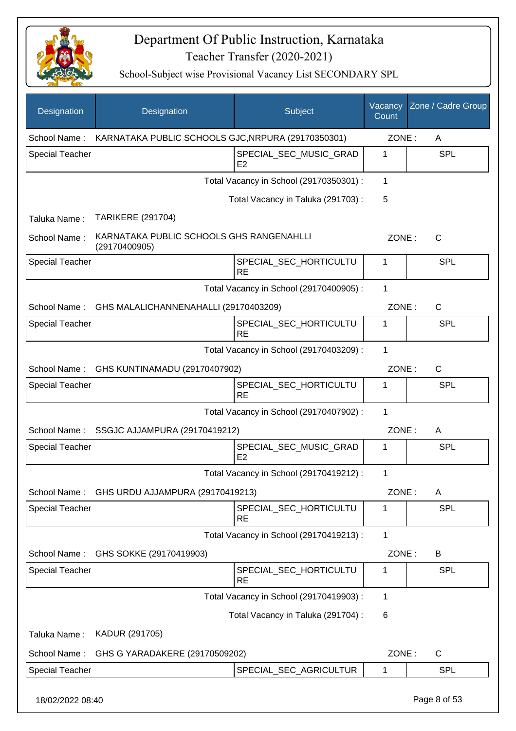

| Designation            | Designation                                               | Subject                                  | Vacancy<br>Count | Zone / Cadre Group |
|------------------------|-----------------------------------------------------------|------------------------------------------|------------------|--------------------|
| School Name:           | KARNATAKA PUBLIC SCHOOLS GJC, NRPURA (29170350301)        |                                          | ZONE:            | A                  |
| <b>Special Teacher</b> |                                                           | SPECIAL_SEC_MUSIC_GRAD<br>E <sub>2</sub> | 1                | <b>SPL</b>         |
|                        |                                                           | Total Vacancy in School (29170350301) :  | 1                |                    |
|                        |                                                           | Total Vacancy in Taluka (291703):        | 5                |                    |
| Taluka Name:           | <b>TARIKERE (291704)</b>                                  |                                          |                  |                    |
| School Name:           | KARNATAKA PUBLIC SCHOOLS GHS RANGENAHLLI<br>(29170400905) |                                          | ZONE:            | $\mathsf{C}$       |
| <b>Special Teacher</b> |                                                           | SPECIAL_SEC_HORTICULTU<br><b>RE</b>      | 1                | <b>SPL</b>         |
|                        |                                                           | Total Vacancy in School (29170400905) :  | $\mathbf{1}$     |                    |
| School Name:           | GHS MALALICHANNENAHALLI (29170403209)                     |                                          | ZONE:            | $\mathsf{C}$       |
| <b>Special Teacher</b> |                                                           | SPECIAL_SEC_HORTICULTU<br><b>RE</b>      | 1                | SPL                |
|                        |                                                           | Total Vacancy in School (29170403209) :  | $\mathbf{1}$     |                    |
| School Name:           | GHS KUNTINAMADU (29170407902)                             |                                          | ZONE:            | C                  |
| <b>Special Teacher</b> |                                                           | SPECIAL_SEC_HORTICULTU<br><b>RE</b>      | 1                | SPL                |
|                        |                                                           | Total Vacancy in School (29170407902) :  | $\mathbf 1$      |                    |
| School Name:           | SSGJC AJJAMPURA (29170419212)                             |                                          | ZONE:            | A                  |
| <b>Special Teacher</b> |                                                           | SPECIAL_SEC_MUSIC_GRAD<br>E2             | 1                | SPL                |
|                        |                                                           | Total Vacancy in School (29170419212) :  | 1                |                    |
| School Name:           | GHS URDU AJJAMPURA (29170419213)                          |                                          | ZONE:            | A                  |
| Special Teacher        |                                                           | SPECIAL_SEC_HORTICULTU<br><b>RE</b>      | 1                | <b>SPL</b>         |
|                        |                                                           | Total Vacancy in School (29170419213) :  | 1                |                    |
| School Name:           | GHS SOKKE (29170419903)                                   |                                          | ZONE:            | B                  |
| <b>Special Teacher</b> |                                                           | SPECIAL_SEC_HORTICULTU<br><b>RE</b>      | 1                | <b>SPL</b>         |
|                        |                                                           | Total Vacancy in School (29170419903) :  | 1                |                    |
|                        |                                                           | Total Vacancy in Taluka (291704) :       | 6                |                    |
| Taluka Name:           | KADUR (291705)                                            |                                          |                  |                    |
| School Name:           | GHS G YARADAKERE (29170509202)                            |                                          | ZONE:            | C                  |
| Special Teacher        |                                                           | SPECIAL_SEC_AGRICULTUR                   | 1                | <b>SPL</b>         |
| 18/02/2022 08:40       |                                                           |                                          |                  | Page 8 of 53       |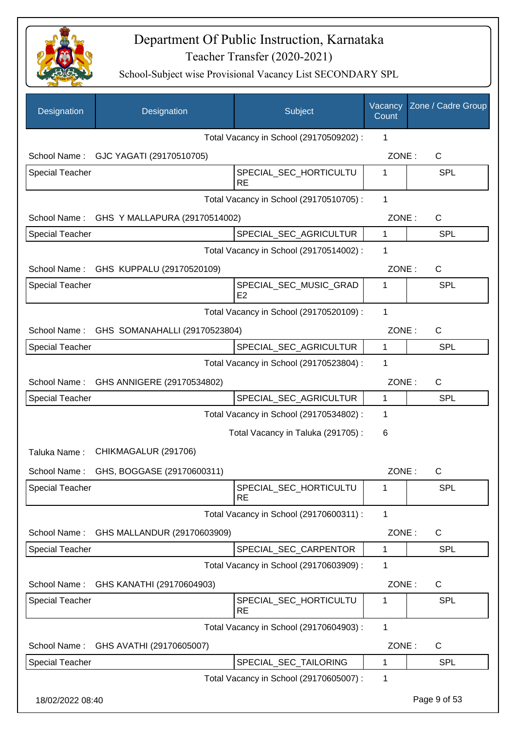

| Designation            | Designation                            | Subject                                  | Vacancy<br>Count | Zone / Cadre Group |
|------------------------|----------------------------------------|------------------------------------------|------------------|--------------------|
|                        |                                        | Total Vacancy in School (29170509202) :  | 1                |                    |
|                        | School Name: GJC YAGATI (29170510705)  |                                          | ZONE:            | $\mathsf{C}$       |
| Special Teacher        |                                        | SPECIAL_SEC_HORTICULTU<br><b>RE</b>      | 1                | <b>SPL</b>         |
|                        |                                        | Total Vacancy in School (29170510705) :  | 1                |                    |
| School Name:           | GHS Y MALLAPURA (29170514002)          |                                          | ZONE:            | C                  |
| <b>Special Teacher</b> |                                        | SPECIAL_SEC_AGRICULTUR                   | $\mathbf{1}$     | <b>SPL</b>         |
|                        |                                        | Total Vacancy in School (29170514002) :  | 1                |                    |
|                        | School Name: GHS KUPPALU (29170520109) |                                          | ZONE:            | C                  |
| <b>Special Teacher</b> |                                        | SPECIAL_SEC_MUSIC_GRAD<br>E <sub>2</sub> | 1                | <b>SPL</b>         |
|                        |                                        | Total Vacancy in School (29170520109) :  | 1                |                    |
| School Name:           | GHS SOMANAHALLI (29170523804)          |                                          | ZONE:            | $\mathsf{C}$       |
| <b>Special Teacher</b> |                                        | SPECIAL_SEC_AGRICULTUR                   | $\mathbf{1}$     | <b>SPL</b>         |
|                        |                                        | Total Vacancy in School (29170523804) :  | 1                |                    |
| School Name:           | GHS ANNIGERE (29170534802)             |                                          | ZONE:            | $\mathsf{C}$       |
| Special Teacher        |                                        | SPECIAL_SEC_AGRICULTUR                   | $\mathbf{1}$     | <b>SPL</b>         |
|                        |                                        | Total Vacancy in School (29170534802) :  | 1                |                    |
|                        |                                        | Total Vacancy in Taluka (291705):        | 6                |                    |
| Taluka Name:           | CHIKMAGALUR (291706)                   |                                          |                  |                    |
| School Name:           | GHS, BOGGASE (29170600311)             |                                          | ZONE:            | С                  |
| Special Teacher        |                                        | SPECIAL_SEC_HORTICULTU<br><b>RE</b>      | 1                | <b>SPL</b>         |
|                        |                                        | Total Vacancy in School (29170600311) :  | 1                |                    |
| School Name:           | GHS MALLANDUR (29170603909)            |                                          | ZONE:            | C                  |
| Special Teacher        |                                        | SPECIAL_SEC_CARPENTOR                    | 1                | SPL                |
|                        |                                        | Total Vacancy in School (29170603909) :  | 1                |                    |
| School Name:           | GHS KANATHI (29170604903)              |                                          | ZONE:            | C                  |
| Special Teacher        |                                        | SPECIAL_SEC_HORTICULTU<br><b>RE</b>      | 1                | <b>SPL</b>         |
|                        |                                        | Total Vacancy in School (29170604903) :  | 1                |                    |
| School Name:           | GHS AVATHI (29170605007)               |                                          | ZONE:            | $\mathsf{C}$       |
| <b>Special Teacher</b> |                                        | SPECIAL_SEC_TAILORING                    | 1                | <b>SPL</b>         |
|                        |                                        | Total Vacancy in School (29170605007) :  | 1                |                    |
| 18/02/2022 08:40       |                                        |                                          |                  | Page 9 of 53       |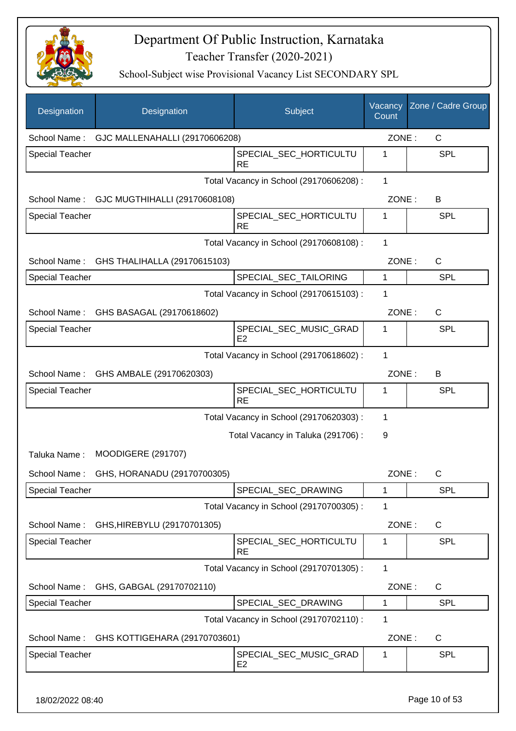

| Designation            | Designation                    | Subject                                  | Vacancy<br>Count | Zone / Cadre Group |
|------------------------|--------------------------------|------------------------------------------|------------------|--------------------|
| School Name:           | GJC MALLENAHALLI (29170606208) |                                          | ZONE:            | C                  |
| <b>Special Teacher</b> |                                | SPECIAL_SEC_HORTICULTU<br><b>RE</b>      | 1                | <b>SPL</b>         |
|                        |                                | Total Vacancy in School (29170606208) :  | $\mathbf{1}$     |                    |
| School Name:           | GJC MUGTHIHALLI (29170608108)  |                                          | ZONE:            | B                  |
| <b>Special Teacher</b> |                                | SPECIAL_SEC_HORTICULTU<br><b>RE</b>      | 1                | <b>SPL</b>         |
|                        |                                | Total Vacancy in School (29170608108) :  | 1                |                    |
| School Name:           | GHS THALIHALLA (29170615103)   |                                          | ZONE:            | $\mathsf C$        |
| <b>Special Teacher</b> |                                | SPECIAL_SEC_TAILORING                    | 1                | <b>SPL</b>         |
|                        |                                | Total Vacancy in School (29170615103) :  | 1                |                    |
| School Name:           | GHS BASAGAL (29170618602)      |                                          | ZONE:            | $\mathsf{C}$       |
| <b>Special Teacher</b> |                                | SPECIAL_SEC_MUSIC_GRAD<br>E2             | 1                | SPL                |
|                        |                                | Total Vacancy in School (29170618602):   | 1                |                    |
| School Name:           | GHS AMBALE (29170620303)       |                                          | ZONE:            | B                  |
| <b>Special Teacher</b> |                                | SPECIAL_SEC_HORTICULTU<br><b>RE</b>      | 1                | SPL                |
|                        |                                | Total Vacancy in School (29170620303) :  | 1                |                    |
|                        |                                | Total Vacancy in Taluka (291706):        | 9                |                    |
| Taluka Name:           | <b>MOODIGERE (291707)</b>      |                                          |                  |                    |
| School Name:           | GHS, HORANADU (29170700305)    |                                          | ZONE:            | С                  |
| <b>Special Teacher</b> |                                | SPECIAL_SEC_DRAWING                      | 1                | <b>SPL</b>         |
|                        |                                | Total Vacancy in School (29170700305) :  | 1                |                    |
| School Name:           | GHS, HIREBYLU (29170701305)    |                                          | ZONE:            | $\mathsf{C}$       |
| <b>Special Teacher</b> |                                | SPECIAL_SEC_HORTICULTU<br><b>RE</b>      | 1                | <b>SPL</b>         |
|                        |                                | Total Vacancy in School (29170701305) :  | $\mathbf{1}$     |                    |
| School Name:           | GHS, GABGAL (29170702110)      |                                          | ZONE:            | $\mathsf C$        |
| Special Teacher        |                                | SPECIAL_SEC_DRAWING                      | 1                | <b>SPL</b>         |
|                        |                                | Total Vacancy in School (29170702110) :  | 1                |                    |
| School Name:           | GHS KOTTIGEHARA (29170703601)  |                                          | ZONE:            | C                  |
| <b>Special Teacher</b> |                                | SPECIAL_SEC_MUSIC_GRAD<br>E <sub>2</sub> | 1                | <b>SPL</b>         |
| 18/02/2022 08:40       |                                |                                          |                  | Page 10 of 53      |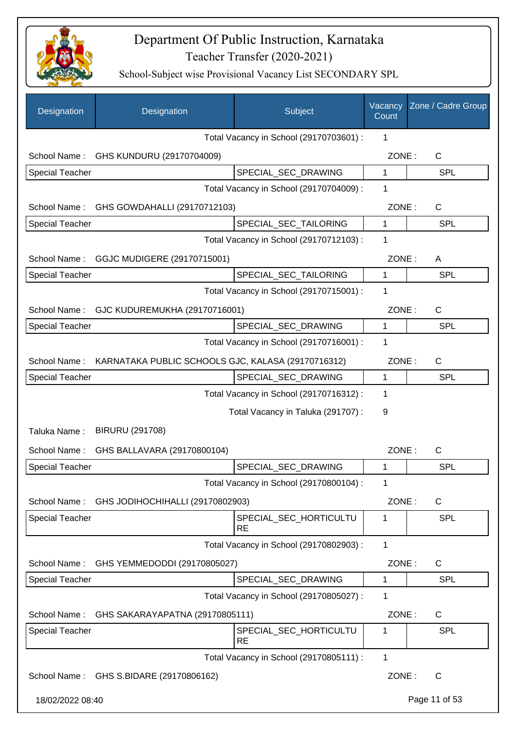

| Designation            | Designation                                        | Subject                                 | Vacancy<br>Count | Zone / Cadre Group |
|------------------------|----------------------------------------------------|-----------------------------------------|------------------|--------------------|
|                        |                                                    | Total Vacancy in School (29170703601) : | 1                |                    |
|                        | School Name: GHS KUNDURU (29170704009)             |                                         | ZONE:            | C                  |
| <b>Special Teacher</b> |                                                    | SPECIAL_SEC_DRAWING                     | 1                | <b>SPL</b>         |
|                        |                                                    | Total Vacancy in School (29170704009) : | 1                |                    |
|                        | School Name: GHS GOWDAHALLI (29170712103)          |                                         | ZONE:            | $\mathsf C$        |
| <b>Special Teacher</b> |                                                    | SPECIAL_SEC_TAILORING                   | 1                | SPL                |
|                        |                                                    | Total Vacancy in School (29170712103) : | 1                |                    |
|                        | School Name: GGJC MUDIGERE (29170715001)           |                                         | ZONE:            | A                  |
| Special Teacher        |                                                    | SPECIAL_SEC_TAILORING                   | 1                | <b>SPL</b>         |
|                        |                                                    | Total Vacancy in School (29170715001) : | 1                |                    |
|                        | School Name: GJC KUDUREMUKHA (29170716001)         |                                         | ZONE:            | C                  |
| Special Teacher        |                                                    | SPECIAL_SEC_DRAWING                     | 1                | SPL                |
|                        |                                                    | Total Vacancy in School (29170716001) : | 1                |                    |
| School Name:           | KARNATAKA PUBLIC SCHOOLS GJC, KALASA (29170716312) |                                         | ZONE:            | C                  |
| <b>Special Teacher</b> |                                                    | SPECIAL_SEC_DRAWING                     | 1                | <b>SPL</b>         |
|                        |                                                    | Total Vacancy in School (29170716312) : | 1                |                    |
|                        |                                                    | Total Vacancy in Taluka (291707) :      | 9                |                    |
| Taluka Name:           | BIRURU (291708)                                    |                                         |                  |                    |
| School Name:           | GHS BALLAVARA (29170800104)                        |                                         | ZONE:            | C                  |
| <b>Special Teacher</b> |                                                    | SPECIAL_SEC_DRAWING                     | 1                | <b>SPL</b>         |
|                        |                                                    | Total Vacancy in School (29170800104) : | 1                |                    |
| School Name:           | GHS JODIHOCHIHALLI (29170802903)                   |                                         | ZONE:            | C                  |
| <b>Special Teacher</b> |                                                    | SPECIAL_SEC_HORTICULTU<br><b>RE</b>     | 1                | <b>SPL</b>         |
|                        |                                                    | Total Vacancy in School (29170802903) : | 1                |                    |
| School Name:           | GHS YEMMEDODDI (29170805027)                       |                                         | ZONE:            | $\mathsf{C}$       |
| <b>Special Teacher</b> |                                                    | SPECIAL SEC DRAWING                     | 1                | <b>SPL</b>         |
|                        |                                                    | Total Vacancy in School (29170805027) : | 1                |                    |
| School Name:           | GHS SAKARAYAPATNA (29170805111)                    |                                         | ZONE:            | $\mathsf{C}$       |
| <b>Special Teacher</b> |                                                    | SPECIAL_SEC_HORTICULTU<br><b>RE</b>     | 1                | <b>SPL</b>         |
|                        |                                                    | Total Vacancy in School (29170805111) : | $\mathbf{1}$     |                    |
|                        | School Name: GHS S.BIDARE (29170806162)            |                                         | ZONE:            | $\mathsf{C}$       |
| 18/02/2022 08:40       |                                                    |                                         |                  | Page 11 of 53      |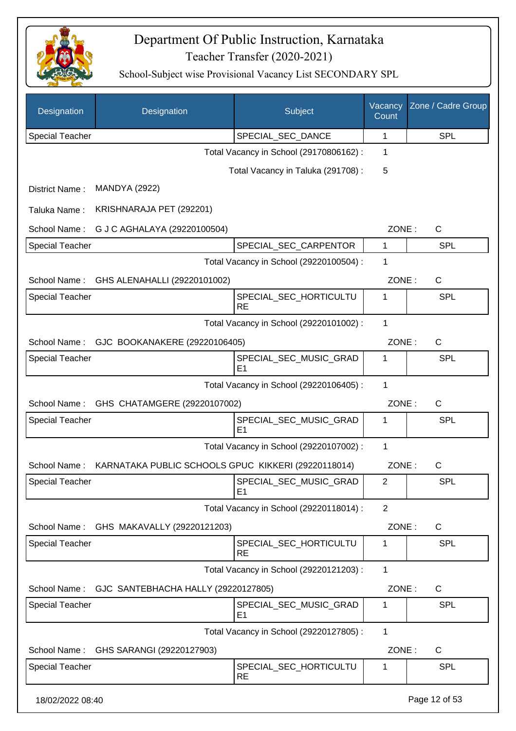

| Designation            | Designation                                         | Subject                                  | Vacancy<br>Count | Zone / Cadre Group |
|------------------------|-----------------------------------------------------|------------------------------------------|------------------|--------------------|
| <b>Special Teacher</b> |                                                     | SPECIAL_SEC_DANCE                        | 1                | <b>SPL</b>         |
|                        |                                                     | Total Vacancy in School (29170806162) :  | 1                |                    |
|                        |                                                     | Total Vacancy in Taluka (291708):        | 5                |                    |
| District Name:         | <b>MANDYA (2922)</b>                                |                                          |                  |                    |
| Taluka Name:           | KRISHNARAJA PET (292201)                            |                                          |                  |                    |
| School Name:           | G J C AGHALAYA (29220100504)                        |                                          | ZONE:            | C                  |
| Special Teacher        |                                                     | SPECIAL_SEC_CARPENTOR                    | 1                | <b>SPL</b>         |
|                        |                                                     | Total Vacancy in School (29220100504) :  | 1                |                    |
| School Name:           | GHS ALENAHALLI (29220101002)                        |                                          | ZONE:            | C                  |
| <b>Special Teacher</b> |                                                     | SPECIAL_SEC_HORTICULTU<br><b>RE</b>      | 1                | SPL                |
|                        |                                                     | Total Vacancy in School (29220101002) :  | 1                |                    |
| School Name:           | GJC BOOKANAKERE (29220106405)                       |                                          | ZONE:            | $\mathsf{C}$       |
| <b>Special Teacher</b> |                                                     | SPECIAL_SEC_MUSIC_GRAD<br>E1             | 1                | <b>SPL</b>         |
|                        |                                                     | Total Vacancy in School (29220106405) :  | 1                |                    |
| School Name:           | GHS CHATAMGERE (29220107002)                        |                                          | ZONE:            | C                  |
| <b>Special Teacher</b> |                                                     | SPECIAL_SEC_MUSIC_GRAD<br>E1             | 1                | <b>SPL</b>         |
|                        |                                                     | Total Vacancy in School (29220107002) :  | 1                |                    |
| School Name:           | KARNATAKA PUBLIC SCHOOLS GPUC KIKKERI (29220118014) |                                          | ZONE:            | C                  |
| Special Teacher        |                                                     | SPECIAL_SEC_MUSIC_GRAD<br>E1             | $\sqrt{2}$       | <b>SPL</b>         |
|                        |                                                     | Total Vacancy in School (29220118014) :  | $\overline{2}$   |                    |
| School Name:           | GHS MAKAVALLY (29220121203)                         |                                          | ZONE:            | $\mathsf{C}$       |
| <b>Special Teacher</b> |                                                     | SPECIAL_SEC_HORTICULTU<br><b>RE</b>      | 1                | <b>SPL</b>         |
|                        |                                                     | Total Vacancy in School (29220121203) :  | 1                |                    |
| School Name:           | GJC SANTEBHACHA HALLY (29220127805)                 |                                          | ZONE:            | C                  |
| <b>Special Teacher</b> |                                                     | SPECIAL_SEC_MUSIC_GRAD<br>E <sub>1</sub> | 1                | <b>SPL</b>         |
|                        |                                                     | Total Vacancy in School (29220127805) :  | 1                |                    |
| School Name:           | GHS SARANGI (29220127903)                           |                                          | ZONE:            | $\mathsf{C}$       |
| <b>Special Teacher</b> |                                                     | SPECIAL_SEC_HORTICULTU<br><b>RE</b>      | 1                | <b>SPL</b>         |
| 18/02/2022 08:40       |                                                     |                                          |                  | Page 12 of 53      |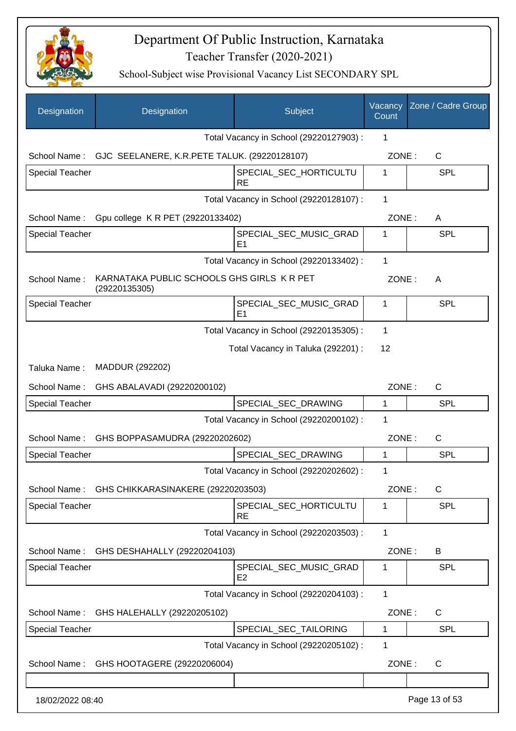

| Designation            | Designation                                                 | Subject                                  | Vacancy<br>Count | Zone / Cadre Group |
|------------------------|-------------------------------------------------------------|------------------------------------------|------------------|--------------------|
|                        |                                                             | Total Vacancy in School (29220127903) :  | 1                |                    |
|                        | School Name: GJC SEELANERE, K.R.PETE TALUK. (29220128107)   |                                          | ZONE:            | C                  |
| <b>Special Teacher</b> |                                                             | SPECIAL_SEC_HORTICULTU<br><b>RE</b>      | 1                | <b>SPL</b>         |
|                        |                                                             | Total Vacancy in School (29220128107) :  | 1                |                    |
| School Name:           | Gpu college K R PET (29220133402)                           |                                          | ZONE:            | A                  |
| <b>Special Teacher</b> |                                                             | SPECIAL_SEC_MUSIC_GRAD<br>E <sub>1</sub> | 1                | <b>SPL</b>         |
|                        |                                                             | Total Vacancy in School (29220133402) :  | $\mathbf{1}$     |                    |
| School Name:           | KARNATAKA PUBLIC SCHOOLS GHS GIRLS K R PET<br>(29220135305) |                                          | ZONE:            | A                  |
| <b>Special Teacher</b> |                                                             | SPECIAL SEC MUSIC GRAD<br>E <sub>1</sub> | 1                | <b>SPL</b>         |
|                        |                                                             | Total Vacancy in School (29220135305) :  | 1                |                    |
|                        |                                                             | Total Vacancy in Taluka (292201) :       | 12               |                    |
| Taluka Name:           | MADDUR (292202)                                             |                                          |                  |                    |
| School Name:           | GHS ABALAVADI (29220200102)                                 |                                          | ZONE:            | C                  |
| <b>Special Teacher</b> |                                                             | SPECIAL_SEC_DRAWING                      | 1                | SPL                |
|                        |                                                             | Total Vacancy in School (29220200102) :  | 1                |                    |
| School Name:           | GHS BOPPASAMUDRA (29220202602)                              |                                          | ZONE:            | $\mathsf{C}$       |
| <b>Special Teacher</b> |                                                             | SPECIAL SEC DRAWING                      | 1                | <b>SPL</b>         |
|                        |                                                             | Total Vacancy in School (29220202602) :  | 1                |                    |
| School Name:           | GHS CHIKKARASINAKERE (29220203503)                          |                                          | ZONE:            | $\mathsf C$        |
| <b>Special Teacher</b> |                                                             | SPECIAL_SEC_HORTICULTU<br><b>RE</b>      | 1                | <b>SPL</b>         |
|                        |                                                             | Total Vacancy in School (29220203503) :  | $\mathbf{1}$     |                    |
| School Name:           | GHS DESHAHALLY (29220204103)                                |                                          | ZONE:            | B                  |
| <b>Special Teacher</b> |                                                             | SPECIAL_SEC_MUSIC_GRAD<br>E <sub>2</sub> | 1                | <b>SPL</b>         |
|                        |                                                             | Total Vacancy in School (29220204103) :  | $\mathbf{1}$     |                    |
| School Name:           | GHS HALEHALLY (29220205102)                                 |                                          | ZONE:            | C                  |
| <b>Special Teacher</b> |                                                             | SPECIAL_SEC_TAILORING                    | 1                | <b>SPL</b>         |
|                        |                                                             | Total Vacancy in School (29220205102) :  | 1                |                    |
| School Name:           | GHS HOOTAGERE (29220206004)                                 |                                          | ZONE:            | $\mathsf C$        |
|                        |                                                             |                                          |                  |                    |
| 18/02/2022 08:40       |                                                             |                                          |                  | Page 13 of 53      |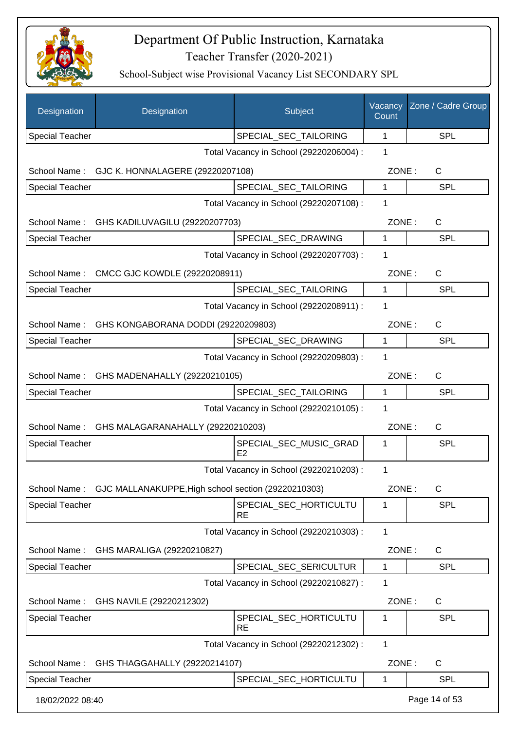

| Designation            | Designation                                         | Subject                                  | Vacancy<br>Count | Zone / Cadre Group |
|------------------------|-----------------------------------------------------|------------------------------------------|------------------|--------------------|
| <b>Special Teacher</b> |                                                     | SPECIAL_SEC_TAILORING                    | $\mathbf{1}$     | SPL                |
|                        |                                                     | Total Vacancy in School (29220206004) :  | 1                |                    |
|                        | School Name: GJC K. HONNALAGERE (29220207108)       |                                          | ZONE:            | C                  |
| <b>Special Teacher</b> |                                                     | SPECIAL_SEC_TAILORING                    | 1                | <b>SPL</b>         |
|                        |                                                     | Total Vacancy in School (29220207108) :  | 1                |                    |
| School Name:           | GHS KADILUVAGILU (29220207703)                      |                                          | ZONE:            | C                  |
| <b>Special Teacher</b> |                                                     | SPECIAL_SEC_DRAWING                      | 1                | <b>SPL</b>         |
|                        |                                                     | Total Vacancy in School (29220207703) :  | 1                |                    |
| School Name:           | CMCC GJC KOWDLE (29220208911)                       |                                          | ZONE:            | C                  |
| <b>Special Teacher</b> |                                                     | SPECIAL_SEC_TAILORING                    | $\mathbf{1}$     | <b>SPL</b>         |
|                        |                                                     | Total Vacancy in School (29220208911) :  | 1                |                    |
|                        | School Name: GHS KONGABORANA DODDI (29220209803)    |                                          | ZONE:            | $\mathsf{C}$       |
| <b>Special Teacher</b> |                                                     | SPECIAL_SEC_DRAWING                      | 1                | <b>SPL</b>         |
|                        |                                                     | Total Vacancy in School (29220209803) :  | 1                |                    |
|                        | School Name: GHS MADENAHALLY (29220210105)          |                                          | ZONE:            | C                  |
| <b>Special Teacher</b> |                                                     | SPECIAL_SEC_TAILORING                    | 1                | <b>SPL</b>         |
|                        |                                                     | Total Vacancy in School (29220210105) :  | 1                |                    |
| School Name:           | GHS MALAGARANAHALLY (29220210203)                   |                                          | ZONE:            | C                  |
| <b>Special Teacher</b> |                                                     | SPECIAL_SEC_MUSIC_GRAD<br>E <sub>2</sub> | 1                | SPL                |
|                        |                                                     | Total Vacancy in School (29220210203) :  | $\mathbf 1$      |                    |
| School Name:           | GJC MALLANAKUPPE, High school section (29220210303) |                                          | ZONE:            | $\mathsf C$        |
| Special Teacher        |                                                     | SPECIAL_SEC_HORTICULTU<br><b>RE</b>      | 1                | <b>SPL</b>         |
|                        |                                                     | Total Vacancy in School (29220210303) :  | 1                |                    |
| School Name:           | GHS MARALIGA (29220210827)                          |                                          | ZONE:            | C                  |
| <b>Special Teacher</b> |                                                     | SPECIAL_SEC_SERICULTUR                   | 1                | <b>SPL</b>         |
|                        |                                                     | Total Vacancy in School (29220210827) :  | 1                |                    |
| School Name:           | GHS NAVILE (29220212302)                            |                                          | ZONE:            | C                  |
| <b>Special Teacher</b> |                                                     | SPECIAL_SEC_HORTICULTU<br><b>RE</b>      | 1                | SPL                |
|                        |                                                     | Total Vacancy in School (29220212302) :  | 1                |                    |
| School Name:           | GHS THAGGAHALLY (29220214107)                       |                                          | ZONE:            | $\mathsf{C}$       |
| <b>Special Teacher</b> |                                                     | SPECIAL_SEC_HORTICULTU                   | 1                | <b>SPL</b>         |
| 18/02/2022 08:40       |                                                     |                                          |                  | Page 14 of 53      |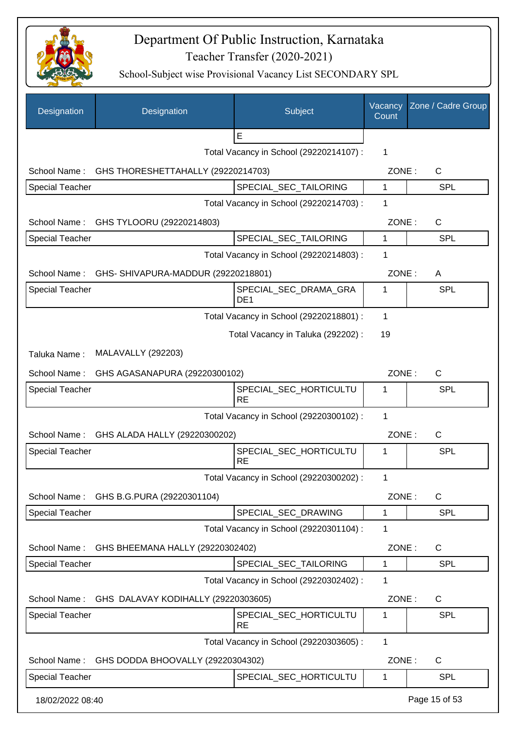

| Designation            | Designation                                | Subject                                  | Vacancy<br>Count | Zone / Cadre Group |
|------------------------|--------------------------------------------|------------------------------------------|------------------|--------------------|
|                        |                                            | E                                        |                  |                    |
|                        |                                            | Total Vacancy in School (29220214107) :  | 1                |                    |
| School Name:           | GHS THORESHETTAHALLY (29220214703)         |                                          | ZONE:            | $\mathsf{C}$       |
| <b>Special Teacher</b> |                                            | SPECIAL_SEC_TAILORING                    | 1                | <b>SPL</b>         |
|                        |                                            | Total Vacancy in School (29220214703) :  | 1                |                    |
| School Name:           | GHS TYLOORU (29220214803)                  |                                          | ZONE:            | C                  |
| <b>Special Teacher</b> |                                            | SPECIAL_SEC_TAILORING                    | 1                | <b>SPL</b>         |
|                        |                                            | Total Vacancy in School (29220214803) :  | 1                |                    |
| School Name:           | GHS- SHIVAPURA-MADDUR (29220218801)        |                                          | ZONE:            | A                  |
| <b>Special Teacher</b> |                                            | SPECIAL_SEC_DRAMA_GRA<br>DE <sub>1</sub> | 1                | SPL                |
|                        |                                            | Total Vacancy in School (29220218801) :  | 1                |                    |
|                        |                                            | Total Vacancy in Taluka (292202) :       | 19               |                    |
| Taluka Name:           | <b>MALAVALLY (292203)</b>                  |                                          |                  |                    |
| School Name:           | GHS AGASANAPURA (29220300102)              |                                          | ZONE:            | C                  |
| <b>Special Teacher</b> |                                            | SPECIAL_SEC_HORTICULTU                   | 1                | <b>SPL</b>         |
|                        |                                            | <b>RE</b>                                |                  |                    |
|                        |                                            | Total Vacancy in School (29220300102) :  | 1                |                    |
|                        | School Name: GHS ALADA HALLY (29220300202) |                                          | ZONE:            | $\mathsf{C}$       |
| <b>Special Teacher</b> |                                            | SPECIAL_SEC_HORTICULTU<br><b>RE</b>      | 1                | SPL                |
|                        |                                            | Total Vacancy in School (29220300202) :  | 1                |                    |
| School Name:           | GHS B.G.PURA (29220301104)                 |                                          | ZONE:            | $\mathsf C$        |
| <b>Special Teacher</b> |                                            | SPECIAL_SEC_DRAWING                      | 1                | <b>SPL</b>         |
|                        |                                            | Total Vacancy in School (29220301104) :  | 1                |                    |
| School Name:           | GHS BHEEMANA HALLY (29220302402)           |                                          | ZONE:            | C                  |
| <b>Special Teacher</b> |                                            | SPECIAL_SEC_TAILORING                    | 1                | <b>SPL</b>         |
|                        |                                            | Total Vacancy in School (29220302402) :  | 1                |                    |
| School Name:           | GHS DALAVAY KODIHALLY (29220303605)        |                                          | ZONE:            | C                  |
| <b>Special Teacher</b> |                                            | SPECIAL_SEC_HORTICULTU<br><b>RE</b>      | 1                | <b>SPL</b>         |
|                        |                                            | Total Vacancy in School (29220303605) :  | 1                |                    |
| School Name:           | GHS DODDA BHOOVALLY (29220304302)          |                                          | ZONE:            | $\mathsf C$        |
| <b>Special Teacher</b> |                                            | SPECIAL_SEC_HORTICULTU                   | 1                | <b>SPL</b>         |
| 18/02/2022 08:40       |                                            |                                          |                  | Page 15 of 53      |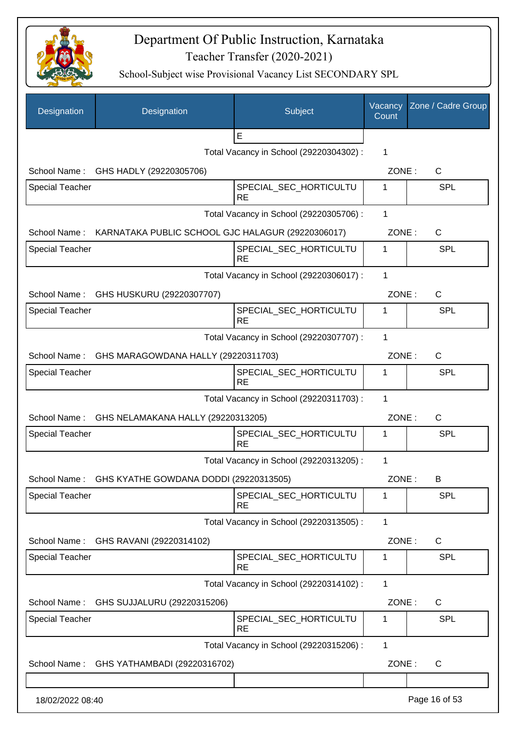

| Designation            | Designation                                         | Subject                                 | Vacancy<br>Count | Zone / Cadre Group |
|------------------------|-----------------------------------------------------|-----------------------------------------|------------------|--------------------|
|                        |                                                     | E                                       |                  |                    |
|                        |                                                     | Total Vacancy in School (29220304302) : | 1                |                    |
|                        | School Name: GHS HADLY (29220305706)                |                                         | ZONE:            | C                  |
| <b>Special Teacher</b> |                                                     | SPECIAL_SEC_HORTICULTU<br><b>RE</b>     | 1                | SPL                |
|                        |                                                     | Total Vacancy in School (29220305706) : | 1                |                    |
| School Name:           | KARNATAKA PUBLIC SCHOOL GJC HALAGUR (29220306017)   |                                         | ZONE:            | C                  |
| <b>Special Teacher</b> |                                                     | SPECIAL_SEC_HORTICULTU<br><b>RE</b>     | 1                | SPL                |
|                        |                                                     | Total Vacancy in School (29220306017) : | 1                |                    |
| School Name:           | GHS HUSKURU (29220307707)                           |                                         | ZONE:            | $\mathsf C$        |
| <b>Special Teacher</b> |                                                     | SPECIAL_SEC_HORTICULTU<br><b>RE</b>     | 1                | SPL                |
|                        |                                                     | Total Vacancy in School (29220307707) : | 1                |                    |
| School Name:           | GHS MARAGOWDANA HALLY (29220311703)                 |                                         | ZONE:            | C                  |
| <b>Special Teacher</b> |                                                     | SPECIAL_SEC_HORTICULTU<br><b>RE</b>     | 1                | <b>SPL</b>         |
|                        |                                                     | Total Vacancy in School (29220311703) : | 1                |                    |
|                        | School Name: GHS NELAMAKANA HALLY (29220313205)     |                                         | ZONE:            | $\mathsf{C}$       |
| Special Teacher        |                                                     | SPECIAL_SEC_HORTICULTU<br><b>RE</b>     | 1                | <b>SPL</b>         |
|                        |                                                     | Total Vacancy in School (29220313205) : | 1                |                    |
|                        | School Name: GHS KYATHE GOWDANA DODDI (29220313505) |                                         | ZONE:            | в                  |
| <b>Special Teacher</b> |                                                     | SPECIAL_SEC_HORTICULTU<br><b>RE</b>     | 1                | <b>SPL</b>         |
|                        |                                                     | Total Vacancy in School (29220313505) : | 1                |                    |
| School Name:           | GHS RAVANI (29220314102)                            |                                         | ZONE:            | C                  |
| <b>Special Teacher</b> |                                                     | SPECIAL_SEC_HORTICULTU<br><b>RE</b>     | 1                | <b>SPL</b>         |
|                        |                                                     | Total Vacancy in School (29220314102) : | 1                |                    |
| School Name:           | GHS SUJJALURU (29220315206)                         |                                         | ZONE:            | C                  |
| <b>Special Teacher</b> |                                                     | SPECIAL_SEC_HORTICULTU<br><b>RE</b>     | 1                | <b>SPL</b>         |
|                        |                                                     | Total Vacancy in School (29220315206) : | 1                |                    |
| School Name:           | GHS YATHAMBADI (29220316702)                        |                                         | ZONE:            | C                  |
| 18/02/2022 08:40       |                                                     |                                         |                  | Page 16 of 53      |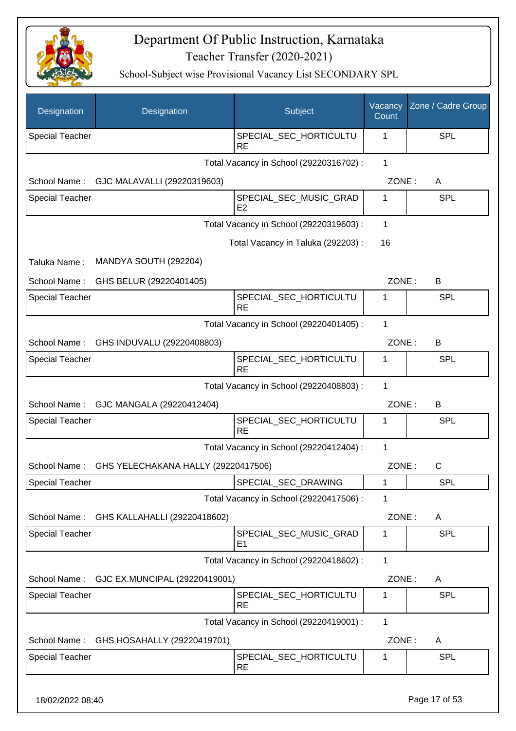

| Designation            | Designation                         | Subject                                  | Vacancy<br>Count | Zone / Cadre Group |
|------------------------|-------------------------------------|------------------------------------------|------------------|--------------------|
| <b>Special Teacher</b> |                                     | SPECIAL_SEC_HORTICULTU<br><b>RE</b>      | 1                | SPL                |
|                        |                                     | Total Vacancy in School (29220316702) :  | $\mathbf{1}$     |                    |
| School Name:           | GJC MALAVALLI (29220319603)         |                                          | ZONE:            | A                  |
| Special Teacher        |                                     | SPECIAL_SEC_MUSIC_GRAD<br>E <sub>2</sub> | 1                | SPL                |
|                        |                                     | Total Vacancy in School (29220319603) :  | 1                |                    |
|                        |                                     | Total Vacancy in Taluka (292203) :       | 16               |                    |
| Taluka Name:           | MANDYA SOUTH (292204)               |                                          |                  |                    |
| School Name:           | GHS BELUR (29220401405)             |                                          | ZONE:            | В                  |
| <b>Special Teacher</b> |                                     | SPECIAL_SEC_HORTICULTU<br><b>RE</b>      | 1                | SPL                |
|                        |                                     | Total Vacancy in School (29220401405) :  | 1                |                    |
| School Name:           | GHS INDUVALU (29220408803)          |                                          | ZONE:            | B                  |
| <b>Special Teacher</b> |                                     | SPECIAL_SEC_HORTICULTU<br><b>RE</b>      | 1                | SPL                |
|                        |                                     | Total Vacancy in School (29220408803) :  | 1                |                    |
| School Name:           | GJC MANGALA (29220412404)           |                                          | ZONE:            | B                  |
| Special Teacher        |                                     | SPECIAL_SEC_HORTICULTU<br><b>RE</b>      | 1                | <b>SPL</b>         |
|                        |                                     | Total Vacancy in School (29220412404) :  | 1                |                    |
| School Name:           | GHS YELECHAKANA HALLY (29220417506) |                                          | ZONE:            | $\mathsf{C}$       |
| <b>Special Teacher</b> |                                     | SPECIAL_SEC_DRAWING                      | 1                | SPL                |
|                        |                                     | Total Vacancy in School (29220417506) :  | 1                |                    |
| School Name:           | GHS KALLAHALLI (29220418602)        |                                          | ZONE:            | A                  |
| Special Teacher        |                                     | SPECIAL_SEC_MUSIC_GRAD<br>E <sub>1</sub> | 1                | <b>SPL</b>         |
|                        |                                     | Total Vacancy in School (29220418602) :  | 1                |                    |
| School Name:           | GJC EX.MUNCIPAL (29220419001)       |                                          | ZONE:            | A                  |
| <b>Special Teacher</b> |                                     | SPECIAL_SEC_HORTICULTU<br><b>RE</b>      | 1                | <b>SPL</b>         |
|                        |                                     | Total Vacancy in School (29220419001) :  | $\mathbf{1}$     |                    |
| School Name:           | GHS HOSAHALLY (29220419701)         |                                          | ZONE:            | A                  |
| Special Teacher        |                                     | SPECIAL_SEC_HORTICULTU<br><b>RE</b>      | 1                | <b>SPL</b>         |
| 18/02/2022 08:40       |                                     |                                          |                  | Page 17 of 53      |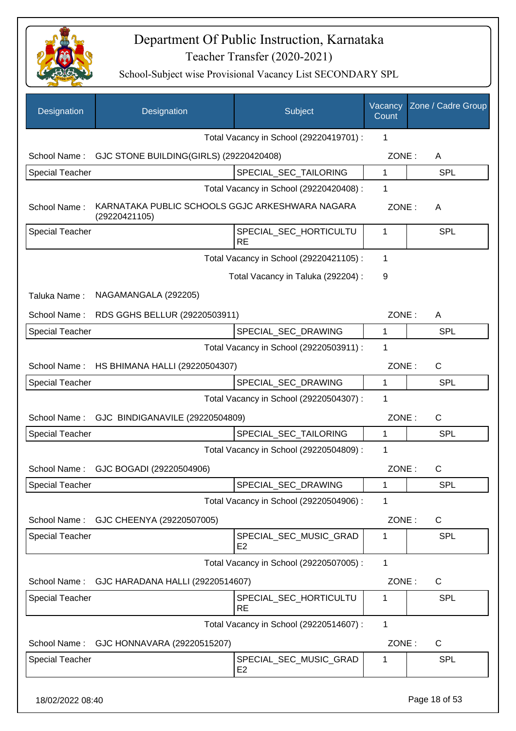

| Designation            | Designation                                                      | Subject                                  | Vacancy<br>Count | Zone / Cadre Group |
|------------------------|------------------------------------------------------------------|------------------------------------------|------------------|--------------------|
|                        |                                                                  | Total Vacancy in School (29220419701) :  | 1                |                    |
| School Name:           | GJC STONE BUILDING(GIRLS) (29220420408)                          |                                          | ZONE:            | A                  |
| <b>Special Teacher</b> |                                                                  | SPECIAL_SEC_TAILORING                    | 1                | <b>SPL</b>         |
|                        |                                                                  | Total Vacancy in School (29220420408) :  | 1                |                    |
| School Name:           | KARNATAKA PUBLIC SCHOOLS GGJC ARKESHWARA NAGARA<br>(29220421105) |                                          | ZONE:            | A                  |
| Special Teacher        |                                                                  | SPECIAL_SEC_HORTICULTU<br><b>RE</b>      | 1                | <b>SPL</b>         |
|                        |                                                                  | Total Vacancy in School (29220421105) :  | 1                |                    |
|                        |                                                                  | Total Vacancy in Taluka (292204) :       | 9                |                    |
| Taluka Name:           | NAGAMANGALA (292205)                                             |                                          |                  |                    |
| School Name:           | RDS GGHS BELLUR (29220503911)                                    |                                          | ZONE:            | A                  |
| <b>Special Teacher</b> |                                                                  | SPECIAL_SEC_DRAWING                      | 1                | <b>SPL</b>         |
|                        |                                                                  | Total Vacancy in School (29220503911) :  | 1                |                    |
| School Name:           | HS BHIMANA HALLI (29220504307)                                   |                                          | ZONE:            | $\mathsf{C}$       |
| <b>Special Teacher</b> |                                                                  | SPECIAL_SEC_DRAWING                      | $\mathbf{1}$     | <b>SPL</b>         |
|                        |                                                                  | Total Vacancy in School (29220504307) :  | 1                |                    |
| School Name:           | GJC BINDIGANAVILE (29220504809)                                  |                                          | ZONE:            | C                  |
| <b>Special Teacher</b> |                                                                  | SPECIAL_SEC_TAILORING                    | 1                | <b>SPL</b>         |
|                        |                                                                  | Total Vacancy in School (29220504809) :  | 1                |                    |
| School Name:           | GJC BOGADI (29220504906)                                         |                                          | ZONE:            | $\mathsf{C}$       |
| <b>Special Teacher</b> |                                                                  | SPECIAL_SEC_DRAWING                      | 1                | <b>SPL</b>         |
|                        |                                                                  | Total Vacancy in School (29220504906) :  | 1                |                    |
| School Name:           | GJC CHEENYA (29220507005)                                        |                                          | ZONE:            | C                  |
| <b>Special Teacher</b> |                                                                  | SPECIAL_SEC_MUSIC_GRAD<br>E <sub>2</sub> | 1                | <b>SPL</b>         |
|                        |                                                                  | Total Vacancy in School (29220507005) :  | 1                |                    |
| School Name:           | GJC HARADANA HALLI (29220514607)                                 |                                          | ZONE:            | C                  |
| <b>Special Teacher</b> |                                                                  | SPECIAL_SEC_HORTICULTU<br><b>RE</b>      | 1                | <b>SPL</b>         |
|                        |                                                                  | Total Vacancy in School (29220514607) :  | 1                |                    |
| School Name:           | GJC HONNAVARA (29220515207)                                      |                                          | ZONE:            | C                  |
| <b>Special Teacher</b> |                                                                  | SPECIAL_SEC_MUSIC_GRAD<br>E <sub>2</sub> | 1                | <b>SPL</b>         |
| 18/02/2022 08:40       |                                                                  |                                          |                  | Page 18 of 53      |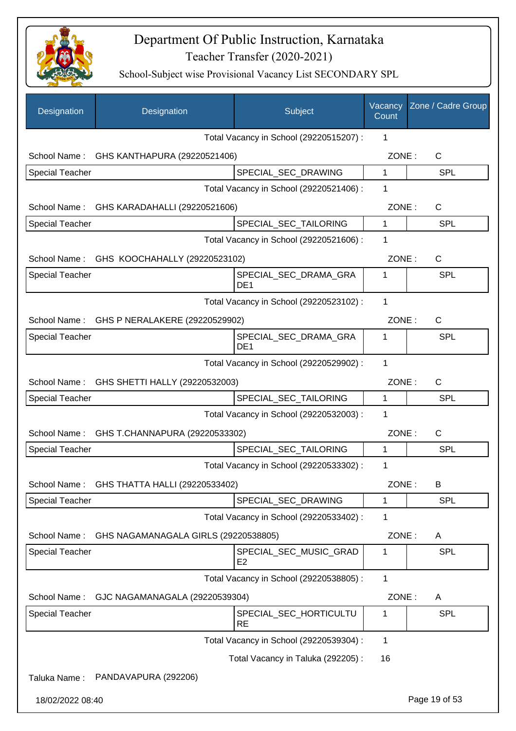

| Designation            | Designation                                 | Subject                                  | Vacancy<br>Count | Zone / Cadre Group |
|------------------------|---------------------------------------------|------------------------------------------|------------------|--------------------|
|                        |                                             | Total Vacancy in School (29220515207) :  | 1                |                    |
|                        | School Name: GHS KANTHAPURA (29220521406)   |                                          | ZONE:            | $\mathsf{C}$       |
| <b>Special Teacher</b> |                                             | SPECIAL_SEC_DRAWING                      | 1                | <b>SPL</b>         |
|                        |                                             | Total Vacancy in School (29220521406) :  | 1                |                    |
|                        | School Name: GHS KARADAHALLI (29220521606)  |                                          | ZONE:            | $\mathsf{C}$       |
| <b>Special Teacher</b> |                                             | SPECIAL_SEC_TAILORING                    | $\mathbf{1}$     | <b>SPL</b>         |
|                        |                                             | Total Vacancy in School (29220521606) :  | 1                |                    |
|                        | School Name: GHS KOOCHAHALLY (29220523102)  |                                          | ZONE:            | C                  |
| <b>Special Teacher</b> |                                             | SPECIAL_SEC_DRAMA_GRA<br>DE <sub>1</sub> | 1                | <b>SPL</b>         |
|                        |                                             | Total Vacancy in School (29220523102) :  | 1                |                    |
|                        | School Name: GHS P NERALAKERE (29220529902) |                                          | ZONE:            | $\mathsf{C}$       |
| <b>Special Teacher</b> |                                             | SPECIAL_SEC_DRAMA_GRA<br>DE <sub>1</sub> | 1                | <b>SPL</b>         |
|                        |                                             | Total Vacancy in School (29220529902) :  | 1                |                    |
|                        | School Name: GHS SHETTI HALLY (29220532003) |                                          | ZONE:            | $\mathsf{C}$       |
| <b>Special Teacher</b> |                                             | SPECIAL_SEC_TAILORING                    | 1                | <b>SPL</b>         |
|                        |                                             | Total Vacancy in School (29220532003) :  | $\mathbf 1$      |                    |
| School Name:           | GHS T.CHANNAPURA (29220533302)              |                                          | ZONE:            | $\mathsf{C}$       |
| <b>Special Teacher</b> |                                             | SPECIAL_SEC_TAILORING                    | 1                | <b>SPL</b>         |
|                        |                                             | Total Vacancy in School (29220533302) :  | 1                |                    |
| School Name:           | GHS THATTA HALLI (29220533402)              |                                          | ZONE:            | B                  |
| <b>Special Teacher</b> |                                             | SPECIAL_SEC_DRAWING                      | 1                | <b>SPL</b>         |
|                        |                                             | Total Vacancy in School (29220533402) :  | 1                |                    |
| School Name:           | GHS NAGAMANAGALA GIRLS (29220538805)        |                                          | ZONE:            | A                  |
| Special Teacher        |                                             | SPECIAL SEC MUSIC GRAD<br>E <sub>2</sub> | 1                | <b>SPL</b>         |
|                        |                                             | Total Vacancy in School (29220538805) :  | $\mathbf 1$      |                    |
| School Name:           | GJC NAGAMANAGALA (29220539304)              |                                          | ZONE:            | A                  |
| <b>Special Teacher</b> |                                             | SPECIAL_SEC_HORTICULTU<br><b>RE</b>      | 1                | <b>SPL</b>         |
|                        |                                             | Total Vacancy in School (29220539304) :  | 1                |                    |
|                        |                                             | Total Vacancy in Taluka (292205):        | 16               |                    |
| Taluka Name:           | PANDAVAPURA (292206)                        |                                          |                  |                    |
| 18/02/2022 08:40       |                                             |                                          |                  | Page 19 of 53      |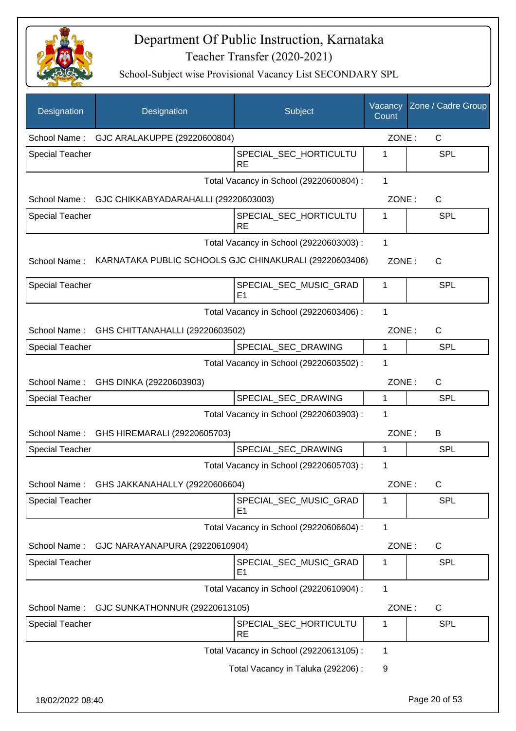

| Designation            | Designation                                            | Subject                                  | Vacancy<br>Count | Zone / Cadre Group |
|------------------------|--------------------------------------------------------|------------------------------------------|------------------|--------------------|
|                        | School Name: GJC ARALAKUPPE (29220600804)              |                                          | ZONE:            | C                  |
| <b>Special Teacher</b> |                                                        | SPECIAL_SEC_HORTICULTU<br><b>RE</b>      | 1                | SPL                |
|                        |                                                        | Total Vacancy in School (29220600804) :  | $\mathbf{1}$     |                    |
|                        | School Name: GJC CHIKKABYADARAHALLI (29220603003)      |                                          | ZONE:            | C                  |
| <b>Special Teacher</b> |                                                        | SPECIAL_SEC_HORTICULTU<br><b>RE</b>      | 1                | <b>SPL</b>         |
|                        |                                                        | Total Vacancy in School (29220603003) :  | 1                |                    |
| School Name:           | KARNATAKA PUBLIC SCHOOLS GJC CHINAKURALI (29220603406) |                                          | ZONE:            | C                  |
| <b>Special Teacher</b> |                                                        | SPECIAL_SEC_MUSIC_GRAD<br>E <sub>1</sub> | 1                | <b>SPL</b>         |
|                        |                                                        | Total Vacancy in School (29220603406) :  | $\mathbf{1}$     |                    |
|                        | School Name: GHS CHITTANAHALLI (29220603502)           |                                          | ZONE:            | C                  |
| <b>Special Teacher</b> |                                                        | SPECIAL_SEC_DRAWING                      | 1                | SPL                |
|                        |                                                        | Total Vacancy in School (29220603502) :  | 1                |                    |
| School Name:           | GHS DINKA (29220603903)                                |                                          | ZONE:            | $\mathsf{C}$       |
| <b>Special Teacher</b> |                                                        | SPECIAL_SEC_DRAWING                      | 1                | <b>SPL</b>         |
|                        |                                                        | Total Vacancy in School (29220603903) :  | 1                |                    |
| School Name:           | GHS HIREMARALI (29220605703)                           |                                          | ZONE:            | B                  |
| <b>Special Teacher</b> |                                                        | SPECIAL SEC DRAWING                      | 1                | <b>SPL</b>         |
|                        |                                                        | Total Vacancy in School (29220605703) :  | 1                |                    |
|                        | School Name: GHS JAKKANAHALLY (29220606604)            |                                          | ZONE:            | $\mathsf C$        |
| <b>Special Teacher</b> |                                                        | SPECIAL_SEC_MUSIC_GRAD<br>E <sub>1</sub> | 1                | <b>SPL</b>         |
|                        |                                                        | Total Vacancy in School (29220606604) :  | $\mathbf{1}$     |                    |
| School Name:           | GJC NARAYANAPURA (29220610904)                         |                                          | ZONE:            | C                  |
| <b>Special Teacher</b> |                                                        | SPECIAL_SEC_MUSIC_GRAD<br>E <sub>1</sub> | 1                | <b>SPL</b>         |
|                        |                                                        | Total Vacancy in School (29220610904) :  | 1                |                    |
| School Name:           | GJC SUNKATHONNUR (29220613105)                         |                                          | ZONE:            | C                  |
| <b>Special Teacher</b> |                                                        | SPECIAL_SEC_HORTICULTU<br><b>RE</b>      | 1                | <b>SPL</b>         |
|                        |                                                        | Total Vacancy in School (29220613105) :  | 1                |                    |
|                        |                                                        | Total Vacancy in Taluka (292206) :       | 9                |                    |
| 18/02/2022 08:40       |                                                        |                                          |                  | Page 20 of 53      |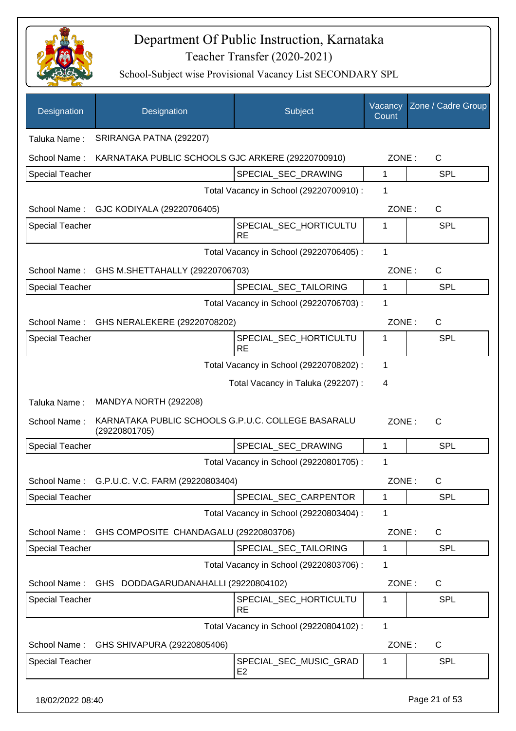

| Designation            | Designation                                                         | Subject                                 | Vacancy<br>Count | Zone / Cadre Group |
|------------------------|---------------------------------------------------------------------|-----------------------------------------|------------------|--------------------|
| Taluka Name:           | SRIRANGA PATNA (292207)                                             |                                         |                  |                    |
| School Name:           | KARNATAKA PUBLIC SCHOOLS GJC ARKERE (29220700910)                   |                                         | ZONE:            | C                  |
| <b>Special Teacher</b> |                                                                     | SPECIAL_SEC_DRAWING                     | 1                | <b>SPL</b>         |
|                        |                                                                     | Total Vacancy in School (29220700910) : | 1                |                    |
| School Name:           | GJC KODIYALA (29220706405)                                          |                                         | ZONE:            | $\mathsf{C}$       |
| <b>Special Teacher</b> |                                                                     | SPECIAL_SEC_HORTICULTU<br><b>RE</b>     | 1                | <b>SPL</b>         |
|                        |                                                                     | Total Vacancy in School (29220706405) : | 1                |                    |
| School Name:           | GHS M.SHETTAHALLY (29220706703)                                     |                                         | ZONE:            | $\mathsf{C}$       |
| <b>Special Teacher</b> |                                                                     | SPECIAL_SEC_TAILORING                   | 1                | <b>SPL</b>         |
|                        |                                                                     | Total Vacancy in School (29220706703) : | 1                |                    |
| School Name:           | GHS NERALEKERE (29220708202)                                        |                                         | ZONE:            | C                  |
| <b>Special Teacher</b> |                                                                     | SPECIAL_SEC_HORTICULTU<br><b>RE</b>     | 1                | SPL                |
|                        |                                                                     | Total Vacancy in School (29220708202) : | 1                |                    |
|                        |                                                                     | Total Vacancy in Taluka (292207) :      | 4                |                    |
| Taluka Name:           | MANDYA NORTH (292208)                                               |                                         |                  |                    |
| School Name:           | KARNATAKA PUBLIC SCHOOLS G.P.U.C. COLLEGE BASARALU<br>(29220801705) |                                         | ZONE:            | $\mathsf{C}$       |
| <b>Special Teacher</b> |                                                                     | SPECIAL_SEC_DRAWING                     | 1                | <b>SPL</b>         |
|                        |                                                                     | Total Vacancy in School (29220801705) : | 1                |                    |
|                        | School Name: G.P.U.C. V.C. FARM (29220803404)                       |                                         | ZONE:            | C                  |
| <b>Special Teacher</b> |                                                                     | SPECIAL SEC CARPENTOR                   | 1                | <b>SPL</b>         |
|                        |                                                                     | Total Vacancy in School (29220803404) : | 1                |                    |
| School Name:           | GHS COMPOSITE CHANDAGALU (29220803706)                              |                                         | ZONE:            | $\mathsf{C}$       |
| Special Teacher        |                                                                     | SPECIAL_SEC_TAILORING                   | 1                | <b>SPL</b>         |
|                        |                                                                     | Total Vacancy in School (29220803706) : | 1                |                    |
| School Name:           | GHS DODDAGARUDANAHALLI (29220804102)                                |                                         | ZONE:            | $\mathsf{C}$       |
| <b>Special Teacher</b> |                                                                     | SPECIAL_SEC_HORTICULTU<br><b>RE</b>     | 1                | <b>SPL</b>         |
|                        |                                                                     | Total Vacancy in School (29220804102) : | 1                |                    |
| School Name:           | GHS SHIVAPURA (29220805406)                                         |                                         | ZONE:            | C                  |
| <b>Special Teacher</b> |                                                                     | SPECIAL_SEC_MUSIC_GRAD<br>E2            | 1                | <b>SPL</b>         |
| 18/02/2022 08:40       |                                                                     |                                         |                  | Page 21 of 53      |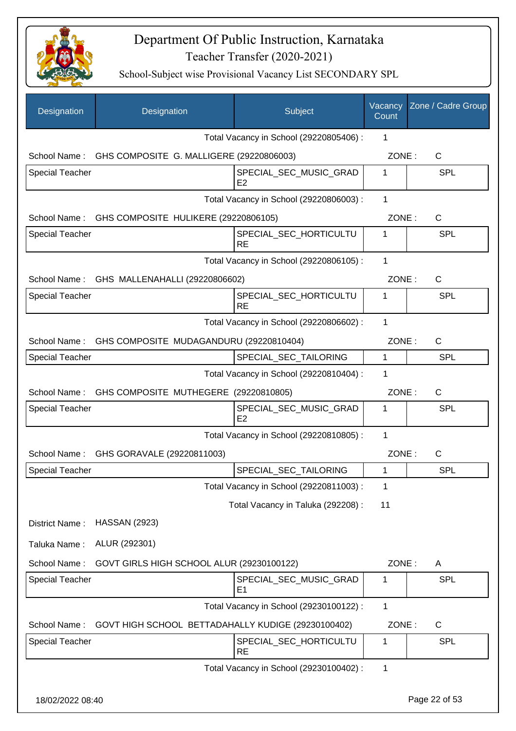

| Designation            | Designation                                           | Subject                                  | Vacancy<br>Count | Zone / Cadre Group |
|------------------------|-------------------------------------------------------|------------------------------------------|------------------|--------------------|
|                        |                                                       | Total Vacancy in School (29220805406) :  | 1                |                    |
|                        | School Name: GHS COMPOSITE G. MALLIGERE (29220806003) |                                          | ZONE:            | C                  |
| <b>Special Teacher</b> |                                                       | SPECIAL_SEC_MUSIC_GRAD<br>E <sub>2</sub> | 1                | <b>SPL</b>         |
|                        |                                                       | Total Vacancy in School (29220806003) :  | 1                |                    |
|                        | School Name: GHS COMPOSITE HULIKERE (29220806105)     |                                          | ZONE:            | C                  |
| <b>Special Teacher</b> |                                                       | SPECIAL_SEC_HORTICULTU<br><b>RE</b>      | 1                | SPL                |
|                        |                                                       | Total Vacancy in School (29220806105) :  | 1                |                    |
|                        | School Name: GHS MALLENAHALLI (29220806602)           |                                          | ZONE:            | C                  |
| <b>Special Teacher</b> |                                                       | SPECIAL_SEC_HORTICULTU<br><b>RE</b>      | 1                | SPL                |
|                        |                                                       | Total Vacancy in School (29220806602) :  | 1                |                    |
|                        | School Name: GHS COMPOSITE MUDAGANDURU (29220810404)  |                                          | ZONE:            | C                  |
| <b>Special Teacher</b> |                                                       | SPECIAL_SEC_TAILORING                    | $\mathbf{1}$     | SPL                |
|                        |                                                       | Total Vacancy in School (29220810404) :  | 1                |                    |
| School Name:           | GHS COMPOSITE MUTHEGERE (29220810805)                 |                                          | ZONE:            | $\mathsf{C}$       |
| <b>Special Teacher</b> |                                                       | SPECIAL_SEC_MUSIC_GRAD<br>E2             | 1                | <b>SPL</b>         |
|                        |                                                       | Total Vacancy in School (29220810805) :  | $\mathbf 1$      |                    |
| School Name:           | GHS GORAVALE (29220811003)                            |                                          | ZONE:            | C                  |
| <b>Special Teacher</b> |                                                       | SPECIAL_SEC_TAILORING                    | 1                | <b>SPL</b>         |
|                        |                                                       | Total Vacancy in School (29220811003) :  | 1                |                    |
|                        |                                                       | Total Vacancy in Taluka (292208) :       | 11               |                    |
| District Name:         | <b>HASSAN (2923)</b>                                  |                                          |                  |                    |
| Taluka Name:           | ALUR (292301)                                         |                                          |                  |                    |
| School Name:           | GOVT GIRLS HIGH SCHOOL ALUR (29230100122)             |                                          | ZONE:            | A                  |
| <b>Special Teacher</b> |                                                       | SPECIAL_SEC_MUSIC_GRAD<br>E1             | 1                | SPL                |
|                        |                                                       | Total Vacancy in School (29230100122) :  | 1                |                    |
| School Name:           | GOVT HIGH SCHOOL BETTADAHALLY KUDIGE (29230100402)    |                                          | ZONE:            | $\mathsf{C}$       |
| <b>Special Teacher</b> |                                                       | SPECIAL_SEC_HORTICULTU<br><b>RE</b>      | 1                | <b>SPL</b>         |
|                        |                                                       | Total Vacancy in School (29230100402) :  | 1                |                    |
| 18/02/2022 08:40       |                                                       |                                          |                  | Page 22 of 53      |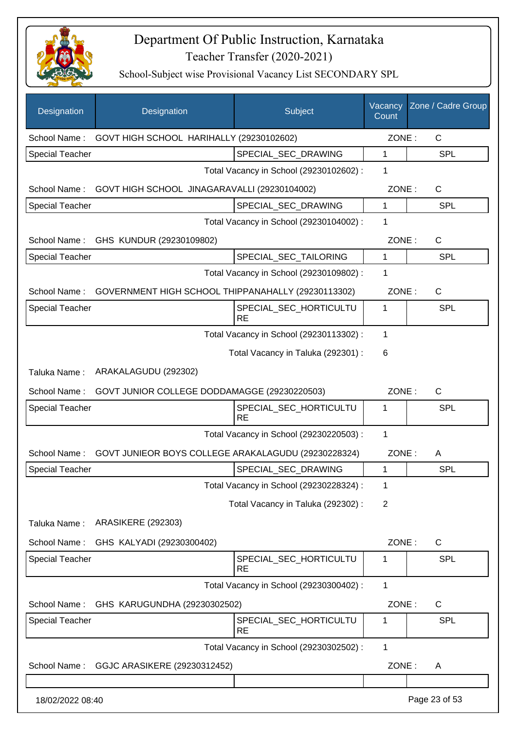

| Designation            | Designation                                         | Subject                                 | Vacancy<br>Count | Zone / Cadre Group |
|------------------------|-----------------------------------------------------|-----------------------------------------|------------------|--------------------|
| School Name:           | GOVT HIGH SCHOOL HARIHALLY (29230102602)            |                                         | ZONE:            | C                  |
| <b>Special Teacher</b> |                                                     | SPECIAL_SEC_DRAWING                     | 1                | <b>SPL</b>         |
|                        |                                                     | Total Vacancy in School (29230102602) : | 1                |                    |
| School Name:           | GOVT HIGH SCHOOL JINAGARAVALLI (29230104002)        |                                         | ZONE:            | $\mathsf{C}$       |
| <b>Special Teacher</b> |                                                     | SPECIAL_SEC_DRAWING                     | $\mathbf{1}$     | <b>SPL</b>         |
|                        |                                                     | Total Vacancy in School (29230104002) : | 1                |                    |
|                        | School Name: GHS KUNDUR (29230109802)               |                                         | ZONE:            | C                  |
| <b>Special Teacher</b> |                                                     | SPECIAL_SEC_TAILORING                   | 1                | <b>SPL</b>         |
|                        |                                                     | Total Vacancy in School (29230109802) : | 1                |                    |
| School Name:           | GOVERNMENT HIGH SCHOOL THIPPANAHALLY (29230113302)  |                                         | ZONE:            | C                  |
| <b>Special Teacher</b> |                                                     | SPECIAL_SEC_HORTICULTU<br><b>RE</b>     | 1                | <b>SPL</b>         |
|                        |                                                     | Total Vacancy in School (29230113302) : | 1                |                    |
|                        |                                                     | Total Vacancy in Taluka (292301) :      | 6                |                    |
| Taluka Name:           | ARAKALAGUDU (292302)                                |                                         |                  |                    |
| School Name:           | GOVT JUNIOR COLLEGE DODDAMAGGE (29230220503)        |                                         | ZONE:            | C                  |
| <b>Special Teacher</b> |                                                     | SPECIAL_SEC_HORTICULTU<br><b>RE</b>     | 1                | <b>SPL</b>         |
|                        |                                                     | Total Vacancy in School (29230220503) : | 1                |                    |
| School Name:           | GOVT JUNIEOR BOYS COLLEGE ARAKALAGUDU (29230228324) |                                         | ZONE:            | A                  |
| <b>Special Teacher</b> |                                                     | SPECIAL SEC DRAWING                     | 1                | <b>SPL</b>         |
|                        |                                                     | Total Vacancy in School (29230228324) : | 1                |                    |
|                        |                                                     | Total Vacancy in Taluka (292302) :      | $\overline{2}$   |                    |
| Taluka Name:           | <b>ARASIKERE (292303)</b>                           |                                         |                  |                    |
| School Name:           | GHS KALYADI (29230300402)                           |                                         | ZONE:            | $\mathsf{C}$       |
| <b>Special Teacher</b> |                                                     | SPECIAL_SEC_HORTICULTU<br><b>RE</b>     | 1                | <b>SPL</b>         |
|                        |                                                     | Total Vacancy in School (29230300402) : | 1                |                    |
| School Name:           | GHS KARUGUNDHA (29230302502)                        |                                         | ZONE:            | $\mathsf{C}$       |
| <b>Special Teacher</b> |                                                     | SPECIAL_SEC_HORTICULTU<br>RE            | 1                | <b>SPL</b>         |
|                        |                                                     | Total Vacancy in School (29230302502) : | $\mathbf{1}$     |                    |
| School Name:           | GGJC ARASIKERE (29230312452)                        |                                         | ZONE:            | A                  |
|                        |                                                     |                                         |                  |                    |
| 18/02/2022 08:40       |                                                     |                                         |                  | Page 23 of 53      |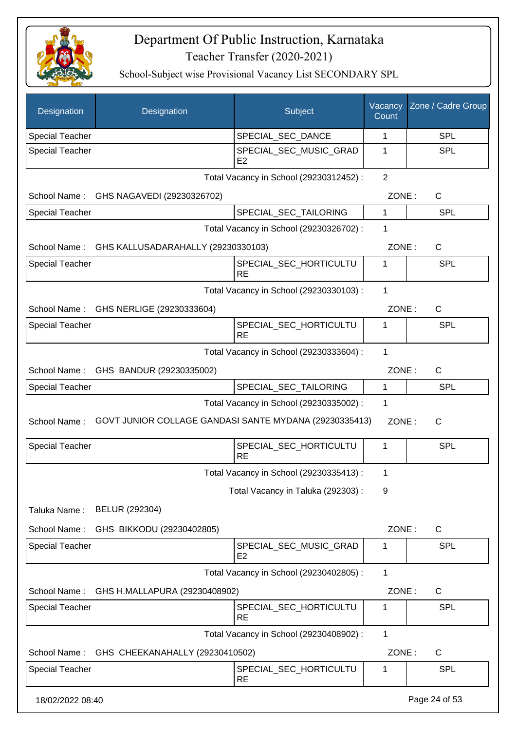

| Designation            | Designation                                            | Subject                                  | Vacancy<br>Count | Zone / Cadre Group |
|------------------------|--------------------------------------------------------|------------------------------------------|------------------|--------------------|
| <b>Special Teacher</b> |                                                        | SPECIAL_SEC_DANCE                        | 1                | <b>SPL</b>         |
| <b>Special Teacher</b> |                                                        | SPECIAL SEC MUSIC GRAD<br>E <sub>2</sub> | 1                | <b>SPL</b>         |
|                        |                                                        | Total Vacancy in School (29230312452) :  | 2                |                    |
|                        | School Name: GHS NAGAVEDI (29230326702)                |                                          | ZONE:            | $\mathsf{C}$       |
| <b>Special Teacher</b> |                                                        | SPECIAL_SEC_TAILORING                    | 1                | <b>SPL</b>         |
|                        |                                                        | Total Vacancy in School (29230326702) :  | 1                |                    |
|                        | School Name: GHS KALLUSADARAHALLY (29230330103)        |                                          | ZONE:            | C                  |
| <b>Special Teacher</b> |                                                        | SPECIAL_SEC_HORTICULTU<br><b>RE</b>      | 1                | <b>SPL</b>         |
|                        |                                                        | Total Vacancy in School (29230330103) :  | 1                |                    |
| School Name:           | GHS NERLIGE (29230333604)                              |                                          | ZONE:            | $\mathsf{C}$       |
| <b>Special Teacher</b> |                                                        | SPECIAL_SEC_HORTICULTU<br><b>RE</b>      | 1                | <b>SPL</b>         |
|                        |                                                        | Total Vacancy in School (29230333604) :  | $\mathbf 1$      |                    |
| School Name:           | GHS BANDUR (29230335002)                               |                                          | ZONE:            | $\mathsf{C}$       |
| <b>Special Teacher</b> |                                                        | SPECIAL_SEC_TAILORING                    | 1                | <b>SPL</b>         |
|                        |                                                        | Total Vacancy in School (29230335002) :  | 1                |                    |
| School Name:           | GOVT JUNIOR COLLAGE GANDASI SANTE MYDANA (29230335413) |                                          | ZONE:            | $\mathsf{C}$       |
| Special Teacher        |                                                        | SPECIAL_SEC_HORTICULTU<br><b>RE</b>      | 1                | SPL                |
|                        |                                                        | Total Vacancy in School (29230335413) :  | 1                |                    |
|                        |                                                        | Total Vacancy in Taluka (292303) :       | 9                |                    |
| Taluka Name:           | BELUR (292304)                                         |                                          |                  |                    |
| School Name:           | GHS BIKKODU (29230402805)                              |                                          | ZONE:            | $\mathsf{C}$       |
| <b>Special Teacher</b> |                                                        | SPECIAL_SEC_MUSIC_GRAD<br>E <sub>2</sub> | 1                | <b>SPL</b>         |
|                        |                                                        | Total Vacancy in School (29230402805) :  | 1                |                    |
| School Name:           | GHS H.MALLAPURA (29230408902)                          |                                          | ZONE:            | C                  |
| <b>Special Teacher</b> |                                                        | SPECIAL_SEC_HORTICULTU<br>RE             | 1                | <b>SPL</b>         |
|                        |                                                        | Total Vacancy in School (29230408902) :  | 1                |                    |
| School Name:           | GHS CHEEKANAHALLY (29230410502)                        |                                          | ZONE:            | $\mathsf{C}$       |
| <b>Special Teacher</b> |                                                        | SPECIAL_SEC_HORTICULTU<br><b>RE</b>      | 1                | <b>SPL</b>         |
| 18/02/2022 08:40       |                                                        |                                          |                  | Page 24 of 53      |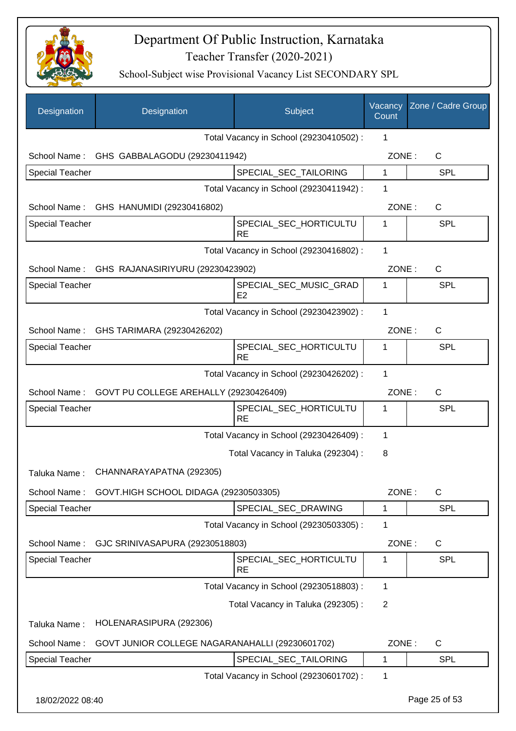

| Designation            | Designation                                     | Subject                                  | Vacancy<br>Count | Zone / Cadre Group |
|------------------------|-------------------------------------------------|------------------------------------------|------------------|--------------------|
|                        |                                                 | Total Vacancy in School (29230410502) :  | 1                |                    |
|                        | School Name: GHS GABBALAGODU (29230411942)      |                                          | ZONE:            | $\mathsf{C}$       |
| <b>Special Teacher</b> |                                                 | SPECIAL_SEC_TAILORING                    | $\mathbf{1}$     | <b>SPL</b>         |
|                        |                                                 | Total Vacancy in School (29230411942) :  | 1                |                    |
|                        | School Name: GHS HANUMIDI (29230416802)         |                                          | ZONE:            | C                  |
| <b>Special Teacher</b> |                                                 | SPECIAL_SEC_HORTICULTU<br><b>RE</b>      | 1                | <b>SPL</b>         |
|                        |                                                 | Total Vacancy in School (29230416802) :  | 1                |                    |
|                        | School Name: GHS RAJANASIRIYURU (29230423902)   |                                          | ZONE:            | $\mathsf{C}$       |
| <b>Special Teacher</b> |                                                 | SPECIAL_SEC_MUSIC_GRAD<br>E <sub>2</sub> | 1                | <b>SPL</b>         |
|                        |                                                 | Total Vacancy in School (29230423902) :  | $\mathbf 1$      |                    |
|                        | School Name: GHS TARIMARA (29230426202)         |                                          | ZONE:            | $\mathsf{C}$       |
| <b>Special Teacher</b> |                                                 | SPECIAL_SEC_HORTICULTU<br><b>RE</b>      | 1                | <b>SPL</b>         |
|                        |                                                 | Total Vacancy in School (29230426202) :  | 1                |                    |
| School Name:           | GOVT PU COLLEGE AREHALLY (29230426409)          |                                          | ZONE:            | $\mathsf{C}$       |
| <b>Special Teacher</b> |                                                 | SPECIAL_SEC_HORTICULTU<br><b>RE</b>      | 1                | <b>SPL</b>         |
|                        |                                                 | Total Vacancy in School (29230426409) :  | 1                |                    |
|                        |                                                 | Total Vacancy in Taluka (292304) :       | 8                |                    |
| Taluka Name:           | CHANNARAYAPATNA (292305)                        |                                          |                  |                    |
| School Name:           | GOVT.HIGH SCHOOL DIDAGA (29230503305)           |                                          | ZONE:            | $\mathsf{C}$       |
| Special Teacher        |                                                 | SPECIAL_SEC_DRAWING                      | 1                | SPL                |
|                        |                                                 | Total Vacancy in School (29230503305) :  | $\mathbf 1$      |                    |
| School Name:           | GJC SRINIVASAPURA (29230518803)                 |                                          | ZONE:            | C                  |
| <b>Special Teacher</b> |                                                 | SPECIAL_SEC_HORTICULTU<br><b>RE</b>      | 1                | <b>SPL</b>         |
|                        |                                                 | Total Vacancy in School (29230518803) :  | 1                |                    |
|                        |                                                 | Total Vacancy in Taluka (292305):        | $\overline{2}$   |                    |
| Taluka Name:           | HOLENARASIPURA (292306)                         |                                          |                  |                    |
| School Name:           | GOVT JUNIOR COLLEGE NAGARANAHALLI (29230601702) |                                          | ZONE:            | C                  |
| Special Teacher        |                                                 | SPECIAL_SEC_TAILORING                    | 1                | <b>SPL</b>         |
|                        |                                                 | Total Vacancy in School (29230601702) :  | 1                |                    |
| 18/02/2022 08:40       |                                                 |                                          |                  | Page 25 of 53      |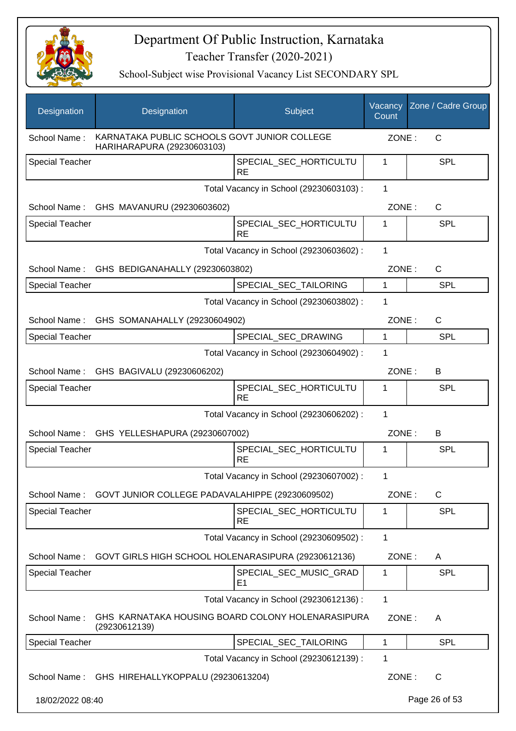

| Designation            | Designation                                                                | Subject                                  | Vacancy<br>Count | Zone / Cadre Group |
|------------------------|----------------------------------------------------------------------------|------------------------------------------|------------------|--------------------|
| School Name:           | KARNATAKA PUBLIC SCHOOLS GOVT JUNIOR COLLEGE<br>HARIHARAPURA (29230603103) |                                          | ZONE:            | $\mathsf{C}$       |
| Special Teacher        |                                                                            | SPECIAL_SEC_HORTICULTU<br><b>RE</b>      | 1                | <b>SPL</b>         |
|                        |                                                                            | Total Vacancy in School (29230603103) :  | 1                |                    |
|                        | School Name: GHS MAVANURU (29230603602)                                    |                                          | ZONE:            | C                  |
| <b>Special Teacher</b> |                                                                            | SPECIAL_SEC_HORTICULTU<br><b>RE</b>      | 1                | <b>SPL</b>         |
|                        |                                                                            | Total Vacancy in School (29230603602) :  | $\mathbf{1}$     |                    |
|                        | School Name: GHS BEDIGANAHALLY (29230603802)                               |                                          | ZONE:            | C                  |
| Special Teacher        |                                                                            | SPECIAL_SEC_TAILORING                    | 1                | <b>SPL</b>         |
|                        |                                                                            | Total Vacancy in School (29230603802) :  | 1                |                    |
|                        | School Name: GHS SOMANAHALLY (29230604902)                                 |                                          | ZONE:            | $\mathsf C$        |
| <b>Special Teacher</b> |                                                                            | SPECIAL_SEC_DRAWING                      | 1                | <b>SPL</b>         |
|                        |                                                                            | Total Vacancy in School (29230604902) :  | 1                |                    |
|                        | School Name: GHS BAGIVALU (29230606202)                                    |                                          | ZONE:            | B                  |
| <b>Special Teacher</b> |                                                                            | SPECIAL_SEC_HORTICULTU<br><b>RE</b>      | 1                | <b>SPL</b>         |
|                        |                                                                            | Total Vacancy in School (29230606202) :  | 1                |                    |
|                        | School Name: GHS YELLESHAPURA (29230607002)                                |                                          | ZONE:            | B                  |
| <b>Special Teacher</b> |                                                                            | SPECIAL_SEC_HORTICULTU<br><b>RE</b>      | 1                | <b>SPL</b>         |
|                        |                                                                            | Total Vacancy in School (29230607002) :  | 1                |                    |
| School Name:           | GOVT JUNIOR COLLEGE PADAVALAHIPPE (29230609502)                            |                                          | ZONE:            | $\mathsf{C}$       |
| <b>Special Teacher</b> |                                                                            | SPECIAL SEC HORTICULTU<br><b>RE</b>      | 1                | <b>SPL</b>         |
|                        |                                                                            | Total Vacancy in School (29230609502) :  | 1                |                    |
| School Name:           | GOVT GIRLS HIGH SCHOOL HOLENARASIPURA (29230612136)                        |                                          | ZONE:            | A                  |
| <b>Special Teacher</b> |                                                                            | SPECIAL_SEC_MUSIC_GRAD<br>E <sub>1</sub> | 1                | <b>SPL</b>         |
|                        |                                                                            | Total Vacancy in School (29230612136) :  | 1                |                    |
| School Name:           | GHS KARNATAKA HOUSING BOARD COLONY HOLENARASIPURA<br>(29230612139)         |                                          | ZONE:            | A                  |
| <b>Special Teacher</b> |                                                                            | SPECIAL_SEC_TAILORING                    | 1                | <b>SPL</b>         |
|                        |                                                                            | Total Vacancy in School (29230612139) :  | 1                |                    |
|                        | School Name: GHS HIREHALLYKOPPALU (29230613204)                            |                                          | ZONE:            | $\mathsf{C}$       |
| 18/02/2022 08:40       |                                                                            |                                          |                  | Page 26 of 53      |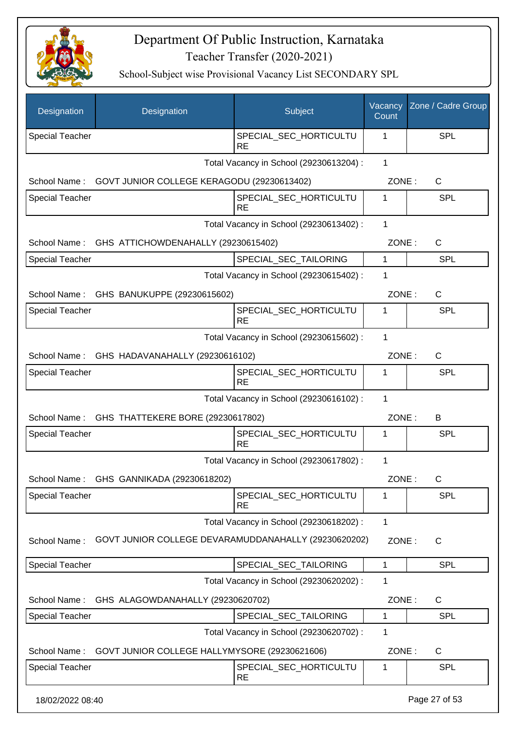

| Designation                                       | Designation                                          | Subject                                 | Vacancy<br>Count | Zone / Cadre Group |
|---------------------------------------------------|------------------------------------------------------|-----------------------------------------|------------------|--------------------|
| <b>Special Teacher</b>                            |                                                      | SPECIAL_SEC_HORTICULTU<br><b>RE</b>     | 1                | <b>SPL</b>         |
|                                                   |                                                      | Total Vacancy in School (29230613204) : | $\mathbf{1}$     |                    |
| School Name:                                      | GOVT JUNIOR COLLEGE KERAGODU (29230613402)           |                                         | ZONE:            | C                  |
| Special Teacher                                   |                                                      | SPECIAL_SEC_HORTICULTU<br><b>RE</b>     | 1                | <b>SPL</b>         |
|                                                   |                                                      | Total Vacancy in School (29230613402) : | 1                |                    |
| School Name:                                      | GHS ATTICHOWDENAHALLY (29230615402)                  |                                         | ZONE:            | C                  |
| Special Teacher                                   |                                                      | SPECIAL_SEC_TAILORING                   | 1                | <b>SPL</b>         |
|                                                   |                                                      | Total Vacancy in School (29230615402) : | 1                |                    |
|                                                   | School Name: GHS BANUKUPPE (29230615602)             |                                         | ZONE:            | C                  |
| <b>Special Teacher</b>                            |                                                      | SPECIAL_SEC_HORTICULTU<br><b>RE</b>     | 1                | <b>SPL</b>         |
|                                                   |                                                      | Total Vacancy in School (29230615602) : | 1                |                    |
|                                                   | School Name: GHS HADAVANAHALLY (29230616102)         |                                         | ZONE:            | $\mathsf{C}$       |
| <b>Special Teacher</b>                            |                                                      | SPECIAL_SEC_HORTICULTU<br><b>RE</b>     | 1                | <b>SPL</b>         |
|                                                   |                                                      | Total Vacancy in School (29230616102) : | $\mathbf 1$      |                    |
|                                                   | School Name: GHS THATTEKERE BORE (29230617802)       |                                         | ZONE:            | B                  |
| <b>Special Teacher</b>                            |                                                      | SPECIAL_SEC_HORTICULTU<br><b>RE</b>     | 1                | <b>SPL</b>         |
|                                                   |                                                      | Total Vacancy in School (29230617802) : | 1                |                    |
|                                                   | School Name: GHS GANNIKADA (29230618202)             |                                         | ZONE:            | C                  |
| <b>Special Teacher</b>                            |                                                      | SPECIAL_SEC_HORTICULTU<br><b>RE</b>     | 1                | <b>SPL</b>         |
|                                                   |                                                      | Total Vacancy in School (29230618202) : | 1                |                    |
| School Name:                                      | GOVT JUNIOR COLLEGE DEVARAMUDDANAHALLY (29230620202) |                                         | ZONE:            | C                  |
| Special Teacher                                   |                                                      | SPECIAL_SEC_TAILORING                   | 1                | <b>SPL</b>         |
|                                                   |                                                      | Total Vacancy in School (29230620202) : | 1                |                    |
| School Name:<br>GHS ALAGOWDANAHALLY (29230620702) |                                                      |                                         | ZONE:            | C                  |
| <b>Special Teacher</b>                            |                                                      | SPECIAL_SEC_TAILORING                   | 1                | <b>SPL</b>         |
|                                                   |                                                      | Total Vacancy in School (29230620702) : | 1                |                    |
| School Name:                                      | GOVT JUNIOR COLLEGE HALLYMYSORE (29230621606)        |                                         | ZONE:            | C                  |
| <b>Special Teacher</b>                            |                                                      | SPECIAL_SEC_HORTICULTU<br><b>RE</b>     | 1                | <b>SPL</b>         |
| 18/02/2022 08:40                                  |                                                      |                                         |                  | Page 27 of 53      |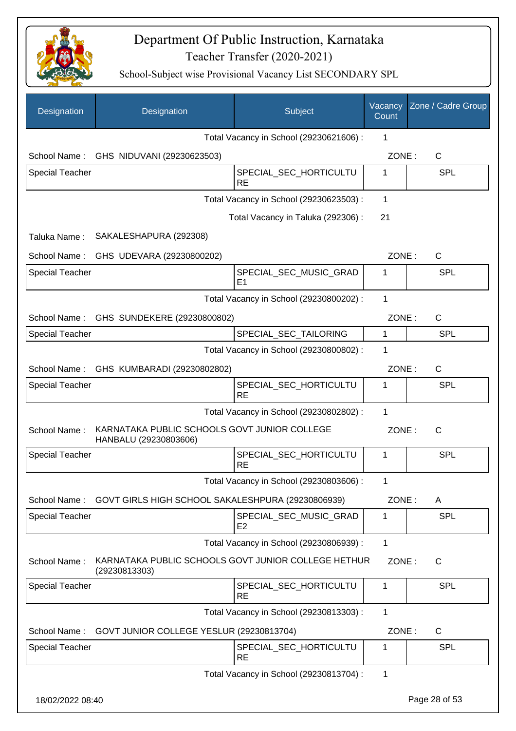

| Designation            | Designation                                                           | Subject                                  | Vacancy<br>Count | Zone / Cadre Group |
|------------------------|-----------------------------------------------------------------------|------------------------------------------|------------------|--------------------|
|                        |                                                                       | Total Vacancy in School (29230621606) :  | 1                |                    |
|                        | School Name: GHS NIDUVANI (29230623503)                               |                                          | ZONE:            | C                  |
| <b>Special Teacher</b> |                                                                       | SPECIAL_SEC_HORTICULTU<br><b>RE</b>      | 1                | <b>SPL</b>         |
|                        |                                                                       | Total Vacancy in School (29230623503) :  | 1                |                    |
|                        |                                                                       | Total Vacancy in Taluka (292306):        | 21               |                    |
| Taluka Name:           | SAKALESHAPURA (292308)                                                |                                          |                  |                    |
| School Name:           | GHS UDEVARA (29230800202)                                             |                                          | ZONE:            | $\mathsf{C}$       |
| <b>Special Teacher</b> |                                                                       | SPECIAL SEC MUSIC GRAD<br>E <sub>1</sub> | 1                | <b>SPL</b>         |
|                        |                                                                       | Total Vacancy in School (29230800202) :  | 1                |                    |
| School Name:           | GHS SUNDEKERE (29230800802)                                           |                                          | ZONE:            | C                  |
| <b>Special Teacher</b> |                                                                       | SPECIAL SEC TAILORING                    | 1                | <b>SPL</b>         |
|                        |                                                                       | Total Vacancy in School (29230800802) :  | 1                |                    |
| School Name:           | GHS KUMBARADI (29230802802)                                           |                                          | ZONE:            | C                  |
| <b>Special Teacher</b> |                                                                       | SPECIAL_SEC_HORTICULTU<br><b>RE</b>      | 1                | <b>SPL</b>         |
|                        |                                                                       | Total Vacancy in School (29230802802) :  | $\mathbf 1$      |                    |
| School Name:           | KARNATAKA PUBLIC SCHOOLS GOVT JUNIOR COLLEGE<br>HANBALU (29230803606) |                                          | ZONE:            | C                  |
| <b>Special Teacher</b> |                                                                       | SPECIAL SEC HORTICULTU<br><b>RE</b>      | 1                | <b>SPL</b>         |
|                        |                                                                       | Total Vacancy in School (29230803606) :  | 1                |                    |
| School Name:           | GOVT GIRLS HIGH SCHOOL SAKALESHPURA (29230806939)                     |                                          | ZONE:            | A                  |
| <b>Special Teacher</b> |                                                                       | SPECIAL_SEC_MUSIC_GRAD<br>E <sub>2</sub> | 1                | <b>SPL</b>         |
|                        |                                                                       | Total Vacancy in School (29230806939) :  | $\mathbf{1}$     |                    |
| School Name:           | KARNATAKA PUBLIC SCHOOLS GOVT JUNIOR COLLEGE HETHUR<br>(29230813303)  |                                          | ZONE:            | C                  |
| Special Teacher        |                                                                       | SPECIAL_SEC_HORTICULTU<br><b>RE</b>      | 1                | <b>SPL</b>         |
|                        |                                                                       | Total Vacancy in School (29230813303) :  | 1                |                    |
| School Name:           | GOVT JUNIOR COLLEGE YESLUR (29230813704)                              |                                          | ZONE:            | $\mathsf{C}$       |
| <b>Special Teacher</b> |                                                                       | SPECIAL_SEC_HORTICULTU<br><b>RE</b>      | 1                | <b>SPL</b>         |
|                        |                                                                       | Total Vacancy in School (29230813704) :  | 1                |                    |
| 18/02/2022 08:40       |                                                                       |                                          |                  | Page 28 of 53      |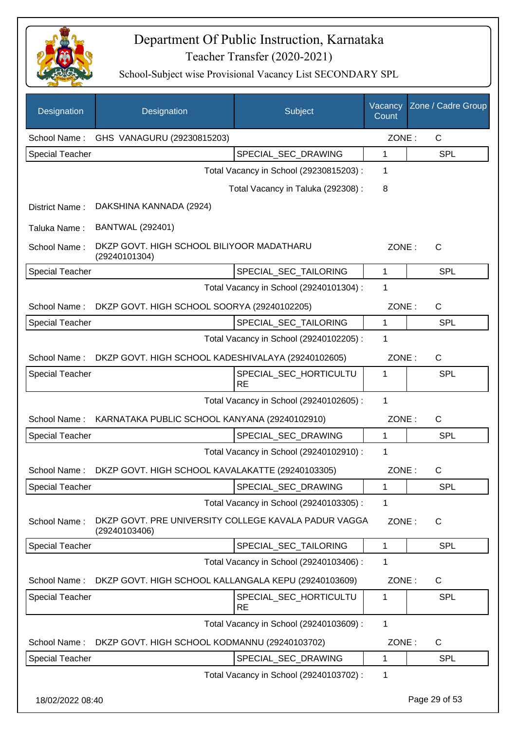

| Designation            | Designation                                                           | Subject                                 | Vacancy<br>Count | Zone / Cadre Group |
|------------------------|-----------------------------------------------------------------------|-----------------------------------------|------------------|--------------------|
| School Name:           | GHS VANAGURU (29230815203)                                            |                                         | ZONE:            | $\mathsf{C}$       |
| <b>Special Teacher</b> |                                                                       | SPECIAL_SEC_DRAWING                     | 1                | <b>SPL</b>         |
|                        |                                                                       | Total Vacancy in School (29230815203) : | 1                |                    |
|                        |                                                                       | Total Vacancy in Taluka (292308) :      | 8                |                    |
| District Name:         | DAKSHINA KANNADA (2924)                                               |                                         |                  |                    |
| Taluka Name:           | <b>BANTWAL (292401)</b>                                               |                                         |                  |                    |
| School Name:           | DKZP GOVT. HIGH SCHOOL BILIYOOR MADATHARU<br>(29240101304)            |                                         | ZONE:            | $\mathsf{C}$       |
| <b>Special Teacher</b> |                                                                       | SPECIAL_SEC_TAILORING                   | 1                | <b>SPL</b>         |
|                        |                                                                       | Total Vacancy in School (29240101304) : | 1                |                    |
| School Name:           | DKZP GOVT. HIGH SCHOOL SOORYA (29240102205)                           |                                         | ZONE:            | C                  |
| <b>Special Teacher</b> |                                                                       | SPECIAL SEC TAILORING                   | 1                | SPL                |
|                        |                                                                       | Total Vacancy in School (29240102205) : | 1                |                    |
| School Name:           | DKZP GOVT. HIGH SCHOOL KADESHIVALAYA (29240102605)                    |                                         | ZONE:            | $\mathsf{C}$       |
| <b>Special Teacher</b> |                                                                       | SPECIAL_SEC_HORTICULTU<br><b>RE</b>     | 1                | <b>SPL</b>         |
|                        |                                                                       | Total Vacancy in School (29240102605) : | 1                |                    |
| School Name:           | KARNATAKA PUBLIC SCHOOL KANYANA (29240102910)                         |                                         | ZONE:            | $\mathsf{C}$       |
| <b>Special Teacher</b> |                                                                       | SPECIAL_SEC_DRAWING                     | 1                | <b>SPL</b>         |
|                        |                                                                       | Total Vacancy in School (29240102910) : | 1                |                    |
|                        | School Name: DKZP GOVT. HIGH SCHOOL KAVALAKATTE (29240103305)         |                                         | ZONE:            | C                  |
| <b>Special Teacher</b> |                                                                       | SPECIAL SEC DRAWING                     | 1                | SPL                |
|                        |                                                                       | Total Vacancy in School (29240103305) : | 1                |                    |
| School Name:           | DKZP GOVT. PRE UNIVERSITY COLLEGE KAVALA PADUR VAGGA<br>(29240103406) |                                         | ZONE:            | $\mathsf{C}$       |
| <b>Special Teacher</b> |                                                                       | SPECIAL SEC TAILORING                   | 1                | <b>SPL</b>         |
|                        |                                                                       | Total Vacancy in School (29240103406) : | 1                |                    |
| School Name:           | DKZP GOVT. HIGH SCHOOL KALLANGALA KEPU (29240103609)                  |                                         | ZONE:            | C                  |
| <b>Special Teacher</b> |                                                                       | SPECIAL_SEC_HORTICULTU                  | 1                | <b>SPL</b>         |
|                        |                                                                       | RE                                      |                  |                    |
|                        |                                                                       | Total Vacancy in School (29240103609) : | 1                |                    |
| School Name:           | DKZP GOVT. HIGH SCHOOL KODMANNU (29240103702)                         |                                         | ZONE:            | C                  |
| <b>Special Teacher</b> |                                                                       | SPECIAL_SEC_DRAWING                     | 1                | <b>SPL</b>         |
|                        |                                                                       | Total Vacancy in School (29240103702) : | 1                |                    |
| 18/02/2022 08:40       |                                                                       |                                         |                  | Page 29 of 53      |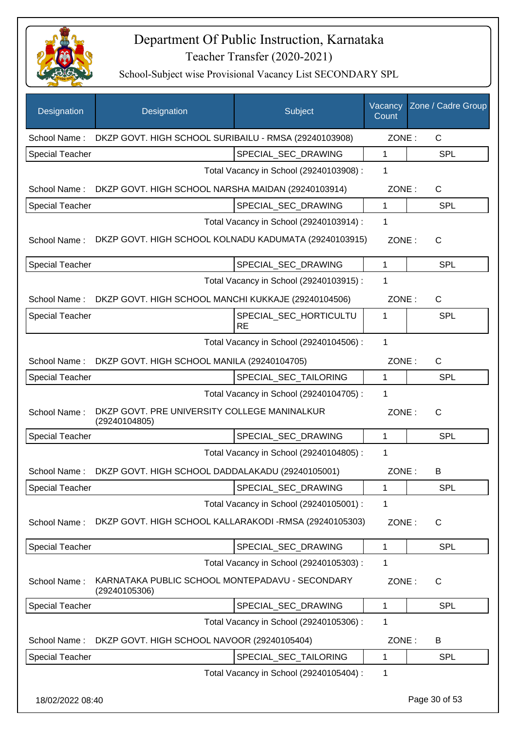

| Designation            | Designation                                                      | Subject                                 | Vacancy<br>Count | Zone / Cadre Group |
|------------------------|------------------------------------------------------------------|-----------------------------------------|------------------|--------------------|
| School Name:           | DKZP GOVT. HIGH SCHOOL SURIBAILU - RMSA (29240103908)            |                                         | ZONE:            | $\mathsf{C}$       |
| <b>Special Teacher</b> |                                                                  | SPECIAL SEC DRAWING                     | $\mathbf{1}$     | <b>SPL</b>         |
|                        |                                                                  | Total Vacancy in School (29240103908) : | 1                |                    |
| School Name:           | DKZP GOVT. HIGH SCHOOL NARSHA MAIDAN (29240103914)               |                                         | ZONE:            | $\mathsf{C}$       |
| <b>Special Teacher</b> |                                                                  | SPECIAL_SEC_DRAWING                     | $\mathbf{1}$     | <b>SPL</b>         |
|                        |                                                                  | Total Vacancy in School (29240103914) : | 1                |                    |
| School Name:           | DKZP GOVT. HIGH SCHOOL KOLNADU KADUMATA (29240103915)            |                                         | ZONE:            | $\mathsf{C}$       |
| Special Teacher        |                                                                  | SPECIAL_SEC_DRAWING                     | 1                | <b>SPL</b>         |
|                        |                                                                  | Total Vacancy in School (29240103915) : | 1                |                    |
| School Name:           | DKZP GOVT. HIGH SCHOOL MANCHI KUKKAJE (29240104506)              |                                         | ZONE:            | $\mathsf{C}$       |
| <b>Special Teacher</b> |                                                                  | SPECIAL_SEC_HORTICULTU<br><b>RE</b>     | 1                | <b>SPL</b>         |
|                        |                                                                  | Total Vacancy in School (29240104506) : | 1                |                    |
| School Name:           | DKZP GOVT. HIGH SCHOOL MANILA (29240104705)                      |                                         | ZONE:            | $\mathsf{C}$       |
| <b>Special Teacher</b> |                                                                  | SPECIAL_SEC_TAILORING                   | $\mathbf{1}$     | <b>SPL</b>         |
|                        |                                                                  | Total Vacancy in School (29240104705) : | 1                |                    |
| School Name:           | DKZP GOVT. PRE UNIVERSITY COLLEGE MANINALKUR<br>(29240104805)    |                                         | ZONE:            | $\mathsf{C}$       |
| Special Teacher        |                                                                  | SPECIAL_SEC_DRAWING                     | 1                | <b>SPL</b>         |
|                        |                                                                  | Total Vacancy in School (29240104805) : | 1                |                    |
| School Name:           | DKZP GOVT. HIGH SCHOOL DADDALAKADU (29240105001)                 |                                         | ZONE:            | B                  |
| <b>Special Teacher</b> |                                                                  | SPECIAL_SEC_DRAWING                     | 1                | <b>SPL</b>         |
|                        |                                                                  | Total Vacancy in School (29240105001) : | 1                |                    |
| School Name:           | DKZP GOVT. HIGH SCHOOL KALLARAKODI -RMSA (29240105303)           |                                         | ZONE:            | $\mathsf{C}$       |
| <b>Special Teacher</b> |                                                                  | SPECIAL_SEC_DRAWING                     | $\mathbf{1}$     | <b>SPL</b>         |
|                        |                                                                  | Total Vacancy in School (29240105303) : | 1                |                    |
| School Name:           | KARNATAKA PUBLIC SCHOOL MONTEPADAVU - SECONDARY<br>(29240105306) |                                         | ZONE:            | C                  |
| <b>Special Teacher</b> |                                                                  | SPECIAL_SEC_DRAWING                     | 1                | <b>SPL</b>         |
|                        |                                                                  | Total Vacancy in School (29240105306) : | 1                |                    |
| School Name:           | DKZP GOVT. HIGH SCHOOL NAVOOR (29240105404)                      |                                         | ZONE:            | B                  |
| <b>Special Teacher</b> |                                                                  | SPECIAL_SEC_TAILORING                   | 1                | <b>SPL</b>         |
|                        |                                                                  | Total Vacancy in School (29240105404) : | $\mathbf 1$      |                    |
| 18/02/2022 08:40       |                                                                  |                                         |                  | Page 30 of 53      |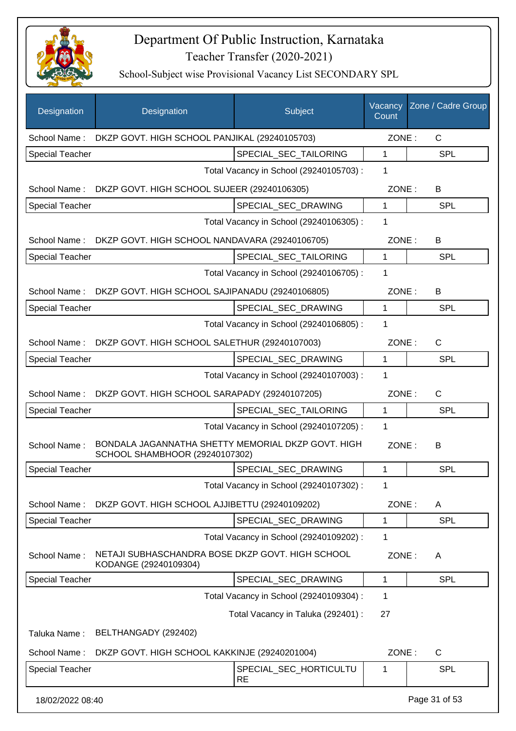

| Designation            | Designation                                                                          | Subject                                 | Vacancy<br>Count | Zone / Cadre Group |
|------------------------|--------------------------------------------------------------------------------------|-----------------------------------------|------------------|--------------------|
| School Name:           | DKZP GOVT. HIGH SCHOOL PANJIKAL (29240105703)                                        |                                         | ZONE:            | $\mathsf{C}$       |
| <b>Special Teacher</b> |                                                                                      | SPECIAL SEC TAILORING                   | 1                | <b>SPL</b>         |
|                        |                                                                                      | Total Vacancy in School (29240105703) : | 1                |                    |
|                        | School Name: DKZP GOVT. HIGH SCHOOL SUJEER (29240106305)                             |                                         | ZONE:            | B                  |
| <b>Special Teacher</b> |                                                                                      | SPECIAL_SEC_DRAWING                     | 1                | <b>SPL</b>         |
|                        |                                                                                      | Total Vacancy in School (29240106305) : | 1                |                    |
|                        | School Name: DKZP GOVT. HIGH SCHOOL NANDAVARA (29240106705)                          |                                         | ZONE:            | B                  |
| <b>Special Teacher</b> |                                                                                      | SPECIAL_SEC_TAILORING                   | $\mathbf{1}$     | <b>SPL</b>         |
|                        |                                                                                      | Total Vacancy in School (29240106705) : | 1                |                    |
|                        | School Name: DKZP GOVT. HIGH SCHOOL SAJIPANADU (29240106805)                         |                                         | ZONE:            | B                  |
| <b>Special Teacher</b> |                                                                                      | SPECIAL_SEC_DRAWING                     | $\mathbf{1}$     | <b>SPL</b>         |
|                        |                                                                                      | Total Vacancy in School (29240106805) : | 1                |                    |
|                        | School Name: DKZP GOVT. HIGH SCHOOL SALETHUR (29240107003)                           |                                         | ZONE:            | $\mathsf{C}$       |
| Special Teacher        |                                                                                      | SPECIAL_SEC_DRAWING                     | 1                | <b>SPL</b>         |
|                        |                                                                                      | Total Vacancy in School (29240107003) : | 1                |                    |
| School Name:           | DKZP GOVT. HIGH SCHOOL SARAPADY (29240107205)                                        |                                         | ZONE:            | $\mathsf{C}$       |
| <b>Special Teacher</b> |                                                                                      | SPECIAL_SEC_TAILORING                   | 1                | <b>SPL</b>         |
|                        |                                                                                      | Total Vacancy in School (29240107205) : | $\mathbf 1$      |                    |
| School Name:           | BONDALA JAGANNATHA SHETTY MEMORIAL DKZP GOVT. HIGH<br>SCHOOL SHAMBHOOR (29240107302) |                                         | ZONE:            | B                  |
| <b>Special Teacher</b> |                                                                                      | SPECIAL_SEC_DRAWING                     | 1                | <b>SPL</b>         |
|                        |                                                                                      | Total Vacancy in School (29240107302) : | 1                |                    |
| School Name:           | DKZP GOVT. HIGH SCHOOL AJJIBETTU (29240109202)                                       |                                         | ZONE:            | A                  |
| <b>Special Teacher</b> |                                                                                      | SPECIAL_SEC_DRAWING                     | 1                | <b>SPL</b>         |
|                        |                                                                                      | Total Vacancy in School (29240109202) : | 1                |                    |
| School Name:           | NETAJI SUBHASCHANDRA BOSE DKZP GOVT. HIGH SCHOOL<br>KODANGE (29240109304)            |                                         | ZONE:            | A                  |
| <b>Special Teacher</b> |                                                                                      | SPECIAL_SEC_DRAWING                     | 1                | <b>SPL</b>         |
|                        |                                                                                      | Total Vacancy in School (29240109304) : | 1                |                    |
|                        |                                                                                      | Total Vacancy in Taluka (292401) :      | 27               |                    |
| Taluka Name:           | BELTHANGADY (292402)                                                                 |                                         |                  |                    |
| School Name:           | DKZP GOVT. HIGH SCHOOL KAKKINJE (29240201004)                                        |                                         | ZONE:            | C                  |
| Special Teacher        |                                                                                      | SPECIAL_SEC_HORTICULTU<br><b>RE</b>     | 1                | <b>SPL</b>         |
| 18/02/2022 08:40       |                                                                                      |                                         |                  | Page 31 of 53      |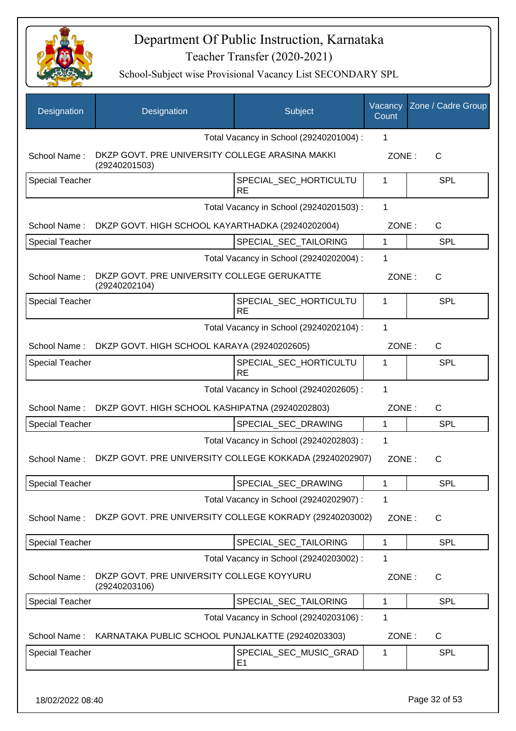

| Designation            | Designation                                                      | Subject                                 | Vacancy<br>Count | Zone / Cadre Group |
|------------------------|------------------------------------------------------------------|-----------------------------------------|------------------|--------------------|
|                        |                                                                  | Total Vacancy in School (29240201004) : | 1                |                    |
| School Name:           | DKZP GOVT. PRE UNIVERSITY COLLEGE ARASINA MAKKI<br>(29240201503) |                                         | ZONE:            | $\mathsf{C}$       |
| <b>Special Teacher</b> |                                                                  | SPECIAL_SEC_HORTICULTU<br><b>RE</b>     | 1                | <b>SPL</b>         |
|                        |                                                                  | Total Vacancy in School (29240201503) : | 1                |                    |
| School Name:           | DKZP GOVT. HIGH SCHOOL KAYARTHADKA (29240202004)                 |                                         | ZONE:            | C                  |
| <b>Special Teacher</b> |                                                                  | SPECIAL_SEC_TAILORING                   | $\mathbf 1$      | <b>SPL</b>         |
|                        |                                                                  | Total Vacancy in School (29240202004) : | 1                |                    |
| School Name:           | DKZP GOVT. PRE UNIVERSITY COLLEGE GERUKATTE<br>(29240202104)     |                                         | ZONE:            | C                  |
| <b>Special Teacher</b> |                                                                  | SPECIAL_SEC_HORTICULTU<br><b>RE</b>     | 1                | <b>SPL</b>         |
|                        |                                                                  | Total Vacancy in School (29240202104) : | 1                |                    |
| School Name:           | DKZP GOVT. HIGH SCHOOL KARAYA (29240202605)                      |                                         | ZONE:            | $\mathsf{C}$       |
| <b>Special Teacher</b> |                                                                  | SPECIAL_SEC_HORTICULTU<br><b>RE</b>     | 1                | <b>SPL</b>         |
|                        |                                                                  | Total Vacancy in School (29240202605) : | 1                |                    |
| School Name:           | DKZP GOVT. HIGH SCHOOL KASHIPATNA (29240202803)                  |                                         | ZONE:            | C                  |
| <b>Special Teacher</b> |                                                                  | SPECIAL_SEC_DRAWING                     | 1                | <b>SPL</b>         |
|                        |                                                                  | Total Vacancy in School (29240202803) : | 1                |                    |
| School Name:           | DKZP GOVT. PRE UNIVERSITY COLLEGE KOKKADA (29240202907)          |                                         | ZONE:            | C                  |
| <b>Special Teacher</b> |                                                                  | SPECIAL_SEC_DRAWING                     | 1                | <b>SPL</b>         |
|                        |                                                                  | Total Vacancy in School (29240202907) : | 1                |                    |
| School Name:           | DKZP GOVT. PRE UNIVERSITY COLLEGE KOKRADY (29240203002)          |                                         | ZONE:            | C                  |
| Special Teacher        |                                                                  | SPECIAL_SEC_TAILORING                   | 1                | <b>SPL</b>         |
|                        |                                                                  | Total Vacancy in School (29240203002) : | 1                |                    |
| School Name:           | DKZP GOVT. PRE UNIVERSITY COLLEGE KOYYURU<br>(29240203106)       |                                         | ZONE:            | C                  |
| <b>Special Teacher</b> |                                                                  | SPECIAL_SEC_TAILORING                   | 1                | <b>SPL</b>         |
|                        |                                                                  | Total Vacancy in School (29240203106) : | 1                |                    |
| School Name:           | KARNATAKA PUBLIC SCHOOL PUNJALKATTE (29240203303)                |                                         | ZONE:            | C                  |
| <b>Special Teacher</b> |                                                                  | SPECIAL_SEC_MUSIC_GRAD<br>E1            | 1                | <b>SPL</b>         |
|                        |                                                                  |                                         |                  |                    |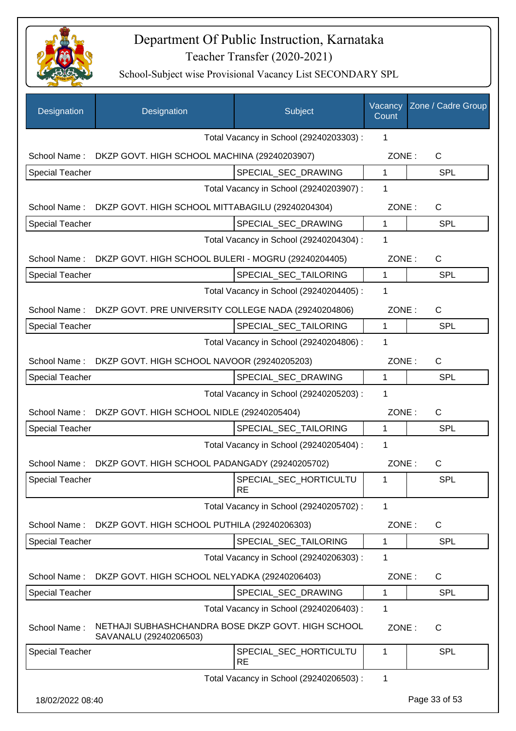

| Designation            | Designation                                                                  | Subject                                 | Vacancy<br>Count | Zone / Cadre Group |
|------------------------|------------------------------------------------------------------------------|-----------------------------------------|------------------|--------------------|
|                        |                                                                              | Total Vacancy in School (29240203303) : | 1                |                    |
| School Name:           | DKZP GOVT. HIGH SCHOOL MACHINA (29240203907)                                 |                                         | ZONE:            | $\mathsf C$        |
| <b>Special Teacher</b> |                                                                              | SPECIAL_SEC_DRAWING                     | $\mathbf{1}$     | <b>SPL</b>         |
|                        |                                                                              | Total Vacancy in School (29240203907) : | 1                |                    |
| School Name:           | DKZP GOVT. HIGH SCHOOL MITTABAGILU (29240204304)                             |                                         | ZONE:            | C                  |
| Special Teacher        |                                                                              | SPECIAL_SEC_DRAWING                     | 1                | SPL                |
|                        |                                                                              | Total Vacancy in School (29240204304) : | 1                |                    |
| School Name:           | DKZP GOVT. HIGH SCHOOL BULERI - MOGRU (29240204405)                          |                                         | ZONE:            | $\mathsf C$        |
| <b>Special Teacher</b> |                                                                              | SPECIAL_SEC_TAILORING                   | 1                | SPL                |
|                        |                                                                              | Total Vacancy in School (29240204405) : | 1                |                    |
| School Name:           | DKZP GOVT. PRE UNIVERSITY COLLEGE NADA (29240204806)                         |                                         | ZONE:            | $\mathsf C$        |
| <b>Special Teacher</b> |                                                                              | SPECIAL_SEC_TAILORING                   | 1                | <b>SPL</b>         |
|                        |                                                                              | Total Vacancy in School (29240204806) : | 1                |                    |
| School Name:           | DKZP GOVT. HIGH SCHOOL NAVOOR (29240205203)                                  |                                         | ZONE:            | C                  |
| <b>Special Teacher</b> |                                                                              | SPECIAL_SEC_DRAWING                     | 1                | SPL                |
|                        |                                                                              | Total Vacancy in School (29240205203) : | 1                |                    |
| School Name:           | DKZP GOVT. HIGH SCHOOL NIDLE (29240205404)                                   |                                         | ZONE:            | $\mathsf{C}$       |
| <b>Special Teacher</b> |                                                                              | SPECIAL_SEC_TAILORING                   | 1                | <b>SPL</b>         |
|                        |                                                                              | Total Vacancy in School (29240205404) : | 1                |                    |
| School Name:           | DKZP GOVT. HIGH SCHOOL PADANGADY (29240205702)                               |                                         | ZONE:            | C                  |
| Special Teacher        |                                                                              | SPECIAL_SEC_HORTICULTU<br><b>RE</b>     | $\mathbf{1}$     | <b>SPL</b>         |
|                        |                                                                              | Total Vacancy in School (29240205702) : | 1                |                    |
| School Name:           | DKZP GOVT. HIGH SCHOOL PUTHILA (29240206303)                                 |                                         | ZONE:            | C                  |
| <b>Special Teacher</b> |                                                                              | SPECIAL_SEC_TAILORING                   | 1                | <b>SPL</b>         |
|                        |                                                                              | Total Vacancy in School (29240206303) : | 1                |                    |
| School Name:           | DKZP GOVT. HIGH SCHOOL NELYADKA (29240206403)                                |                                         | ZONE:            | C                  |
| <b>Special Teacher</b> |                                                                              | SPECIAL SEC DRAWING                     | 1                | <b>SPL</b>         |
|                        |                                                                              | Total Vacancy in School (29240206403) : | 1                |                    |
| School Name:           | NETHAJI SUBHASHCHANDRA BOSE DKZP GOVT. HIGH SCHOOL<br>SAVANALU (29240206503) |                                         | ZONE:            | $\mathsf{C}$       |
| <b>Special Teacher</b> |                                                                              | SPECIAL_SEC_HORTICULTU<br><b>RE</b>     | 1                | <b>SPL</b>         |
|                        |                                                                              | Total Vacancy in School (29240206503) : | 1                |                    |
|                        |                                                                              |                                         |                  |                    |
| 18/02/2022 08:40       |                                                                              |                                         |                  | Page 33 of 53      |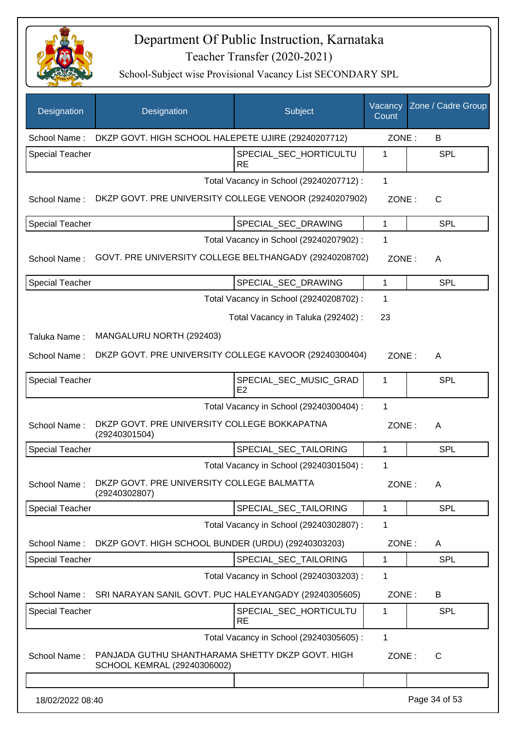

| Designation            | Designation                                                                     | Subject                                 | Vacancy<br>Count | Zone / Cadre Group |
|------------------------|---------------------------------------------------------------------------------|-----------------------------------------|------------------|--------------------|
| School Name:           | DKZP GOVT. HIGH SCHOOL HALEPETE UJIRE (29240207712)                             |                                         | ZONE:            | B                  |
| <b>Special Teacher</b> |                                                                                 | SPECIAL SEC HORTICULTU<br><b>RE</b>     | 1                | <b>SPL</b>         |
|                        |                                                                                 | Total Vacancy in School (29240207712) : | 1                |                    |
| School Name:           | DKZP GOVT. PRE UNIVERSITY COLLEGE VENOOR (29240207902)                          |                                         | ZONE:            | C                  |
| <b>Special Teacher</b> |                                                                                 | SPECIAL_SEC_DRAWING                     | $\mathbf{1}$     | SPL                |
|                        |                                                                                 | Total Vacancy in School (29240207902) : | 1                |                    |
| School Name:           | GOVT. PRE UNIVERSITY COLLEGE BELTHANGADY (29240208702)                          |                                         | ZONE:            | A                  |
| <b>Special Teacher</b> |                                                                                 | SPECIAL SEC DRAWING                     | $\mathbf{1}$     | <b>SPL</b>         |
|                        |                                                                                 | Total Vacancy in School (29240208702) : | 1                |                    |
|                        |                                                                                 | Total Vacancy in Taluka (292402) :      | 23               |                    |
| Taluka Name:           | MANGALURU NORTH (292403)                                                        |                                         |                  |                    |
| School Name:           | DKZP GOVT. PRE UNIVERSITY COLLEGE KAVOOR (29240300404)                          |                                         | ZONE:            | A                  |
| Special Teacher        |                                                                                 | SPECIAL_SEC_MUSIC_GRAD<br>E2            | $\mathbf{1}$     | SPL                |
|                        |                                                                                 | Total Vacancy in School (29240300404) : | 1                |                    |
| School Name:           | DKZP GOVT. PRE UNIVERSITY COLLEGE BOKKAPATNA<br>(29240301504)                   |                                         | ZONE:            | A                  |
| <b>Special Teacher</b> |                                                                                 | SPECIAL_SEC_TAILORING                   | $\mathbf{1}$     | <b>SPL</b>         |
|                        |                                                                                 | Total Vacancy in School (29240301504) : | 1                |                    |
| School Name:           | DKZP GOVT. PRE UNIVERSITY COLLEGE BALMATTA<br>(29240302807)                     |                                         | ZONE:            | A                  |
| <b>Special Teacher</b> |                                                                                 | SPECIAL SEC TAILORING                   | 1                | <b>SPL</b>         |
|                        |                                                                                 | Total Vacancy in School (29240302807) : | 1                |                    |
| School Name:           | DKZP GOVT. HIGH SCHOOL BUNDER (URDU) (29240303203)                              |                                         | ZONE:            | A                  |
| <b>Special Teacher</b> |                                                                                 | SPECIAL_SEC_TAILORING                   | 1                | <b>SPL</b>         |
|                        |                                                                                 | Total Vacancy in School (29240303203) : | 1                |                    |
| School Name:           | SRI NARAYAN SANIL GOVT. PUC HALEYANGADY (29240305605)                           |                                         | ZONE:            | B                  |
| <b>Special Teacher</b> |                                                                                 | SPECIAL_SEC_HORTICULTU<br><b>RE</b>     | 1                | <b>SPL</b>         |
|                        |                                                                                 | Total Vacancy in School (29240305605) : | 1                |                    |
| School Name:           | PANJADA GUTHU SHANTHARAMA SHETTY DKZP GOVT. HIGH<br>SCHOOL KEMRAL (29240306002) |                                         | ZONE:            | C                  |
|                        |                                                                                 |                                         |                  |                    |
| 18/02/2022 08:40       |                                                                                 |                                         |                  | Page 34 of 53      |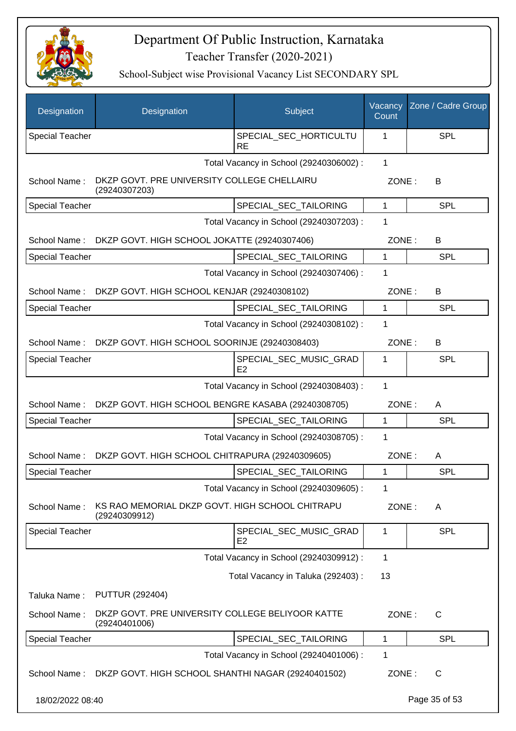

| Designation            | Designation                                                       | Subject                                  | Vacancy<br>Count | Zone / Cadre Group |
|------------------------|-------------------------------------------------------------------|------------------------------------------|------------------|--------------------|
| <b>Special Teacher</b> |                                                                   | SPECIAL_SEC_HORTICULTU<br><b>RE</b>      | 1                | <b>SPL</b>         |
|                        |                                                                   | Total Vacancy in School (29240306002) :  | 1                |                    |
| School Name:           | DKZP GOVT. PRE UNIVERSITY COLLEGE CHELLAIRU<br>(29240307203)      |                                          | ZONE:            | B                  |
| Special Teacher        |                                                                   | SPECIAL_SEC_TAILORING                    | $\mathbf{1}$     | <b>SPL</b>         |
|                        |                                                                   | Total Vacancy in School (29240307203) :  | 1                |                    |
|                        | School Name: DKZP GOVT. HIGH SCHOOL JOKATTE (29240307406)         |                                          | ZONE:            | B                  |
| Special Teacher        |                                                                   | SPECIAL_SEC_TAILORING                    | $\mathbf{1}$     | SPL                |
|                        |                                                                   | Total Vacancy in School (29240307406) :  | 1                |                    |
|                        | School Name: DKZP GOVT. HIGH SCHOOL KENJAR (29240308102)          |                                          |                  | ZONE:<br>B         |
| Special Teacher        |                                                                   | SPECIAL_SEC_TAILORING                    | 1                | SPL                |
|                        |                                                                   | Total Vacancy in School (29240308102) :  | 1                |                    |
| School Name:           | DKZP GOVT. HIGH SCHOOL SOORINJE (29240308403)                     |                                          | ZONE:            | B                  |
| <b>Special Teacher</b> |                                                                   | SPECIAL_SEC_MUSIC_GRAD<br>E <sub>2</sub> | 1                | <b>SPL</b>         |
|                        |                                                                   | Total Vacancy in School (29240308403) :  | 1                |                    |
| School Name:           | DKZP GOVT. HIGH SCHOOL BENGRE KASABA (29240308705)                |                                          | ZONE:            | A                  |
| <b>Special Teacher</b> |                                                                   | SPECIAL_SEC_TAILORING                    | $\mathbf{1}$     | <b>SPL</b>         |
|                        |                                                                   | Total Vacancy in School (29240308705) :  | 1                |                    |
| School Name:           | DKZP GOVT. HIGH SCHOOL CHITRAPURA (29240309605)                   |                                          | ZONE:            | A                  |
| <b>Special Teacher</b> |                                                                   | SPECIAL_SEC_TAILORING                    | 1                | <b>SPL</b>         |
|                        |                                                                   | Total Vacancy in School (29240309605) :  | 1                |                    |
| School Name:           | KS RAO MEMORIAL DKZP GOVT. HIGH SCHOOL CHITRAPU<br>(29240309912)  |                                          | ZONE:            | A                  |
| <b>Special Teacher</b> |                                                                   | SPECIAL_SEC_MUSIC_GRAD<br>E <sub>2</sub> | 1                | <b>SPL</b>         |
|                        |                                                                   | Total Vacancy in School (29240309912) :  | 1                |                    |
|                        |                                                                   | Total Vacancy in Taluka (292403) :       | 13               |                    |
| Taluka Name:           | <b>PUTTUR (292404)</b>                                            |                                          |                  |                    |
| School Name:           | DKZP GOVT. PRE UNIVERSITY COLLEGE BELIYOOR KATTE<br>(29240401006) |                                          | ZONE:            | C                  |
| Special Teacher        |                                                                   | SPECIAL_SEC_TAILORING                    | 1                | SPL                |
|                        |                                                                   | Total Vacancy in School (29240401006) :  | 1                |                    |
| School Name:           | DKZP GOVT. HIGH SCHOOL SHANTHI NAGAR (29240401502)                |                                          | ZONE:            | $\mathsf{C}$       |
| 18/02/2022 08:40       |                                                                   |                                          |                  | Page 35 of 53      |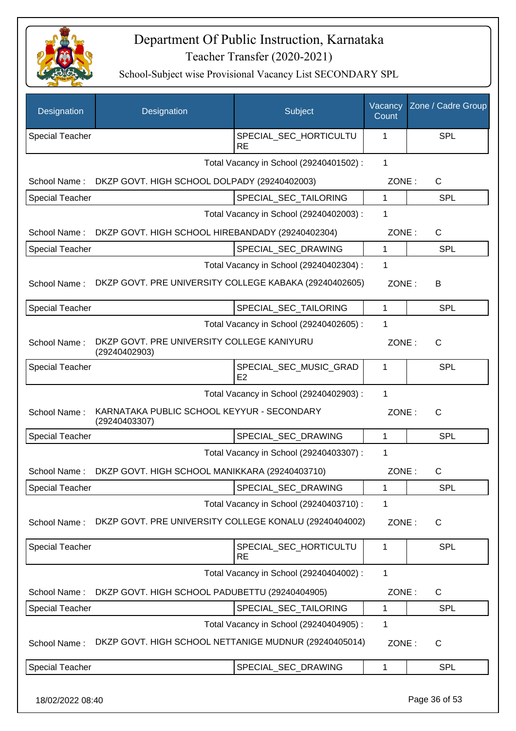

School-Subject wise Provisional Vacancy List SECONDARY SPL

| Designation            | Designation                                                 | Subject                                 | Vacancy<br>Count | Zone / Cadre Group |
|------------------------|-------------------------------------------------------------|-----------------------------------------|------------------|--------------------|
| <b>Special Teacher</b> |                                                             | SPECIAL SEC HORTICULTU<br><b>RE</b>     | 1                | <b>SPL</b>         |
|                        |                                                             | Total Vacancy in School (29240401502) : | $\mathbf{1}$     |                    |
| School Name:           | DKZP GOVT. HIGH SCHOOL DOLPADY (29240402003)                |                                         | ZONE:            | $\mathsf{C}$       |
| <b>Special Teacher</b> |                                                             | SPECIAL SEC TAILORING                   | 1                | <b>SPL</b>         |
|                        |                                                             | Total Vacancy in School (29240402003) : | $\mathbf 1$      |                    |
| School Name:           | DKZP GOVT. HIGH SCHOOL HIREBANDADY (29240402304)            |                                         | ZONE:            | $\mathsf{C}$       |
| <b>Special Teacher</b> |                                                             | SPECIAL_SEC_DRAWING                     | 1                | <b>SPL</b>         |
|                        |                                                             | Total Vacancy in School (29240402304) : | 1                |                    |
| School Name:           | DKZP GOVT. PRE UNIVERSITY COLLEGE KABAKA (29240402605)      |                                         | ZONE:            | B                  |
| <b>Special Teacher</b> |                                                             | SPECIAL_SEC_TAILORING                   | $\mathbf{1}$     | <b>SPL</b>         |
|                        |                                                             | Total Vacancy in School (29240402605) : | 1                |                    |
| School Name:           | DKZP GOVT. PRE UNIVERSITY COLLEGE KANIYURU<br>(29240402903) |                                         | ZONE:            | $\mathsf{C}$       |
| <b>Special Teacher</b> |                                                             | SPECIAL_SEC_MUSIC_GRAD<br>E2            | 1                | <b>SPL</b>         |
|                        |                                                             | Total Vacancy in School (29240402903) : | 1                |                    |
| School Name:           | KARNATAKA PUBLIC SCHOOL KEYYUR - SECONDARY<br>(29240403307) |                                         | ZONE:            | $\mathsf{C}$       |
| <b>Special Teacher</b> |                                                             | SPECIAL_SEC_DRAWING                     | 1                | <b>SPL</b>         |
|                        |                                                             | Total Vacancy in School (29240403307) : | 1                |                    |
| School Name:           | DKZP GOVT. HIGH SCHOOL MANIKKARA (29240403710)              |                                         | ZONE:            | C                  |
| <b>Special Teacher</b> |                                                             | SPECIAL_SEC_DRAWING                     | 1                | <b>SPL</b>         |
|                        |                                                             | Total Vacancy in School (29240403710) : | 1                |                    |
| School Name:           | DKZP GOVT. PRE UNIVERSITY COLLEGE KONALU (29240404002)      |                                         | ZONE:            | C                  |
| <b>Special Teacher</b> |                                                             | SPECIAL_SEC_HORTICULTU<br><b>RE</b>     | 1                | <b>SPL</b>         |
|                        |                                                             | Total Vacancy in School (29240404002) : | $\mathbf{1}$     |                    |
| School Name:           | DKZP GOVT. HIGH SCHOOL PADUBETTU (29240404905)              |                                         | ZONE:            | C                  |
| Special Teacher        |                                                             | SPECIAL_SEC_TAILORING                   | 1                | <b>SPL</b>         |
|                        |                                                             | Total Vacancy in School (29240404905) : | 1                |                    |
| School Name:           | DKZP GOVT. HIGH SCHOOL NETTANIGE MUDNUR (29240405014)       |                                         | ZONE:            | C                  |
| <b>Special Teacher</b> |                                                             | SPECIAL_SEC_DRAWING                     | 1                | <b>SPL</b>         |
|                        |                                                             |                                         |                  |                    |

18/02/2022 08:40 Page 36 of 53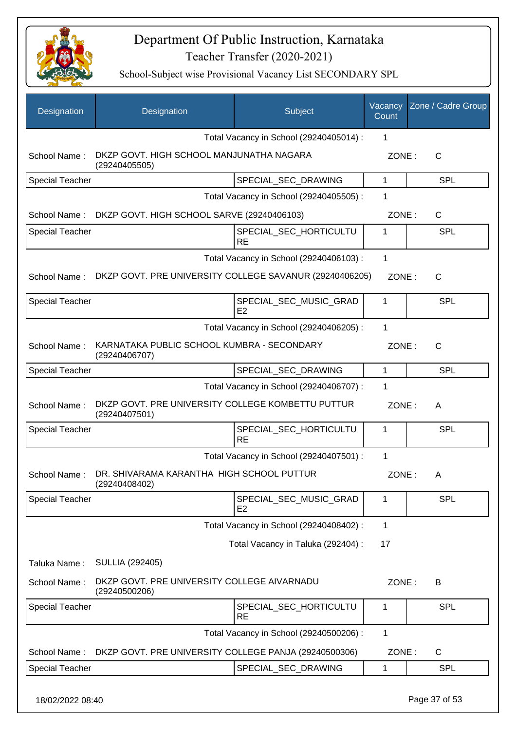

| Designation            | Designation                                                        | Subject                                 | Vacancy<br>Count | Zone / Cadre Group |
|------------------------|--------------------------------------------------------------------|-----------------------------------------|------------------|--------------------|
|                        |                                                                    | Total Vacancy in School (29240405014) : | 1                |                    |
| School Name:           | DKZP GOVT. HIGH SCHOOL MANJUNATHA NAGARA<br>(29240405505)          |                                         | ZONE:            | $\mathsf{C}$       |
| <b>Special Teacher</b> |                                                                    | SPECIAL_SEC_DRAWING                     | 1                | <b>SPL</b>         |
|                        |                                                                    | Total Vacancy in School (29240405505) : | 1                |                    |
| School Name:           | DKZP GOVT. HIGH SCHOOL SARVE (29240406103)                         |                                         | ZONE:            | C                  |
| <b>Special Teacher</b> |                                                                    | SPECIAL_SEC_HORTICULTU<br><b>RE</b>     | 1                | <b>SPL</b>         |
|                        |                                                                    | Total Vacancy in School (29240406103) : | 1                |                    |
| School Name:           | DKZP GOVT. PRE UNIVERSITY COLLEGE SAVANUR (29240406205)            |                                         | ZONE:            | $\mathsf{C}$       |
| <b>Special Teacher</b> |                                                                    | SPECIAL_SEC_MUSIC_GRAD<br>E2            | 1                | <b>SPL</b>         |
|                        |                                                                    | Total Vacancy in School (29240406205) : | 1                |                    |
| School Name:           | KARNATAKA PUBLIC SCHOOL KUMBRA - SECONDARY<br>(29240406707)        |                                         | ZONE:            | $\mathsf{C}$       |
| <b>Special Teacher</b> |                                                                    | SPECIAL_SEC_DRAWING                     | $\mathbf{1}$     | <b>SPL</b>         |
|                        |                                                                    | Total Vacancy in School (29240406707) : | 1                |                    |
| School Name:           | DKZP GOVT. PRE UNIVERSITY COLLEGE KOMBETTU PUTTUR<br>(29240407501) |                                         | ZONE:            | A                  |
| <b>Special Teacher</b> |                                                                    | SPECIAL_SEC_HORTICULTU<br><b>RE</b>     | 1                | <b>SPL</b>         |
|                        |                                                                    | Total Vacancy in School (29240407501) : | 1                |                    |
| School Name:           | DR. SHIVARAMA KARANTHA HIGH SCHOOL PUTTUR<br>(29240408402)         |                                         | ZONE:            | A                  |
| <b>Special Teacher</b> |                                                                    | SPECIAL_SEC_MUSIC_GRAD<br>E2            | 1                | <b>SPL</b>         |
|                        |                                                                    | Total Vacancy in School (29240408402) : | 1                |                    |
|                        |                                                                    | Total Vacancy in Taluka (292404) :      | 17               |                    |
| Taluka Name:           | SULLIA (292405)                                                    |                                         |                  |                    |
| School Name:           | DKZP GOVT. PRE UNIVERSITY COLLEGE AIVARNADU<br>(29240500206)       |                                         | ZONE:            | B                  |
| <b>Special Teacher</b> |                                                                    | SPECIAL_SEC_HORTICULTU<br><b>RE</b>     | 1                | <b>SPL</b>         |
|                        |                                                                    | Total Vacancy in School (29240500206) : | 1                |                    |
| School Name:           | DKZP GOVT. PRE UNIVERSITY COLLEGE PANJA (29240500306)              |                                         | ZONE:            | C                  |
| Special Teacher        |                                                                    | SPECIAL_SEC_DRAWING                     | 1                | <b>SPL</b>         |
|                        |                                                                    |                                         |                  |                    |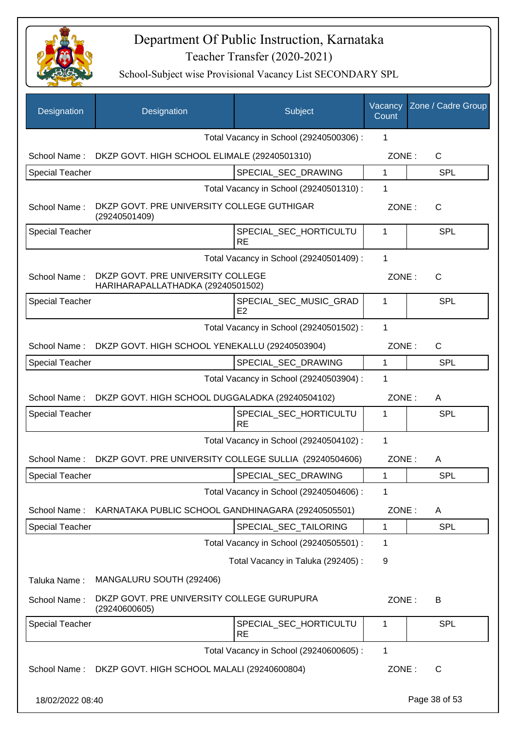

| Designation            | Designation                                                            | Subject                                 | Vacancy<br>Count | Zone / Cadre Group |
|------------------------|------------------------------------------------------------------------|-----------------------------------------|------------------|--------------------|
|                        |                                                                        | Total Vacancy in School (29240500306) : | 1                |                    |
| School Name:           | DKZP GOVT. HIGH SCHOOL ELIMALE (29240501310)                           |                                         | ZONE:            | C                  |
| <b>Special Teacher</b> |                                                                        | SPECIAL_SEC_DRAWING                     | 1                | SPL                |
|                        |                                                                        | Total Vacancy in School (29240501310) : | 1                |                    |
| School Name:           | DKZP GOVT. PRE UNIVERSITY COLLEGE GUTHIGAR<br>(29240501409)            |                                         | ZONE:            | $\mathsf{C}$       |
| <b>Special Teacher</b> |                                                                        | SPECIAL_SEC_HORTICULTU<br><b>RE</b>     | 1                | SPL                |
|                        |                                                                        | Total Vacancy in School (29240501409) : | 1                |                    |
| School Name:           | DKZP GOVT. PRE UNIVERSITY COLLEGE<br>HARIHARAPALLATHADKA (29240501502) |                                         | ZONE:            | $\mathsf{C}$       |
| <b>Special Teacher</b> |                                                                        | SPECIAL SEC MUSIC GRAD<br>E2            | 1                | SPL                |
|                        |                                                                        | Total Vacancy in School (29240501502) : | 1                |                    |
| School Name:           | DKZP GOVT. HIGH SCHOOL YENEKALLU (29240503904)                         |                                         | ZONE:            | C                  |
| <b>Special Teacher</b> |                                                                        | SPECIAL_SEC_DRAWING                     | 1                | SPL                |
|                        |                                                                        | Total Vacancy in School (29240503904) : | 1                |                    |
| School Name:           | DKZP GOVT. HIGH SCHOOL DUGGALADKA (29240504102)                        |                                         | ZONE:            | A                  |
| <b>Special Teacher</b> |                                                                        | SPECIAL_SEC_HORTICULTU<br><b>RE</b>     | 1                | SPL                |
|                        |                                                                        | Total Vacancy in School (29240504102) : | 1                |                    |
| School Name:           | DKZP GOVT. PRE UNIVERSITY COLLEGE SULLIA (29240504606)                 |                                         | ZONE:            | A                  |
| Special Teacher        |                                                                        | SPECIAL_SEC_DRAWING                     | 1                | <b>SPL</b>         |
|                        |                                                                        | Total Vacancy in School (29240504606) : | 1                |                    |
| School Name:           | KARNATAKA PUBLIC SCHOOL GANDHINAGARA (29240505501)                     |                                         | ZONE:            | A                  |
| Special Teacher        |                                                                        | SPECIAL_SEC_TAILORING                   | 1                | <b>SPL</b>         |
|                        |                                                                        | Total Vacancy in School (29240505501) : | 1                |                    |
|                        |                                                                        | Total Vacancy in Taluka (292405) :      | 9                |                    |
| Taluka Name:           | MANGALURU SOUTH (292406)                                               |                                         |                  |                    |
| School Name:           | DKZP GOVT. PRE UNIVERSITY COLLEGE GURUPURA<br>(29240600605)            |                                         | ZONE:            | B                  |
| <b>Special Teacher</b> |                                                                        | SPECIAL_SEC_HORTICULTU<br><b>RE</b>     | $\mathbf 1$      | <b>SPL</b>         |
|                        |                                                                        | Total Vacancy in School (29240600605) : | 1                |                    |
|                        | School Name: DKZP GOVT. HIGH SCHOOL MALALI (29240600804)               |                                         | ZONE:            | C                  |
| 18/02/2022 08:40       |                                                                        |                                         |                  | Page 38 of 53      |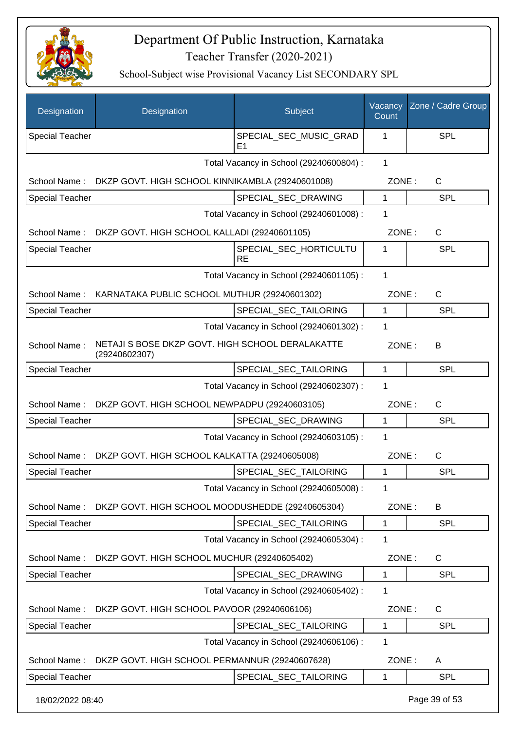

| Designation            | Designation                                                       | Subject                                 | Vacancy<br>Count | Zone / Cadre Group |
|------------------------|-------------------------------------------------------------------|-----------------------------------------|------------------|--------------------|
| <b>Special Teacher</b> |                                                                   | SPECIAL_SEC_MUSIC_GRAD<br>E1            | 1                | <b>SPL</b>         |
|                        |                                                                   | Total Vacancy in School (29240600804) : | 1                |                    |
| School Name:           | DKZP GOVT. HIGH SCHOOL KINNIKAMBLA (29240601008)                  |                                         | ZONE:            | $\mathsf{C}$       |
| <b>Special Teacher</b> |                                                                   | SPECIAL_SEC_DRAWING                     | 1                | <b>SPL</b>         |
|                        |                                                                   | Total Vacancy in School (29240601008) : | 1                |                    |
|                        | School Name: DKZP GOVT. HIGH SCHOOL KALLADI (29240601105)         |                                         | ZONE:            | $\mathsf{C}$       |
| Special Teacher        |                                                                   | SPECIAL_SEC_HORTICULTU<br><b>RE</b>     | 1                | <b>SPL</b>         |
|                        |                                                                   | Total Vacancy in School (29240601105) : | 1                |                    |
|                        | School Name: KARNATAKA PUBLIC SCHOOL MUTHUR (29240601302)         |                                         | ZONE:            | $\mathsf{C}$       |
| <b>Special Teacher</b> |                                                                   | SPECIAL_SEC_TAILORING                   | 1                | <b>SPL</b>         |
|                        |                                                                   | Total Vacancy in School (29240601302) : | 1                |                    |
| School Name:           | NETAJI S BOSE DKZP GOVT. HIGH SCHOOL DERALAKATTE<br>(29240602307) |                                         | ZONE:            | B                  |
| <b>Special Teacher</b> |                                                                   | SPECIAL_SEC_TAILORING                   | 1                | <b>SPL</b>         |
|                        |                                                                   | Total Vacancy in School (29240602307) : | 1                |                    |
| School Name:           | DKZP GOVT. HIGH SCHOOL NEWPADPU (29240603105)                     |                                         | ZONE:            | $\mathsf{C}$       |
| <b>Special Teacher</b> |                                                                   | SPECIAL_SEC_DRAWING                     | $\mathbf{1}$     | <b>SPL</b>         |
|                        |                                                                   | Total Vacancy in School (29240603105) : | 1                |                    |
| School Name:           | DKZP GOVT. HIGH SCHOOL KALKATTA (29240605008)                     |                                         | ZONE:            | $\mathsf{C}$       |
| <b>Special Teacher</b> |                                                                   | SPECIAL_SEC_TAILORING                   | 1                | <b>SPL</b>         |
|                        |                                                                   | Total Vacancy in School (29240605008) : | 1                |                    |
| School Name:           | DKZP GOVT. HIGH SCHOOL MOODUSHEDDE (29240605304)                  |                                         | ZONE:            | B                  |
| Special Teacher        |                                                                   | SPECIAL_SEC_TAILORING                   | 1                | <b>SPL</b>         |
|                        |                                                                   | Total Vacancy in School (29240605304) : | 1                |                    |
| School Name:           | DKZP GOVT. HIGH SCHOOL MUCHUR (29240605402)                       |                                         | ZONE:            | C                  |
| <b>Special Teacher</b> |                                                                   | SPECIAL SEC DRAWING                     | $\mathbf 1$      | <b>SPL</b>         |
|                        |                                                                   | Total Vacancy in School (29240605402) : | 1                |                    |
| School Name:           | DKZP GOVT. HIGH SCHOOL PAVOOR (29240606106)                       |                                         | ZONE:            | C                  |
| <b>Special Teacher</b> |                                                                   | SPECIAL_SEC_TAILORING                   | 1                | <b>SPL</b>         |
|                        |                                                                   | Total Vacancy in School (29240606106) : | 1                |                    |
| School Name:           | DKZP GOVT. HIGH SCHOOL PERMANNUR (29240607628)                    |                                         | ZONE:            | A                  |
| Special Teacher        |                                                                   | SPECIAL_SEC_TAILORING                   | 1                | <b>SPL</b>         |
| 18/02/2022 08:40       |                                                                   |                                         |                  | Page 39 of 53      |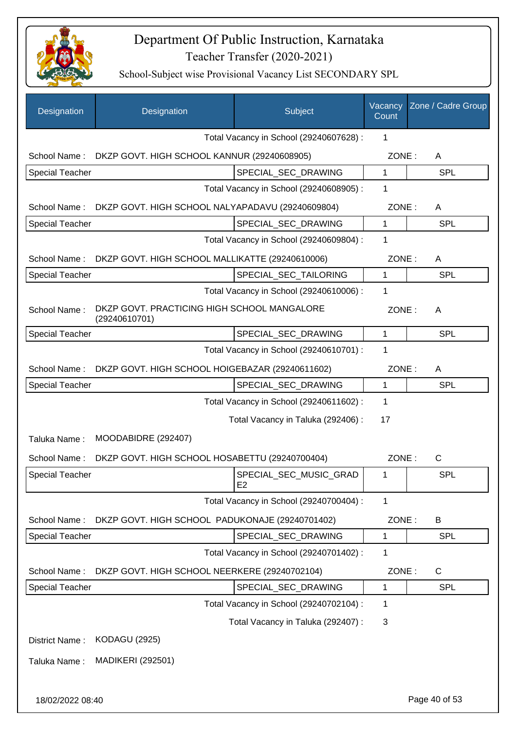

| Designation            | Designation                                                  | Subject                                  | Vacancy<br>Count | Zone / Cadre Group |
|------------------------|--------------------------------------------------------------|------------------------------------------|------------------|--------------------|
|                        |                                                              | Total Vacancy in School (29240607628) :  | 1                |                    |
| School Name:           | DKZP GOVT. HIGH SCHOOL KANNUR (29240608905)                  |                                          | ZONE:            | A                  |
| <b>Special Teacher</b> |                                                              | SPECIAL_SEC_DRAWING                      | $\mathbf 1$      | <b>SPL</b>         |
|                        |                                                              | Total Vacancy in School (29240608905) :  | 1                |                    |
| School Name:           | DKZP GOVT. HIGH SCHOOL NALYAPADAVU (29240609804)             |                                          | ZONE:            | A                  |
| <b>Special Teacher</b> |                                                              | SPECIAL_SEC_DRAWING                      | $\mathbf 1$      | SPL                |
|                        |                                                              | Total Vacancy in School (29240609804) :  | 1                |                    |
| School Name:           | DKZP GOVT. HIGH SCHOOL MALLIKATTE (29240610006)              |                                          | ZONE:            | A                  |
| <b>Special Teacher</b> |                                                              | SPECIAL SEC TAILORING                    | 1                | <b>SPL</b>         |
|                        |                                                              | Total Vacancy in School (29240610006) :  | $\mathbf 1$      |                    |
| School Name:           | DKZP GOVT. PRACTICING HIGH SCHOOL MANGALORE<br>(29240610701) |                                          | ZONE:            | A                  |
| <b>Special Teacher</b> |                                                              | SPECIAL_SEC_DRAWING                      | $\mathbf{1}$     | <b>SPL</b>         |
|                        |                                                              | Total Vacancy in School (29240610701) :  | 1                |                    |
| School Name:           | DKZP GOVT. HIGH SCHOOL HOIGEBAZAR (29240611602)              |                                          | ZONE:            | A                  |
| <b>Special Teacher</b> |                                                              | SPECIAL_SEC_DRAWING                      | $\mathbf 1$      | <b>SPL</b>         |
|                        |                                                              | Total Vacancy in School (29240611602) :  | $\mathbf 1$      |                    |
|                        |                                                              | Total Vacancy in Taluka (292406) :       | 17               |                    |
| Taluka Name:           | MOODABIDRE (292407)                                          |                                          |                  |                    |
| School Name:           | DKZP GOVT. HIGH SCHOOL HOSABETTU (29240700404)               |                                          | ZONE:            | $\mathsf{C}$       |
| <b>Special Teacher</b> |                                                              | SPECIAL SEC MUSIC GRAD<br>E <sub>2</sub> | 1                | <b>SPL</b>         |
|                        |                                                              | Total Vacancy in School (29240700404) :  | 1                |                    |
| School Name:           | DKZP GOVT. HIGH SCHOOL PADUKONAJE (29240701402)              |                                          | ZONE:            | B                  |
| <b>Special Teacher</b> |                                                              | SPECIAL_SEC_DRAWING                      | 1                | <b>SPL</b>         |
|                        |                                                              | Total Vacancy in School (29240701402) :  | 1                |                    |
| School Name:           | DKZP GOVT. HIGH SCHOOL NEERKERE (29240702104)                |                                          | ZONE:            | C                  |
| <b>Special Teacher</b> |                                                              | SPECIAL_SEC_DRAWING                      | 1                | <b>SPL</b>         |
|                        |                                                              | Total Vacancy in School (29240702104) :  | $\mathbf 1$      |                    |
|                        |                                                              | Total Vacancy in Taluka (292407) :       | 3                |                    |
| District Name:         | <b>KODAGU (2925)</b>                                         |                                          |                  |                    |
| Taluka Name:           | <b>MADIKERI (292501)</b>                                     |                                          |                  |                    |
|                        |                                                              |                                          |                  |                    |
| 18/02/2022 08:40       |                                                              |                                          |                  | Page 40 of 53      |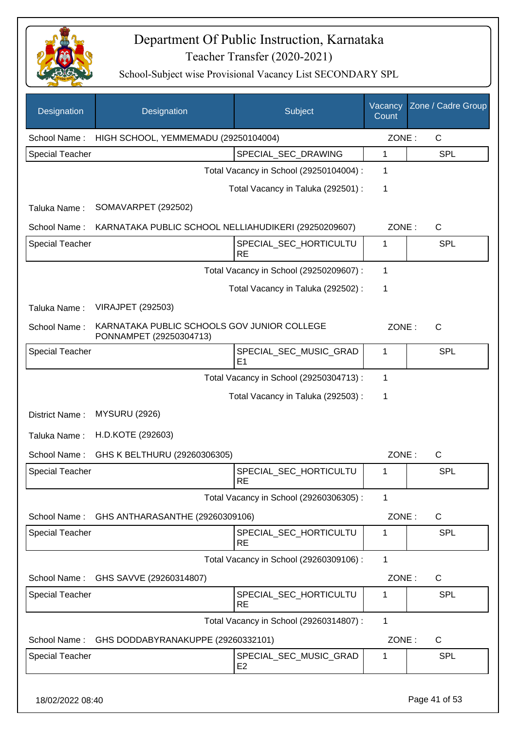

| Designation            | Designation                                                            | Subject                                  | Vacancy<br>Count | Zone / Cadre Group |
|------------------------|------------------------------------------------------------------------|------------------------------------------|------------------|--------------------|
| School Name:           | HIGH SCHOOL, YEMMEMADU (29250104004)                                   |                                          | ZONE:            | $\mathsf{C}$       |
| Special Teacher        |                                                                        | SPECIAL_SEC_DRAWING                      | $\mathbf 1$      | <b>SPL</b>         |
|                        |                                                                        | Total Vacancy in School (29250104004) :  | 1                |                    |
|                        |                                                                        | Total Vacancy in Taluka (292501) :       | 1                |                    |
| Taluka Name:           | SOMAVARPET (292502)                                                    |                                          |                  |                    |
| School Name:           | KARNATAKA PUBLIC SCHOOL NELLIAHUDIKERI (29250209607)                   |                                          | ZONE:            | $\mathsf{C}$       |
| <b>Special Teacher</b> |                                                                        | SPECIAL_SEC_HORTICULTU<br><b>RE</b>      | 1                | <b>SPL</b>         |
|                        |                                                                        | Total Vacancy in School (29250209607) :  | 1                |                    |
|                        |                                                                        | Total Vacancy in Taluka (292502) :       | 1                |                    |
| Taluka Name:           | <b>VIRAJPET (292503)</b>                                               |                                          |                  |                    |
| School Name:           | KARNATAKA PUBLIC SCHOOLS GOV JUNIOR COLLEGE<br>PONNAMPET (29250304713) |                                          | ZONE:            | $\mathsf{C}$       |
| <b>Special Teacher</b> |                                                                        | SPECIAL_SEC_MUSIC_GRAD<br>E <sub>1</sub> | 1                | <b>SPL</b>         |
|                        |                                                                        | Total Vacancy in School (29250304713) :  | $\mathbf 1$      |                    |
|                        |                                                                        | Total Vacancy in Taluka (292503) :       | 1                |                    |
| District Name:         | <b>MYSURU (2926)</b>                                                   |                                          |                  |                    |
| Taluka Name:           | H.D.KOTE (292603)                                                      |                                          |                  |                    |
| School Name:           | GHS K BELTHURU (29260306305)                                           |                                          | ZONE:            | $\mathsf{C}$       |
| <b>Special Teacher</b> |                                                                        | SPECIAL_SEC_HORTICULTU<br>RE             | 1                | SPL                |
|                        |                                                                        | Total Vacancy in School (29260306305) :  | 1                |                    |
| School Name:           | GHS ANTHARASANTHE (29260309106)                                        |                                          | ZONE:            | C                  |
| <b>Special Teacher</b> |                                                                        | SPECIAL_SEC_HORTICULTU<br><b>RE</b>      | 1                | SPL                |
|                        |                                                                        | Total Vacancy in School (29260309106) :  | 1                |                    |
| School Name:           | GHS SAVVE (29260314807)                                                |                                          | ZONE:            | $\mathsf{C}$       |
| <b>Special Teacher</b> |                                                                        | SPECIAL_SEC_HORTICULTU<br><b>RE</b>      | 1                | <b>SPL</b>         |
|                        |                                                                        | Total Vacancy in School (29260314807) :  | 1                |                    |
| School Name:           | GHS DODDABYRANAKUPPE (29260332101)                                     |                                          | ZONE:            | C                  |
| <b>Special Teacher</b> |                                                                        | SPECIAL_SEC_MUSIC_GRAD<br>E <sub>2</sub> | 1                | <b>SPL</b>         |
| 18/02/2022 08:40       |                                                                        |                                          |                  | Page 41 of 53      |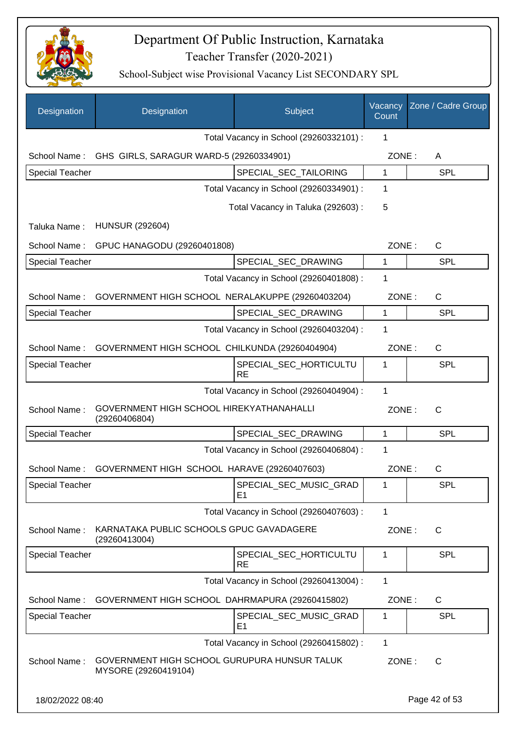

| Designation            | Designation                                                          | Subject                                  | Vacancy<br>Count | Zone / Cadre Group |
|------------------------|----------------------------------------------------------------------|------------------------------------------|------------------|--------------------|
|                        |                                                                      | Total Vacancy in School (29260332101) :  | 1                |                    |
| School Name:           | GHS GIRLS, SARAGUR WARD-5 (29260334901)                              |                                          | ZONE:            | A                  |
| <b>Special Teacher</b> |                                                                      | SPECIAL_SEC_TAILORING                    | 1                | <b>SPL</b>         |
|                        |                                                                      | Total Vacancy in School (29260334901) :  | 1                |                    |
|                        |                                                                      | Total Vacancy in Taluka (292603) :       | 5                |                    |
| Taluka Name:           | <b>HUNSUR (292604)</b>                                               |                                          |                  |                    |
| School Name:           | GPUC HANAGODU (29260401808)                                          |                                          | ZONE:            | $\mathsf{C}$       |
| <b>Special Teacher</b> |                                                                      | SPECIAL SEC DRAWING                      | 1                | <b>SPL</b>         |
|                        |                                                                      | Total Vacancy in School (29260401808) :  | 1                |                    |
| School Name:           | GOVERNMENT HIGH SCHOOL NERALAKUPPE (29260403204)                     |                                          | ZONE:            | $\mathsf{C}$       |
| <b>Special Teacher</b> |                                                                      | SPECIAL SEC DRAWING                      | 1                | <b>SPL</b>         |
|                        |                                                                      | Total Vacancy in School (29260403204) :  | 1                |                    |
| School Name:           | GOVERNMENT HIGH SCHOOL CHILKUNDA (29260404904)                       |                                          | ZONE:            | $\mathsf{C}$       |
| <b>Special Teacher</b> |                                                                      | SPECIAL_SEC_HORTICULTU<br><b>RE</b>      | 1                | <b>SPL</b>         |
|                        |                                                                      | Total Vacancy in School (29260404904) :  | $\mathbf{1}$     |                    |
| School Name:           | GOVERNMENT HIGH SCHOOL HIREKYATHANAHALLI<br>(29260406804)            |                                          | ZONE:            | $\mathsf{C}$       |
| <b>Special Teacher</b> |                                                                      | SPECIAL_SEC_DRAWING                      | 1                | <b>SPL</b>         |
|                        |                                                                      | Total Vacancy in School (29260406804) :  | 1                |                    |
| School Name:           | GOVERNMENT HIGH SCHOOL HARAVE (29260407603)                          |                                          | ZONE:            | $\mathsf{C}$       |
| <b>Special Teacher</b> |                                                                      | SPECIAL_SEC_MUSIC_GRAD<br>E <sub>1</sub> | 1                | <b>SPL</b>         |
|                        |                                                                      | Total Vacancy in School (29260407603) :  | 1                |                    |
| School Name:           | KARNATAKA PUBLIC SCHOOLS GPUC GAVADAGERE<br>(29260413004)            |                                          | ZONE:            | $\mathsf{C}$       |
| <b>Special Teacher</b> |                                                                      | SPECIAL SEC HORTICULTU<br><b>RE</b>      | 1                | <b>SPL</b>         |
|                        |                                                                      | Total Vacancy in School (29260413004) :  | 1                |                    |
| School Name:           | GOVERNMENT HIGH SCHOOL DAHRMAPURA (29260415802)                      |                                          | ZONE:            | C                  |
| <b>Special Teacher</b> |                                                                      | SPECIAL_SEC_MUSIC_GRAD<br>E <sub>1</sub> | 1                | <b>SPL</b>         |
|                        |                                                                      | Total Vacancy in School (29260415802) :  | 1                |                    |
| School Name:           | GOVERNMENT HIGH SCHOOL GURUPURA HUNSUR TALUK<br>MYSORE (29260419104) |                                          | ZONE:            | $\mathsf{C}$       |
| 18/02/2022 08:40       |                                                                      |                                          |                  | Page 42 of 53      |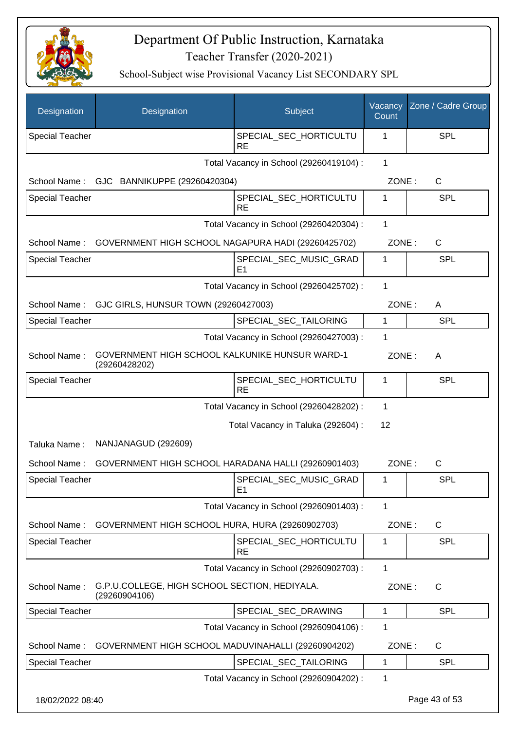

| Designation            | Designation                                                     | Subject                                  | Vacancy<br>Count | Zone / Cadre Group |
|------------------------|-----------------------------------------------------------------|------------------------------------------|------------------|--------------------|
| <b>Special Teacher</b> |                                                                 | SPECIAL_SEC_HORTICULTU<br><b>RE</b>      | 1                | SPL                |
|                        |                                                                 | Total Vacancy in School (29260419104) :  | $\mathbf{1}$     |                    |
| School Name:           | GJC BANNIKUPPE (29260420304)                                    |                                          | ZONE:            | C                  |
| <b>Special Teacher</b> |                                                                 | SPECIAL_SEC_HORTICULTU<br><b>RE</b>      | 1                | SPL                |
|                        |                                                                 | Total Vacancy in School (29260420304) :  | 1                |                    |
| School Name:           | GOVERNMENT HIGH SCHOOL NAGAPURA HADI (29260425702)              |                                          | ZONE:            | $\mathsf C$        |
| Special Teacher        |                                                                 | SPECIAL_SEC_MUSIC_GRAD<br>E <sub>1</sub> | 1                | SPL                |
|                        |                                                                 | Total Vacancy in School (29260425702) :  | 1                |                    |
| School Name:           | GJC GIRLS, HUNSUR TOWN (29260427003)                            |                                          | ZONE:            | A                  |
| <b>Special Teacher</b> |                                                                 | SPECIAL_SEC_TAILORING                    | $\mathbf{1}$     | SPL                |
|                        |                                                                 | Total Vacancy in School (29260427003) :  | 1                |                    |
| School Name:           | GOVERNMENT HIGH SCHOOL KALKUNIKE HUNSUR WARD-1<br>(29260428202) |                                          | ZONE:            | A                  |
| <b>Special Teacher</b> |                                                                 | SPECIAL_SEC_HORTICULTU<br><b>RE</b>      | 1                | SPL                |
|                        |                                                                 | Total Vacancy in School (29260428202) :  | 1                |                    |
|                        |                                                                 | Total Vacancy in Taluka (292604) :       | 12               |                    |
| Taluka Name:           | NANJANAGUD (292609)                                             |                                          |                  |                    |
| School Name:           | GOVERNMENT HIGH SCHOOL HARADANA HALLI (29260901403)             |                                          | ZONE:            | C                  |
| Special Teacher        |                                                                 | SPECIAL_SEC_MUSIC_GRAD<br>E1             | 1                | <b>SPL</b>         |
|                        |                                                                 | Total Vacancy in School (29260901403) :  | 1                |                    |
| School Name:           | GOVERNMENT HIGH SCHOOL HURA, HURA (29260902703)                 |                                          | ZONE:            | C                  |
| <b>Special Teacher</b> |                                                                 | SPECIAL SEC HORTICULTU<br><b>RE</b>      | 1                | SPL                |
|                        |                                                                 | Total Vacancy in School (29260902703) :  | 1                |                    |
| School Name:           | G.P.U.COLLEGE, HIGH SCHOOL SECTION, HEDIYALA.<br>(29260904106)  |                                          | ZONE:            | C                  |
| Special Teacher        |                                                                 | SPECIAL_SEC_DRAWING                      | $\mathbf{1}$     | <b>SPL</b>         |
|                        |                                                                 | Total Vacancy in School (29260904106) :  | 1                |                    |
| School Name:           | GOVERNMENT HIGH SCHOOL MADUVINAHALLI (29260904202)              |                                          | ZONE:            | C                  |
| Special Teacher        |                                                                 | SPECIAL_SEC_TAILORING                    | 1                | <b>SPL</b>         |
|                        |                                                                 | Total Vacancy in School (29260904202) :  | 1                |                    |
| 18/02/2022 08:40       |                                                                 |                                          |                  | Page 43 of 53      |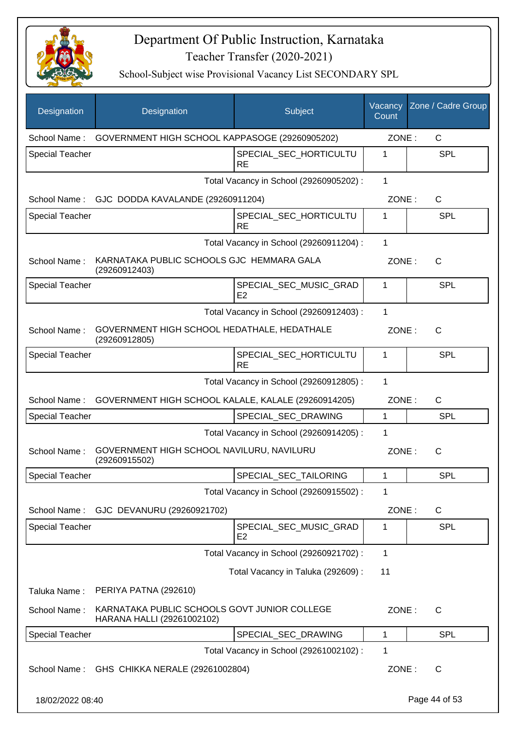

| Designation            | Designation                                                                | Subject                                  | Vacancy<br>Count | Zone / Cadre Group |
|------------------------|----------------------------------------------------------------------------|------------------------------------------|------------------|--------------------|
| School Name:           | GOVERNMENT HIGH SCHOOL KAPPASOGE (29260905202)                             |                                          | ZONE:            | $\mathsf{C}$       |
| Special Teacher        |                                                                            | SPECIAL_SEC_HORTICULTU<br><b>RE</b>      | 1                | <b>SPL</b>         |
|                        |                                                                            | Total Vacancy in School (29260905202) :  | 1                |                    |
| School Name:           | GJC DODDA KAVALANDE (29260911204)                                          |                                          | ZONE:            | $\mathsf C$        |
| Special Teacher        |                                                                            | SPECIAL_SEC_HORTICULTU<br><b>RE</b>      | 1                | SPL                |
|                        |                                                                            | Total Vacancy in School (29260911204) :  | 1                |                    |
| School Name:           | KARNATAKA PUBLIC SCHOOLS GJC HEMMARA GALA<br>(29260912403)                 |                                          | ZONE:            | C                  |
| Special Teacher        |                                                                            | SPECIAL_SEC_MUSIC_GRAD<br>E <sub>2</sub> | 1                | SPL                |
|                        |                                                                            | Total Vacancy in School (29260912403) :  | $\mathbf 1$      |                    |
| School Name:           | GOVERNMENT HIGH SCHOOL HEDATHALE, HEDATHALE<br>(29260912805)               |                                          | ZONE:            | C                  |
| <b>Special Teacher</b> |                                                                            | SPECIAL_SEC_HORTICULTU<br><b>RE</b>      | 1                | SPL                |
|                        |                                                                            | Total Vacancy in School (29260912805) :  | 1                |                    |
| School Name:           | GOVERNMENT HIGH SCHOOL KALALE, KALALE (29260914205)                        |                                          | ZONE:            | C                  |
| <b>Special Teacher</b> |                                                                            | SPECIAL_SEC_DRAWING                      | 1                | SPL                |
|                        |                                                                            | Total Vacancy in School (29260914205) :  | 1                |                    |
| School Name:           | GOVERNMENT HIGH SCHOOL NAVILURU, NAVILURU<br>(29260915502)                 |                                          | ZONE:            | C                  |
| Special Teacher        |                                                                            | SPECIAL_SEC_TAILORING                    | 1                | SPL                |
|                        |                                                                            | Total Vacancy in School (29260915502) :  | 1                |                    |
| School Name:           | GJC DEVANURU (29260921702)                                                 |                                          | ZONE:            | $\mathsf{C}$       |
| <b>Special Teacher</b> |                                                                            | SPECIAL_SEC_MUSIC_GRAD<br>E <sub>2</sub> | 1                | <b>SPL</b>         |
|                        |                                                                            | Total Vacancy in School (29260921702) :  | 1                |                    |
|                        |                                                                            | Total Vacancy in Taluka (292609):        | 11               |                    |
| Taluka Name:           | PERIYA PATNA (292610)                                                      |                                          |                  |                    |
| School Name:           | KARNATAKA PUBLIC SCHOOLS GOVT JUNIOR COLLEGE<br>HARANA HALLI (29261002102) |                                          | ZONE:            | C                  |
| Special Teacher        |                                                                            | SPECIAL_SEC_DRAWING                      | 1                | <b>SPL</b>         |
|                        |                                                                            | Total Vacancy in School (29261002102) :  | 1                |                    |
| School Name:           | GHS CHIKKA NERALE (29261002804)                                            |                                          | ZONE:            | C                  |
| 18/02/2022 08:40       |                                                                            |                                          |                  | Page 44 of 53      |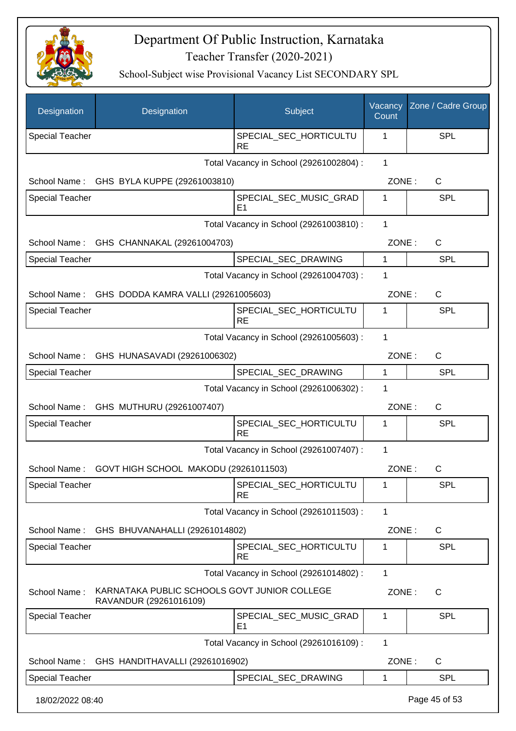

| Designation            | Designation                                                            | Subject                                  | Vacancy<br>Count | Zone / Cadre Group |
|------------------------|------------------------------------------------------------------------|------------------------------------------|------------------|--------------------|
| <b>Special Teacher</b> |                                                                        | SPECIAL_SEC_HORTICULTU<br><b>RE</b>      | 1                | SPL                |
|                        |                                                                        | Total Vacancy in School (29261002804) :  | $\mathbf{1}$     |                    |
| School Name:           | GHS BYLA KUPPE (29261003810)                                           |                                          | ZONE:            | C                  |
| <b>Special Teacher</b> |                                                                        | SPECIAL_SEC_MUSIC_GRAD<br>E1             | 1                | SPL                |
|                        |                                                                        | Total Vacancy in School (29261003810) :  | 1                |                    |
| School Name:           | GHS CHANNAKAL (29261004703)                                            |                                          | ZONE:            | C                  |
| <b>Special Teacher</b> |                                                                        | SPECIAL_SEC_DRAWING                      | 1                | <b>SPL</b>         |
|                        |                                                                        | Total Vacancy in School (29261004703) :  | 1                |                    |
| School Name:           | GHS DODDA KAMRA VALLI (29261005603)                                    |                                          | ZONE:            | C                  |
| <b>Special Teacher</b> |                                                                        | SPECIAL_SEC_HORTICULTU<br><b>RE</b>      | 1                | SPL                |
|                        |                                                                        | Total Vacancy in School (29261005603) :  | 1                |                    |
|                        | School Name: GHS HUNASAVADI (29261006302)                              |                                          | ZONE:            | C                  |
| <b>Special Teacher</b> |                                                                        | SPECIAL_SEC_DRAWING                      | $\mathbf{1}$     | <b>SPL</b>         |
|                        |                                                                        | Total Vacancy in School (29261006302) :  | 1                |                    |
|                        | School Name: GHS MUTHURU (29261007407)                                 |                                          | ZONE:            | C                  |
| <b>Special Teacher</b> |                                                                        | SPECIAL_SEC_HORTICULTU<br><b>RE</b>      | 1                | SPL                |
|                        |                                                                        | Total Vacancy in School (29261007407) :  | 1                |                    |
| School Name:           | GOVT HIGH SCHOOL MAKODU (29261011503)                                  |                                          | ZONE:            | C                  |
| <b>Special Teacher</b> |                                                                        | SPECIAL_SEC_HORTICULTU<br><b>RE</b>      | 1                | <b>SPL</b>         |
|                        |                                                                        | Total Vacancy in School (29261011503) :  | 1                |                    |
| School Name:           | GHS BHUVANAHALLI (29261014802)                                         |                                          | ZONE:            | $\mathsf{C}$       |
| Special Teacher        |                                                                        | SPECIAL SEC HORTICULTU<br><b>RE</b>      | 1                | <b>SPL</b>         |
|                        |                                                                        | Total Vacancy in School (29261014802) :  | 1                |                    |
| School Name:           | KARNATAKA PUBLIC SCHOOLS GOVT JUNIOR COLLEGE<br>RAVANDUR (29261016109) |                                          | ZONE:            | C                  |
| <b>Special Teacher</b> |                                                                        | SPECIAL_SEC_MUSIC_GRAD<br>E <sub>1</sub> | 1                | <b>SPL</b>         |
|                        |                                                                        | Total Vacancy in School (29261016109) :  | $\mathbf{1}$     |                    |
| School Name:           | GHS HANDITHAVALLI (29261016902)                                        |                                          | ZONE:            | C                  |
| <b>Special Teacher</b> |                                                                        | SPECIAL_SEC_DRAWING                      | 1                | SPL                |
| 18/02/2022 08:40       |                                                                        |                                          |                  | Page 45 of 53      |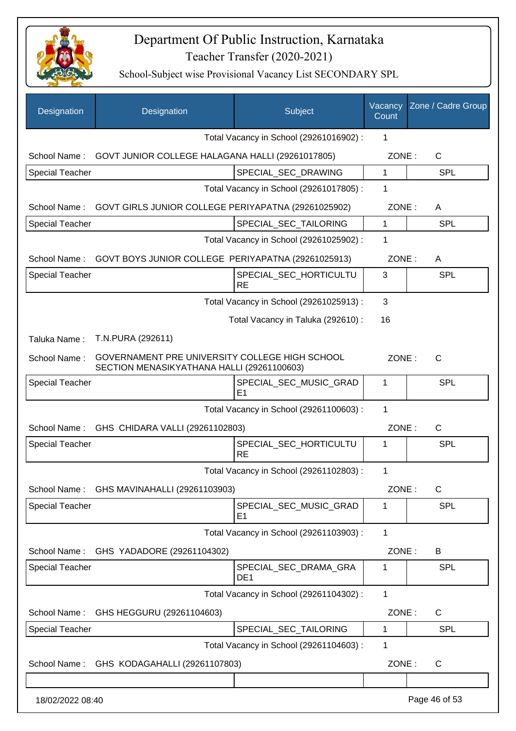

| Designation            | Designation                                                                                  | Subject                                  | Vacancy<br>Count | Zone / Cadre Group |
|------------------------|----------------------------------------------------------------------------------------------|------------------------------------------|------------------|--------------------|
|                        |                                                                                              | Total Vacancy in School (29261016902) :  | 1                |                    |
|                        | School Name: GOVT JUNIOR COLLEGE HALAGANA HALLI (29261017805)                                |                                          | ZONE:            | C                  |
| Special Teacher        |                                                                                              | SPECIAL_SEC_DRAWING                      | $\mathbf{1}$     | <b>SPL</b>         |
|                        |                                                                                              | Total Vacancy in School (29261017805) :  | 1                |                    |
|                        | School Name: GOVT GIRLS JUNIOR COLLEGE PERIYAPATNA (29261025902)                             |                                          | ZONE:            | A                  |
| <b>Special Teacher</b> |                                                                                              | SPECIAL_SEC_TAILORING                    | $\mathbf{1}$     | <b>SPL</b>         |
|                        |                                                                                              | Total Vacancy in School (29261025902) :  | 1                |                    |
| School Name:           | GOVT BOYS JUNIOR COLLEGE PERIYAPATNA (29261025913)                                           |                                          | ZONE:            | A                  |
| Special Teacher        |                                                                                              | SPECIAL_SEC_HORTICULTU<br><b>RE</b>      | 3                | <b>SPL</b>         |
|                        |                                                                                              | Total Vacancy in School (29261025913) :  | 3                |                    |
|                        |                                                                                              | Total Vacancy in Taluka (292610) :       | 16               |                    |
| Taluka Name:           | T.N.PURA (292611)                                                                            |                                          |                  |                    |
| School Name:           | GOVERNAMENT PRE UNIVERSITY COLLEGE HIGH SCHOOL<br>SECTION MENASIKYATHANA HALLI (29261100603) |                                          | ZONE:            | $\mathsf{C}$       |
| <b>Special Teacher</b> |                                                                                              | SPECIAL_SEC_MUSIC_GRAD<br>E1             | 1                | <b>SPL</b>         |
|                        |                                                                                              | Total Vacancy in School (29261100603) :  | 1                |                    |
|                        | School Name: GHS CHIDARA VALLI (29261102803)                                                 |                                          | ZONE:            | C                  |
| <b>Special Teacher</b> |                                                                                              | SPECIAL SEC HORTICULTU<br><b>RE</b>      | 1                | SPL                |
|                        |                                                                                              | Total Vacancy in School (29261102803) :  | 1                |                    |
| School Name:           | GHS MAVINAHALLI (29261103903)                                                                |                                          | ZONE:            | $\mathsf C$        |
| <b>Special Teacher</b> |                                                                                              | SPECIAL_SEC_MUSIC_GRAD<br>E <sub>1</sub> | 1                | <b>SPL</b>         |
|                        |                                                                                              | Total Vacancy in School (29261103903) :  | $\mathbf{1}$     |                    |
| School Name:           | GHS YADADORE (29261104302)                                                                   |                                          | ZONE:            | B                  |
| <b>Special Teacher</b> |                                                                                              | SPECIAL SEC DRAMA GRA<br>DE <sub>1</sub> | 1                | <b>SPL</b>         |
|                        |                                                                                              | Total Vacancy in School (29261104302) :  | $\mathbf{1}$     |                    |
| School Name:           | GHS HEGGURU (29261104603)                                                                    |                                          | ZONE:            | C                  |
| <b>Special Teacher</b> |                                                                                              | SPECIAL_SEC_TAILORING                    | 1                | <b>SPL</b>         |
|                        |                                                                                              | Total Vacancy in School (29261104603) :  | 1                |                    |
| School Name:           | GHS KODAGAHALLI (29261107803)                                                                |                                          | ZONE:            | $\mathsf C$        |
|                        |                                                                                              |                                          |                  |                    |
| 18/02/2022 08:40       |                                                                                              |                                          |                  | Page 46 of 53      |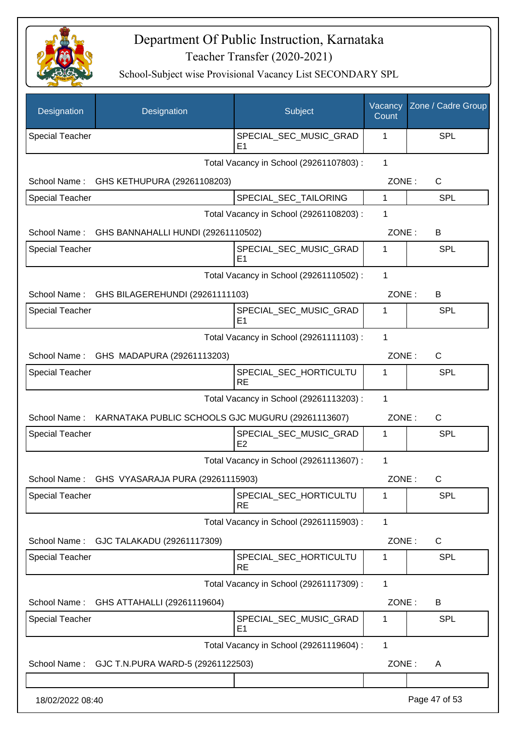

| Designation            | Designation                                       | Subject                                  | Vacancy<br>Count | Zone / Cadre Group |
|------------------------|---------------------------------------------------|------------------------------------------|------------------|--------------------|
| <b>Special Teacher</b> |                                                   | SPECIAL_SEC_MUSIC_GRAD<br>E1             | 1                | <b>SPL</b>         |
|                        |                                                   | Total Vacancy in School (29261107803) :  | $\mathbf{1}$     |                    |
| School Name:           | GHS KETHUPURA (29261108203)                       |                                          | ZONE:            | $\mathsf{C}$       |
| <b>Special Teacher</b> |                                                   | SPECIAL_SEC_TAILORING                    | 1                | <b>SPL</b>         |
|                        |                                                   | Total Vacancy in School (29261108203) :  | 1                |                    |
| School Name:           | GHS BANNAHALLI HUNDI (29261110502)                |                                          | ZONE:            | B                  |
| <b>Special Teacher</b> |                                                   | SPECIAL_SEC_MUSIC_GRAD<br>E <sub>1</sub> | 1                | <b>SPL</b>         |
|                        |                                                   | Total Vacancy in School (29261110502) :  | 1                |                    |
|                        | School Name: GHS BILAGEREHUNDI (29261111103)      |                                          | ZONE:            | B                  |
| <b>Special Teacher</b> |                                                   | SPECIAL_SEC_MUSIC_GRAD<br>E1             | 1                | <b>SPL</b>         |
|                        |                                                   | Total Vacancy in School (29261111103) :  | 1                |                    |
|                        | School Name: GHS MADAPURA (29261113203)           |                                          | ZONE:            | $\mathsf{C}$       |
| <b>Special Teacher</b> |                                                   | SPECIAL_SEC_HORTICULTU<br><b>RE</b>      | 1                | <b>SPL</b>         |
|                        |                                                   | Total Vacancy in School (29261113203) :  | 1                |                    |
| School Name:           | KARNATAKA PUBLIC SCHOOLS GJC MUGURU (29261113607) |                                          | ZONE:            | C                  |
| <b>Special Teacher</b> |                                                   | SPECIAL_SEC_MUSIC_GRAD<br>E2             | 1                | <b>SPL</b>         |
|                        |                                                   | Total Vacancy in School (29261113607) :  | 1                |                    |
|                        | School Name: GHS VYASARAJA PURA (29261115903)     |                                          | ZONE:            | C                  |
| <b>Special Teacher</b> |                                                   | SPECIAL_SEC_HORTICULTU<br><b>RE</b>      | 1                | <b>SPL</b>         |
|                        |                                                   | Total Vacancy in School (29261115903) :  | 1                |                    |
| School Name:           | GJC TALAKADU (29261117309)                        |                                          | ZONE:            | C                  |
| <b>Special Teacher</b> |                                                   | SPECIAL_SEC_HORTICULTU<br><b>RE</b>      | 1                | <b>SPL</b>         |
|                        |                                                   | Total Vacancy in School (29261117309) :  | 1                |                    |
| School Name:           | GHS ATTAHALLI (29261119604)                       |                                          | ZONE:            | B                  |
| <b>Special Teacher</b> |                                                   | SPECIAL_SEC_MUSIC_GRAD<br>E <sub>1</sub> | 1                | <b>SPL</b>         |
|                        |                                                   | Total Vacancy in School (29261119604) :  | 1                |                    |
| School Name:           | GJC T.N.PURA WARD-5 (29261122503)                 |                                          | ZONE:            | A                  |
|                        |                                                   |                                          |                  |                    |
| 18/02/2022 08:40       |                                                   |                                          |                  | Page 47 of 53      |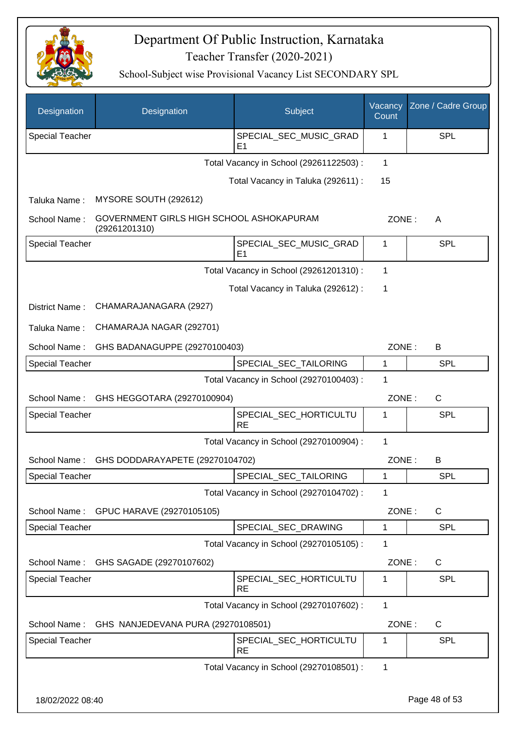

| Designation                                  | Designation                                               | Subject                                  | Vacancy<br>Count | Zone / Cadre Group |
|----------------------------------------------|-----------------------------------------------------------|------------------------------------------|------------------|--------------------|
| Special Teacher                              |                                                           | SPECIAL_SEC_MUSIC_GRAD<br>E <sub>1</sub> | 1                | <b>SPL</b>         |
|                                              |                                                           | Total Vacancy in School (29261122503) :  | 1                |                    |
|                                              |                                                           | Total Vacancy in Taluka (292611) :       | 15               |                    |
| Taluka Name:                                 | MYSORE SOUTH (292612)                                     |                                          |                  |                    |
| School Name:                                 | GOVERNMENT GIRLS HIGH SCHOOL ASHOKAPURAM<br>(29261201310) |                                          | ZONE:            | A                  |
| Special Teacher                              |                                                           | SPECIAL_SEC_MUSIC_GRAD<br>E <sub>1</sub> | 1                | <b>SPL</b>         |
|                                              |                                                           | Total Vacancy in School (29261201310) :  | 1                |                    |
|                                              |                                                           | Total Vacancy in Taluka (292612) :       | 1                |                    |
| District Name:                               | CHAMARAJANAGARA (2927)                                    |                                          |                  |                    |
| Taluka Name:                                 | CHAMARAJA NAGAR (292701)                                  |                                          |                  |                    |
| School Name:                                 | GHS BADANAGUPPE (29270100403)                             |                                          | ZONE:            | B                  |
| <b>Special Teacher</b>                       |                                                           | SPECIAL_SEC_TAILORING                    | 1                | <b>SPL</b>         |
| Total Vacancy in School (29270100403) :<br>1 |                                                           |                                          |                  |                    |
| School Name:                                 | GHS HEGGOTARA (29270100904)                               |                                          | ZONE:            | $\mathsf{C}$       |
| Special Teacher                              |                                                           | SPECIAL_SEC_HORTICULTU<br><b>RE</b>      | 1                | SPL                |
|                                              |                                                           | Total Vacancy in School (29270100904) :  | 1                |                    |
| School Name:                                 | GHS DODDARAYAPETE (29270104702)                           |                                          | ZONE:            | B                  |
| <b>Special Teacher</b>                       |                                                           | SPECIAL SEC TAILORING                    | 1                | <b>SPL</b>         |
|                                              |                                                           | Total Vacancy in School (29270104702) :  | 1                |                    |
| School Name:                                 | GPUC HARAVE (29270105105)                                 |                                          | ZONE:            | C                  |
| Special Teacher                              |                                                           | SPECIAL_SEC_DRAWING                      | 1                | <b>SPL</b>         |
|                                              |                                                           | Total Vacancy in School (29270105105) :  | 1                |                    |
| School Name:                                 | GHS SAGADE (29270107602)                                  |                                          | ZONE:            | C                  |
| <b>Special Teacher</b>                       |                                                           | SPECIAL_SEC_HORTICULTU<br><b>RE</b>      | 1                | SPL                |
|                                              |                                                           | Total Vacancy in School (29270107602) :  | 1                |                    |
| School Name:                                 | GHS NANJEDEVANA PURA (29270108501)                        |                                          | ZONE:            | C                  |
| Special Teacher                              |                                                           | SPECIAL_SEC_HORTICULTU<br><b>RE</b>      | 1                | <b>SPL</b>         |
|                                              |                                                           | Total Vacancy in School (29270108501) :  | 1                |                    |
| 18/02/2022 08:40                             |                                                           |                                          |                  | Page 48 of 53      |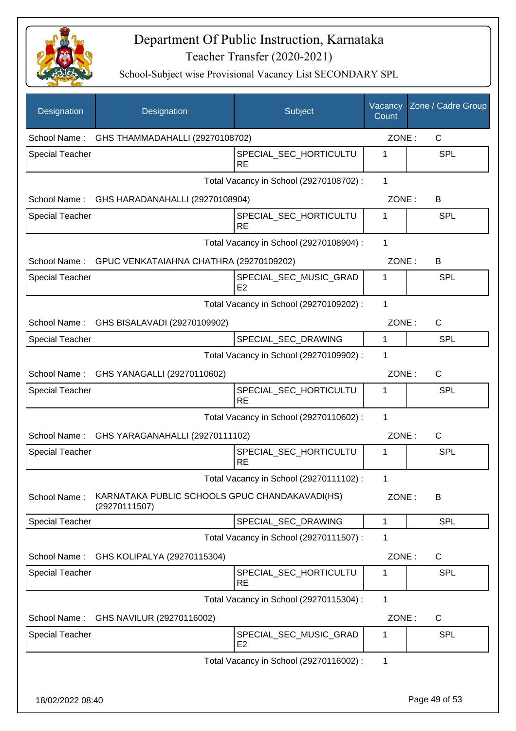

| Designation            | Designation                                                     | Subject                                  | Vacancy<br>Count | Zone / Cadre Group |
|------------------------|-----------------------------------------------------------------|------------------------------------------|------------------|--------------------|
| School Name:           | GHS THAMMADAHALLI (29270108702)                                 |                                          |                  | ZONE:<br>C         |
| <b>Special Teacher</b> |                                                                 | SPECIAL_SEC_HORTICULTU<br><b>RE</b>      | 1                | SPL                |
|                        |                                                                 | Total Vacancy in School (29270108702) :  | 1                |                    |
|                        | School Name: GHS HARADANAHALLI (29270108904)                    |                                          | ZONE:            | B                  |
| <b>Special Teacher</b> |                                                                 | SPECIAL_SEC_HORTICULTU<br><b>RE</b>      | 1                | SPL                |
|                        |                                                                 | Total Vacancy in School (29270108904) :  | 1                |                    |
|                        | School Name: GPUC VENKATAIAHNA CHATHRA (29270109202)            |                                          | ZONE:            | B                  |
| <b>Special Teacher</b> |                                                                 | SPECIAL_SEC_MUSIC_GRAD<br>E2             | 1                | <b>SPL</b>         |
|                        |                                                                 | Total Vacancy in School (29270109202) :  | $\mathbf{1}$     |                    |
|                        | School Name: GHS BISALAVADI (29270109902)                       |                                          | ZONE:            | $\mathsf{C}$       |
| <b>Special Teacher</b> |                                                                 | SPECIAL_SEC_DRAWING                      | $\mathbf{1}$     | <b>SPL</b>         |
|                        |                                                                 | Total Vacancy in School (29270109902) :  | 1                |                    |
|                        | School Name: GHS YANAGALLI (29270110602)                        |                                          | ZONE:            | $\mathsf{C}$       |
| <b>Special Teacher</b> |                                                                 | SPECIAL_SEC_HORTICULTU<br><b>RE</b>      | 1                | <b>SPL</b>         |
|                        |                                                                 | Total Vacancy in School (29270110602) :  | 1                |                    |
|                        | School Name: GHS YARAGANAHALLI (29270111102)                    |                                          | ZONE:            | C                  |
| <b>Special Teacher</b> |                                                                 | SPECIAL_SEC_HORTICULTU<br><b>RE</b>      | 1                | SPL                |
|                        |                                                                 | Total Vacancy in School (29270111102) :  | $\mathbf{1}$     |                    |
| School Name:           | KARNATAKA PUBLIC SCHOOLS GPUC CHANDAKAVADI(HS)<br>(29270111507) |                                          | ZONE:            | B                  |
| <b>Special Teacher</b> |                                                                 | SPECIAL_SEC_DRAWING                      | 1                | <b>SPL</b>         |
|                        |                                                                 | Total Vacancy in School (29270111507) :  | 1                |                    |
| School Name:           | GHS KOLIPALYA (29270115304)                                     |                                          | ZONE:            | C                  |
| <b>Special Teacher</b> |                                                                 | SPECIAL_SEC_HORTICULTU<br>RE             | 1                | <b>SPL</b>         |
|                        |                                                                 | Total Vacancy in School (29270115304) :  | 1                |                    |
| School Name:           | GHS NAVILUR (29270116002)                                       |                                          | ZONE:            | C                  |
| <b>Special Teacher</b> |                                                                 | SPECIAL_SEC_MUSIC_GRAD<br>E <sub>2</sub> | 1                | <b>SPL</b>         |
|                        |                                                                 | Total Vacancy in School (29270116002) :  | 1                |                    |
| 18/02/2022 08:40       |                                                                 |                                          |                  | Page 49 of 53      |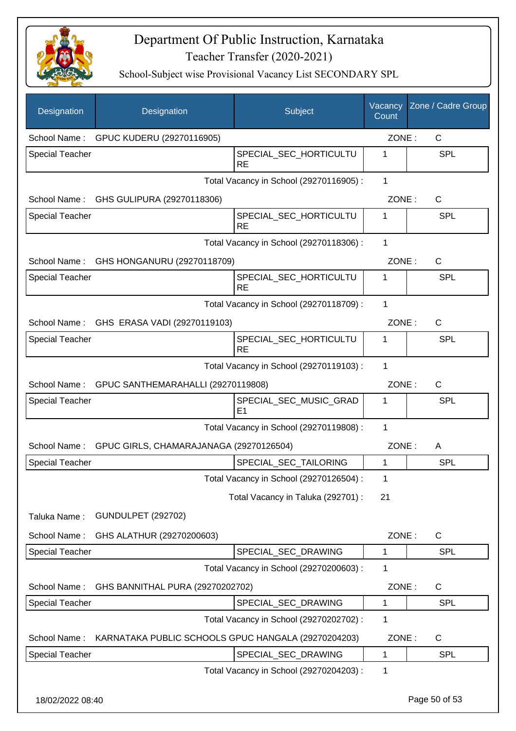

| Designation            | Designation                                          | Subject                                  | Vacancy<br>Count | Zone / Cadre Group |
|------------------------|------------------------------------------------------|------------------------------------------|------------------|--------------------|
| School Name:           | GPUC KUDERU (29270116905)                            |                                          | ZONE:            | $\mathsf{C}$       |
| <b>Special Teacher</b> |                                                      | SPECIAL_SEC_HORTICULTU<br><b>RE</b>      | 1                | <b>SPL</b>         |
|                        |                                                      | Total Vacancy in School (29270116905) :  | 1                |                    |
| School Name:           | GHS GULIPURA (29270118306)                           |                                          | ZONE:            | C                  |
| <b>Special Teacher</b> |                                                      | SPECIAL SEC HORTICULTU<br><b>RE</b>      | 1                | <b>SPL</b>         |
|                        |                                                      | Total Vacancy in School (29270118306) :  | 1                |                    |
|                        | School Name: GHS HONGANURU (29270118709)             |                                          | ZONE:            | $\mathsf{C}$       |
| <b>Special Teacher</b> |                                                      | SPECIAL_SEC_HORTICULTU<br><b>RE</b>      | 1                | <b>SPL</b>         |
|                        |                                                      | Total Vacancy in School (29270118709) :  | 1                |                    |
|                        | School Name: GHS ERASA VADI (29270119103)            |                                          | ZONE:            | $\mathsf{C}$       |
| <b>Special Teacher</b> |                                                      | SPECIAL_SEC_HORTICULTU<br><b>RE</b>      | 1                | <b>SPL</b>         |
|                        |                                                      | Total Vacancy in School (29270119103) :  | 1                |                    |
|                        | School Name: GPUC SANTHEMARAHALLI (29270119808)      |                                          | ZONE:            | $\mathsf{C}$       |
| <b>Special Teacher</b> |                                                      | SPECIAL_SEC_MUSIC_GRAD<br>E <sub>1</sub> | 1                | <b>SPL</b>         |
|                        |                                                      | Total Vacancy in School (29270119808) :  | 1                |                    |
|                        | School Name: GPUC GIRLS, CHAMARAJANAGA (29270126504) |                                          | ZONE:            | A                  |
| <b>Special Teacher</b> |                                                      | SPECIAL_SEC_TAILORING                    | 1                | SPL                |
|                        |                                                      | Total Vacancy in School (29270126504) :  | 1                |                    |
|                        |                                                      | Total Vacancy in Taluka (292701) :       | 21               |                    |
| Taluka Name:           | <b>GUNDULPET (292702)</b>                            |                                          |                  |                    |
| School Name:           | GHS ALATHUR (29270200603)                            |                                          | ZONE:            | C                  |
| <b>Special Teacher</b> |                                                      | SPECIAL SEC DRAWING                      | 1                | <b>SPL</b>         |
|                        |                                                      | Total Vacancy in School (29270200603) :  | 1                |                    |
| School Name:           | GHS BANNITHAL PURA (29270202702)                     |                                          | ZONE:            | C                  |
| Special Teacher        |                                                      | SPECIAL_SEC_DRAWING                      | 1                | SPL                |
|                        |                                                      | Total Vacancy in School (29270202702) :  | 1                |                    |
| School Name:           | KARNATAKA PUBLIC SCHOOLS GPUC HANGALA (29270204203)  |                                          | ZONE:            | C                  |
| Special Teacher        |                                                      | SPECIAL_SEC_DRAWING                      | 1                | <b>SPL</b>         |
|                        |                                                      | Total Vacancy in School (29270204203) :  | 1                |                    |
| 18/02/2022 08:40       |                                                      |                                          |                  | Page 50 of 53      |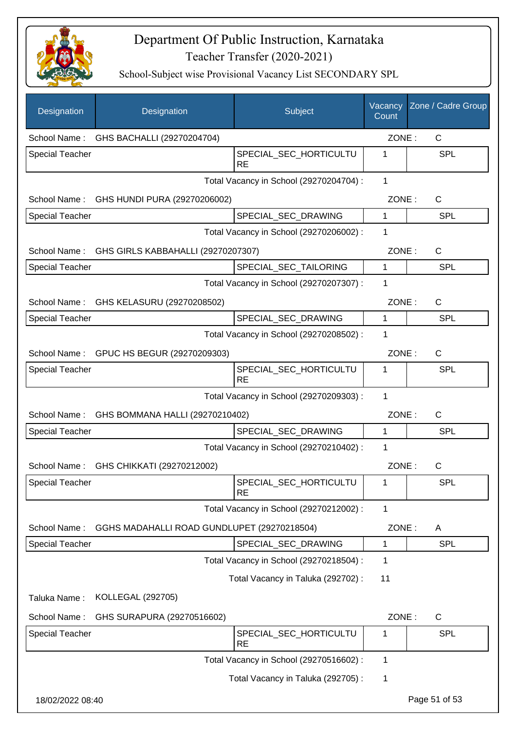

| Designation            | Designation                                     | Subject                                 | Vacancy<br>Count | Zone / Cadre Group |
|------------------------|-------------------------------------------------|-----------------------------------------|------------------|--------------------|
| School Name:           | GHS BACHALLI (29270204704)                      |                                         | ZONE:            | C                  |
| <b>Special Teacher</b> |                                                 | SPECIAL_SEC_HORTICULTU<br><b>RE</b>     | 1                | <b>SPL</b>         |
|                        |                                                 | Total Vacancy in School (29270204704) : | 1                |                    |
| School Name:           | GHS HUNDI PURA (29270206002)                    |                                         | ZONE:            | C                  |
| <b>Special Teacher</b> |                                                 | SPECIAL_SEC_DRAWING                     | 1                | <b>SPL</b>         |
|                        |                                                 | Total Vacancy in School (29270206002) : | 1                |                    |
|                        | School Name: GHS GIRLS KABBAHALLI (29270207307) |                                         | ZONE:            | C                  |
| <b>Special Teacher</b> |                                                 | SPECIAL SEC TAILORING                   | $\mathbf{1}$     | <b>SPL</b>         |
|                        |                                                 | Total Vacancy in School (29270207307) : | 1                |                    |
| School Name:           | GHS KELASURU (29270208502)                      |                                         | ZONE:            | C                  |
| <b>Special Teacher</b> |                                                 | SPECIAL_SEC_DRAWING                     | $\mathbf{1}$     | <b>SPL</b>         |
|                        |                                                 | Total Vacancy in School (29270208502) : | 1                |                    |
|                        | School Name: GPUC HS BEGUR (29270209303)        |                                         | ZONE:            | C                  |
| <b>Special Teacher</b> |                                                 | SPECIAL_SEC_HORTICULTU<br><b>RE</b>     | 1                | SPL                |
|                        |                                                 | Total Vacancy in School (29270209303) : | 1                |                    |
| School Name:           | GHS BOMMANA HALLI (29270210402)                 |                                         | ZONE:            | C                  |
| <b>Special Teacher</b> |                                                 | SPECIAL_SEC_DRAWING                     | $\mathbf{1}$     | SPL                |
|                        |                                                 | Total Vacancy in School (29270210402) : | 1                |                    |
| School Name:           | GHS CHIKKATI (29270212002)                      |                                         | ZONE:            | $\mathsf{C}$       |
| <b>Special Teacher</b> |                                                 | SPECIAL_SEC_HORTICULTU<br><b>RE</b>     | 1                | <b>SPL</b>         |
|                        |                                                 | Total Vacancy in School (29270212002) : | 1                |                    |
| School Name:           | GGHS MADAHALLI ROAD GUNDLUPET (29270218504)     |                                         | ZONE:            | A                  |
| Special Teacher        |                                                 | SPECIAL_SEC_DRAWING                     | 1                | <b>SPL</b>         |
|                        |                                                 | Total Vacancy in School (29270218504) : | 1                |                    |
|                        |                                                 | Total Vacancy in Taluka (292702) :      | 11               |                    |
| Taluka Name:           | <b>KOLLEGAL (292705)</b>                        |                                         |                  |                    |
| School Name:           | GHS SURAPURA (29270516602)                      |                                         | ZONE:            | $\mathsf C$        |
| <b>Special Teacher</b> |                                                 | SPECIAL_SEC_HORTICULTU<br><b>RE</b>     | 1                | SPL                |
|                        |                                                 | Total Vacancy in School (29270516602) : | 1                |                    |
|                        |                                                 | Total Vacancy in Taluka (292705) :      | 1                |                    |
| 18/02/2022 08:40       |                                                 |                                         |                  | Page 51 of 53      |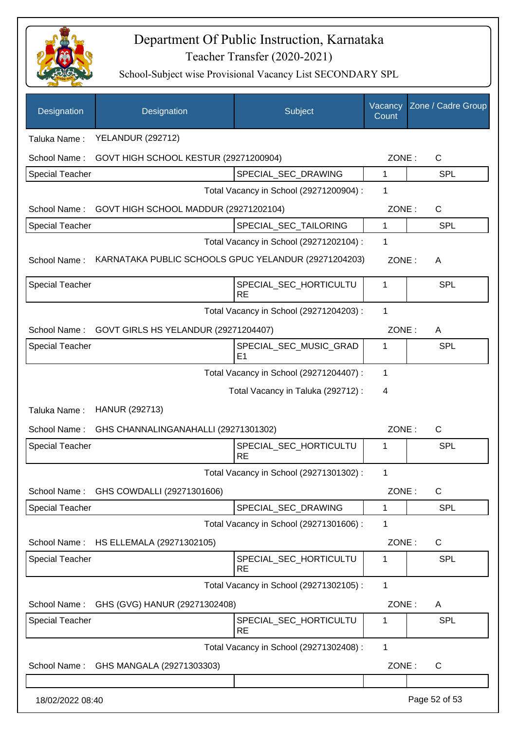

| Designation                                   | Designation                                          | Subject                                  | Vacancy<br>Count | Zone / Cadre Group    |
|-----------------------------------------------|------------------------------------------------------|------------------------------------------|------------------|-----------------------|
| Taluka Name:                                  | <b>YELANDUR (292712)</b>                             |                                          |                  |                       |
| School Name:                                  | GOVT HIGH SCHOOL KESTUR (29271200904)                |                                          |                  | $\mathsf{C}$<br>ZONE: |
| Special Teacher                               |                                                      | SPECIAL_SEC_DRAWING                      | 1                | <b>SPL</b>            |
|                                               |                                                      | Total Vacancy in School (29271200904) :  | 1                |                       |
| School Name:                                  | GOVT HIGH SCHOOL MADDUR (29271202104)                |                                          | ZONE:            | $\mathsf{C}$          |
| <b>Special Teacher</b>                        |                                                      | SPECIAL_SEC_TAILORING                    | 1                | <b>SPL</b>            |
|                                               |                                                      | Total Vacancy in School (29271202104) :  | 1                |                       |
| School Name:                                  | KARNATAKA PUBLIC SCHOOLS GPUC YELANDUR (29271204203) |                                          | ZONE:            | A                     |
| <b>Special Teacher</b>                        |                                                      | SPECIAL_SEC_HORTICULTU<br><b>RE</b>      | 1                | <b>SPL</b>            |
|                                               |                                                      | Total Vacancy in School (29271204203) :  | 1                |                       |
| School Name:                                  | GOVT GIRLS HS YELANDUR (29271204407)                 |                                          | ZONE:            | A                     |
| <b>Special Teacher</b>                        |                                                      | SPECIAL_SEC_MUSIC_GRAD<br>E <sub>1</sub> | 1                | <b>SPL</b>            |
|                                               |                                                      | Total Vacancy in School (29271204407) :  | 1                |                       |
|                                               |                                                      | Total Vacancy in Taluka (292712) :       | 4                |                       |
| Taluka Name:                                  | HANUR (292713)                                       |                                          |                  |                       |
| School Name:                                  | GHS CHANNALINGANAHALLI (29271301302)                 |                                          | ZONE:            | $\mathsf{C}$          |
| <b>Special Teacher</b>                        |                                                      | SPECIAL_SEC_HORTICULTU<br><b>RE</b>      | 1                | SPL                   |
|                                               |                                                      | Total Vacancy in School (29271301302) :  | 1                |                       |
| School Name:                                  | GHS COWDALLI (29271301606)                           |                                          | ZONE:            | $\mathsf{C}$          |
| <b>Special Teacher</b>                        |                                                      | SPECIAL_SEC_DRAWING                      | 1                | <b>SPL</b>            |
|                                               |                                                      | Total Vacancy in School (29271301606) :  | 1                |                       |
| School Name:                                  | HS ELLEMALA (29271302105)                            |                                          | ZONE:            | C                     |
| <b>Special Teacher</b>                        |                                                      | SPECIAL_SEC_HORTICULTU<br><b>RE</b>      | 1                | SPL                   |
|                                               |                                                      | Total Vacancy in School (29271302105):   | 1                |                       |
| GHS (GVG) HANUR (29271302408)<br>School Name: |                                                      | ZONE:                                    | A                |                       |
| Special Teacher                               |                                                      | SPECIAL_SEC_HORTICULTU<br><b>RE</b>      | 1                | SPL                   |
|                                               |                                                      | Total Vacancy in School (29271302408) :  | $\mathbf{1}$     |                       |
| School Name:                                  | GHS MANGALA (29271303303)                            |                                          | ZONE:            | C                     |
| 18/02/2022 08:40                              |                                                      |                                          |                  | Page 52 of 53         |